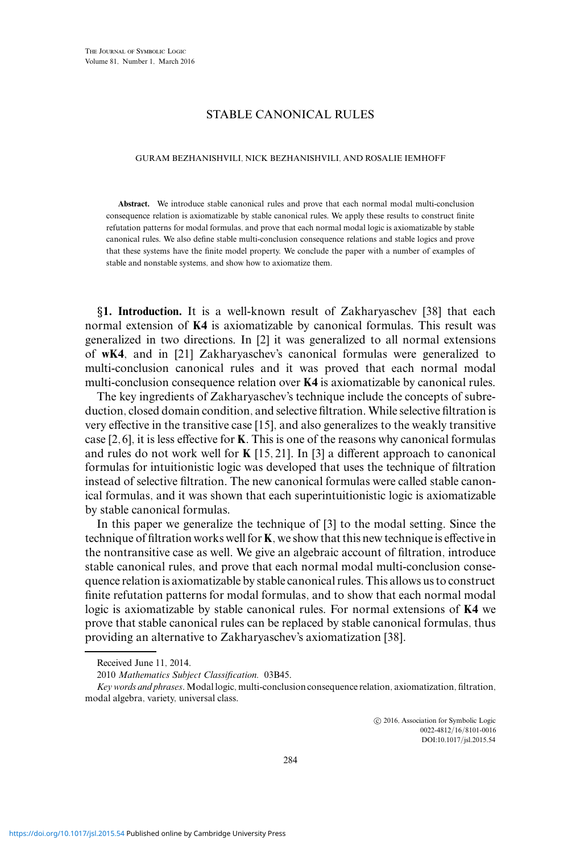## STABLE CANONICAL RULES

## GURAM BEZHANISHVILI, NICK BEZHANISHVILI, AND ROSALIE IEMHOFF

**Abstract.** We introduce stable canonical rules and prove that each normal modal multi-conclusion consequence relation is axiomatizable by stable canonical rules. We apply these results to construct finite refutation patterns for modal formulas, and prove that each normal modal logic is axiomatizable by stable canonical rules. We also define stable multi-conclusion consequence relations and stable logics and prove that these systems have the finite model property. We conclude the paper with a number of examples of stable and nonstable systems, and show how to axiomatize them.

*§***1. Introduction.** It is a well-known result of Zakharyaschev [38] that each normal extension of **K4** is axiomatizable by canonical formulas. This result was generalized in two directions. In [2] it was generalized to all normal extensions of **wK4**, and in [21] Zakharyaschev's canonical formulas were generalized to multi-conclusion canonical rules and it was proved that each normal modal multi-conclusion consequence relation over **K4** is axiomatizable by canonical rules.

The key ingredients of Zakharyaschev's technique include the concepts of subreduction, closed domain condition, and selective filtration.While selective filtration is very effective in the transitive case [15], and also generalizes to the weakly transitive case [2,6], it is less effective for **K**. This is one of the reasons why canonical formulas and rules do not work well for **K** [15, 21]. In [3] a different approach to canonical formulas for intuitionistic logic was developed that uses the technique of filtration instead of selective filtration. The new canonical formulas were called stable canonical formulas, and it was shown that each superintuitionistic logic is axiomatizable by stable canonical formulas.

In this paper we generalize the technique of [3] to the modal setting. Since the technique of filtration works well for **K**, we show that this new technique is effective in the nontransitive case as well. We give an algebraic account of filtration, introduce stable canonical rules, and prove that each normal modal multi-conclusion consequence relation is axiomatizable by stable canonical rules. This allows us to construct finite refutation patterns for modal formulas, and to show that each normal modal logic is axiomatizable by stable canonical rules. For normal extensions of **K4** we prove that stable canonical rules can be replaced by stable canonical formulas, thus providing an alternative to Zakharyaschev's axiomatization [38].

 $\odot$  2016, Association for Symbolic Logic 0022-4812/16/8101-0016 DOI:10.1017/jsl.2015.54

Received June 11, 2014.

<sup>2010</sup> *Mathematics Subject Classification.* 03B45.

*Key words and phrases*. Modal logic, multi-conclusion consequence relation, axiomatization, filtration, modal algebra, variety, universal class.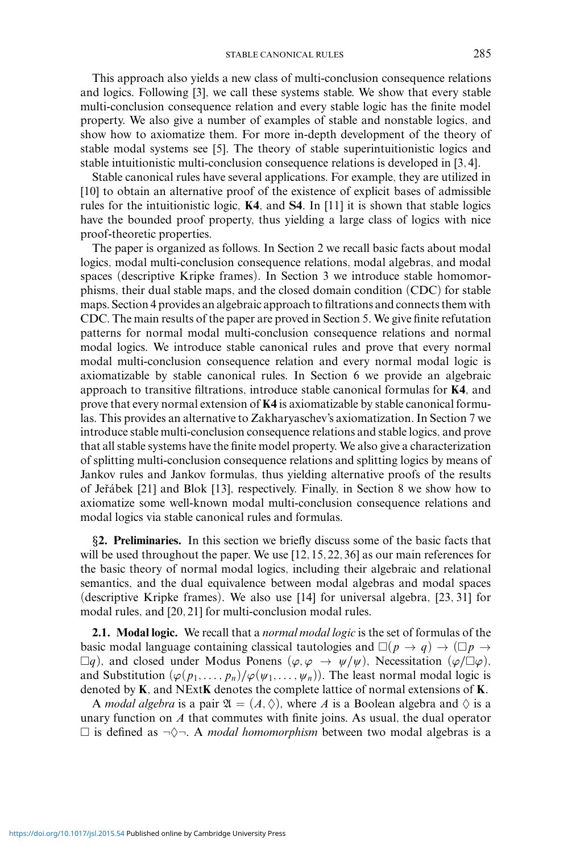This approach also yields a new class of multi-conclusion consequence relations and logics. Following [3], we call these systems stable. We show that every stable multi-conclusion consequence relation and every stable logic has the finite model property. We also give a number of examples of stable and nonstable logics, and show how to axiomatize them. For more in-depth development of the theory of stable modal systems see [5]. The theory of stable superintuitionistic logics and stable intuitionistic multi-conclusion consequence relations is developed in [3, 4].

Stable canonical rules have several applications. For example, they are utilized in [10] to obtain an alternative proof of the existence of explicit bases of admissible rules for the intuitionistic logic, **K4**, and **S4**. In [11] it is shown that stable logics have the bounded proof property, thus yielding a large class of logics with nice proof-theoretic properties.

The paper is organized as follows. In Section 2 we recall basic facts about modal logics, modal multi-conclusion consequence relations, modal algebras, and modal spaces (descriptive Kripke frames). In Section 3 we introduce stable homomorphisms, their dual stable maps, and the closed domain condition (CDC) for stable maps. Section 4 provides an algebraic approach to filtrations and connects them with CDC. The main results of the paper are proved in Section 5. We give finite refutation patterns for normal modal multi-conclusion consequence relations and normal modal logics. We introduce stable canonical rules and prove that every normal modal multi-conclusion consequence relation and every normal modal logic is axiomatizable by stable canonical rules. In Section 6 we provide an algebraic approach to transitive filtrations, introduce stable canonical formulas for **K4**, and prove that every normal extension of **K4** is axiomatizable by stable canonical formulas. This provides an alternative to Zakharyaschev's axiomatization. In Section 7 we introduce stable multi-conclusion consequence relations and stable logics, and prove that all stable systems have the finite model property. We also give a characterization of splitting multi-conclusion consequence relations and splitting logics by means of Jankov rules and Jankov formulas, thus yielding alternative proofs of the results of Jeřábek [21] and Blok [13], respectively. Finally, in Section 8 we show how to axiomatize some well-known modal multi-conclusion consequence relations and modal logics via stable canonical rules and formulas.

*§***2. Preliminaries.** In this section we briefly discuss some of the basic facts that will be used throughout the paper. We use [12, 15, 22, 36] as our main references for the basic theory of normal modal logics, including their algebraic and relational semantics, and the dual equivalence between modal algebras and modal spaces (descriptive Kripke frames). We also use [14] for universal algebra, [23, 31] for modal rules, and [20, 21] for multi-conclusion modal rules.

**2.1. Modal logic.** We recall that a *normal modal logic* is the set of formulas of the basic modal language containing classical tautologies and  $\square(p \to q) \to (\square p \to q)$  $\Box q$ ), and closed under Modus Ponens ( $\varphi, \varphi \rightarrow \psi/\psi$ ), Necessitation ( $\varphi/\Box \varphi$ ), and Substitution  $(\varphi(p_1, \ldots, p_n)/\varphi(\psi_1, \ldots, \psi_n))$ . The least normal modal logic is denoted by **K**, and NExt**K** denotes the complete lattice of normal extensions of **K**.

A *modal algebra* is a pair  $\mathfrak{A} = (A, \Diamond)$ , where A is a Boolean algebra and  $\Diamond$  is a unary function on *A* that commutes with finite joins. As usual, the dual operator  $\Box$  is defined as  $\neg \Diamond \neg$ . A *modal homomorphism* between two modal algebras is a

<https://doi.org/10.1017/jsl.2015.54> Published online by Cambridge University Press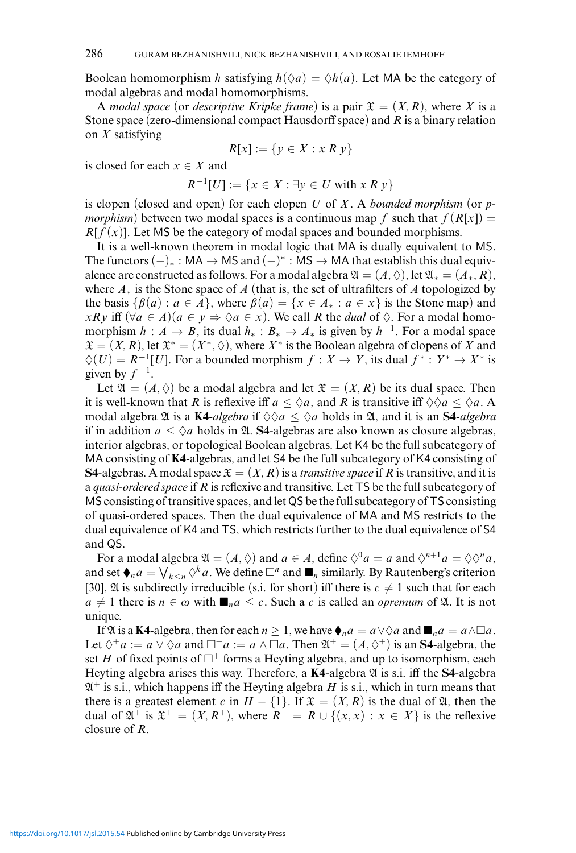Boolean homomorphism *h* satisfying  $h(\Diamond a) = \Diamond h(a)$ . Let MA be the category of modal algebras and modal homomorphisms.

A *modal space* (or *descriptive Kripke frame*) is a pair  $\mathfrak{X} = (X, R)$ , where X is a Stone space (zero-dimensional compact Hausdorff space) and *R* is a binary relation on *X* satisfying

$$
R[x] := \{ y \in X : x R y \}
$$

is closed for each  $x \in X$  and

$$
R^{-1}[U] := \{ x \in X : \exists y \in U \text{ with } x \mathrel{R} y \}
$$

is clopen (closed and open) for each clopen *U* of *X* . A *bounded morphism* (or *pmorphism*) between two modal spaces is a continuous map f such that  $f(R[x]) =$  $R[f(x)]$ . Let MS be the category of modal spaces and bounded morphisms.

It is a well-known theorem in modal logic that MA is dually equivalent to MS. The functors  $(-)_*$ : MA  $\rightarrow$  MS and  $(-)^*$ : MS  $\rightarrow$  MA that establish this dual equivalence are constructed as follows. For a modal algebra  $\mathfrak{A} = (A, \Diamond)$ , let  $\mathfrak{A}_* = (A_*, R)$ , where *A*<sup>∗</sup> is the Stone space of *A* (that is, the set of ultrafilters of *A* topologized by the basis  $\{\beta(a) : a \in A\}$ , where  $\beta(a) = \{x \in A_* : a \in x\}$  is the Stone map) and *xRy* iff  $(\forall a \in A)(a \in y \Rightarrow \Diamond a \in x)$ . We call *R* the *dual* of  $\Diamond$ . For a modal homomorphism  $h : A \to B$ , its dual  $h_* : B_* \to A_*$  is given by  $h^{-1}$ . For a modal space  $\mathfrak{X} = (X, R)$ , let  $\mathfrak{X}^* = (X^*, \Diamond)$ , where  $X^*$  is the Boolean algebra of clopens of X and  $\Diamond(U) = R^{-1}[U]$ . For a bounded morphism  $f : X \to Y$ , its dual  $f^* : Y^* \to X^*$  is given by  $f^{-1}$ .

Let  $\mathfrak{A} = (A, \Diamond)$  be a modal algebra and let  $\mathfrak{X} = (X, R)$  be its dual space. Then it is well-known that *R* is reflexive iff  $a \leq \Diamond a$ , and *R* is transitive iff  $\Diamond \Diamond a \leq \Diamond a$ . A modal algebra  $\mathfrak A$  is a **K4***-algebra* if  $\Diamond \Diamond a \leq \Diamond a$  holds in  $\mathfrak A$ , and it is an **S4***-algebra* if in addition  $a \leq \Diamond a$  holds in  $\mathfrak{A}$ . **S4**-algebras are also known as closure algebras, interior algebras, or topological Boolean algebras. Let K4 be the full subcategory of MA consisting of **K4**-algebras, and let S4 be the full subcategory of K4 consisting of **S4-**algebras. A modal space  $\mathfrak{X} = (X, R)$  is a *transitive space* if R is transitive, and it is a *quasi-ordered space* if *R* is reflexive and transitive. Let TS be the full subcategory of MS consisting of transitive spaces, and let QS be the full subcategory of TS consisting of quasi-ordered spaces. Then the dual equivalence of MA and MS restricts to the dual equivalence of K4 and TS, which restricts further to the dual equivalence of S4 and QS.

For a modal algebra  $\mathfrak{A} = (A, \Diamond)$  and  $a \in A$ , define  $\Diamond^0 a = a$  and  $\Diamond^{n+1} a = \Diamond \Diamond^n a$ , and set  $\oint_a a = \bigvee_{k \le n} \Diamond^k a$ . We define  $\Box^n$  and  $\blacksquare_n$  similarly. By Rautenberg's criterion [30],  $\mathfrak A$  is subdirectly irreducible (s.i. for short) iff there is  $c \neq 1$  such that for each  $a \neq 1$  there is  $n \in \omega$  with  $\mathbf{m}_n a \leq c$ . Such a *c* is called an *opremum* of  $\mathfrak{A}$ . It is not unique.

If  $\mathfrak A$  is a **K4**-algebra, then for each  $n \geq 1$ , we have  $\biglozenge_n a = a \vee \Diamond a$  and  $\blacksquare_n a = a \wedge \Box a$ . Let  $\Diamond^+ a := a \lor \Diamond a$  and  $\Box^+ a := a \land \Box a$ . Then  $\mathfrak{A}^+ = (A, \Diamond^+)$  is an **S4**-algebra, the set *H* of fixed points of  $\Box^+$  forms a Heyting algebra, and up to isomorphism, each Heyting algebra arises this way. Therefore, a **K4**-algebra  $\mathfrak A$  is s.i. iff the **S4**-algebra  $\mathfrak{A}^+$  is s.i., which happens iff the Heyting algebra *H* is s.i., which in turn means that there is a greatest element *c* in  $H - \{1\}$ . If  $\mathfrak{X} = (X, R)$  is the dual of  $\mathfrak{A}$ , then the dual of  $\mathfrak{A}^+$  is  $\mathfrak{X}^+ = (X, R^+)$ , where  $R^+ = R \cup \{(x, x) : x \in X\}$  is the reflexive closure of *R*.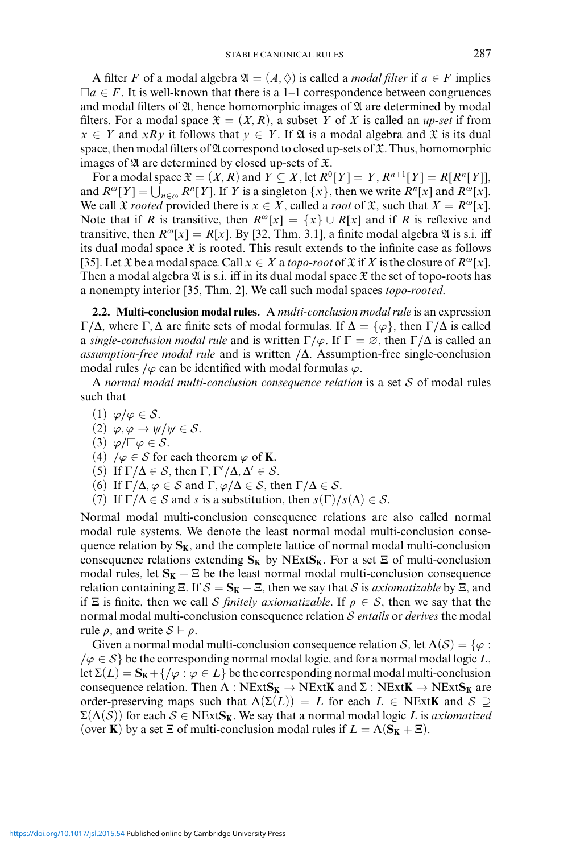A filter *F* of a modal algebra  $\mathfrak{A} = (A, \Diamond)$  is called a *modal filter* if  $a \in F$  implies  $\Box a \in F$ . It is well-known that there is a 1–1 correspondence between congruences and modal filters of  $\mathfrak A$ , hence homomorphic images of  $\mathfrak A$  are determined by modal filters. For a modal space  $\mathfrak{X} = (X, R)$ , a subset Y of X is called an *up-set* if from  $x \in Y$  and *xRy* it follows that  $y \in Y$ . If  $\mathfrak A$  is a modal algebra and  $\mathfrak X$  is its dual space, then modal filters of  $\mathfrak A$  correspond to closed up-sets of  $\mathfrak X$ . Thus, homomorphic images of  $\mathfrak A$  are determined by closed up-sets of  $\mathfrak X$ .

For a modal space  $\mathfrak{X} = (X, R)$  and  $Y \subseteq X$ , let  $R^0[Y] = Y$ ,  $R^{n+1}[Y] = R[R^n[Y]$ , and  $R^{\omega}[Y] = \bigcup_{n \in \omega} R^n[Y]$ . If *Y* is a singleton  $\{x\}$ , then we write  $R^n[x]$  and  $R^{\omega}[x]$ . We call  $\mathfrak X$  *rooted* provided there is  $x \in X$ , called a *root* of  $\mathfrak X$ , such that  $X = R^{\omega}[x]$ . Note that if *R* is transitive, then  $R^{\omega}[x] = \{x\} \cup R[x]$  and if *R* is reflexive and transitive, then  $R^{\omega}[x] = R[x]$ . By [32, Thm. 3.1], a finite modal algebra  $\mathfrak A$  is s.i. iff its dual modal space  $\mathfrak X$  is rooted. This result extends to the infinite case as follows [35]. Let  $\mathfrak X$  be a modal space. Call  $x \in X$  a *topo-root* of  $\mathfrak X$  if  $X$  is the closure of  $R^{\omega}[x]$ . Then a modal algebra  $\mathfrak A$  is s.i. iff in its dual modal space  $\mathfrak X$  the set of topo-roots has a nonempty interior [35, Thm. 2]. We call such modal spaces *topo-rooted*.

**2.2. Multi-conclusion modal rules.** A *multi-conclusion modal rule* is an expression Γ/Δ, where Γ, Δ are finite sets of modal formulas. If  $\Delta = {\varphi}$ , then Γ/Δ is called a *single-conclusion modal rule* and is written  $\Gamma/\varphi$ . If  $\Gamma = \varnothing$ , then  $\Gamma/\Delta$  is called an *assumption-free modal rule* and is written */*Δ. Assumption-free single-conclusion modal rules */ϕ* can be identified with modal formulas *ϕ*.

A *normal modal multi-conclusion consequence relation* is a set S of modal rules such that

- (1) *ϕ/ϕ* ∈ S.
- $(2) \varphi, \varphi \rightarrow \psi/\psi \in \mathcal{S}.$
- $(3)$   $\varphi/\Box\varphi \in \mathcal{S}.$
- (4)  $/\varphi \in S$  for each theorem  $\varphi$  of **K**.
- (5) If  $\Gamma/\Delta \in S$ , then  $\Gamma, \Gamma'/\Delta, \Delta' \in S$ .
- (6) If  $\Gamma/\Delta$ ,  $\varphi \in S$  and  $\Gamma$ ,  $\varphi/\Delta \in S$ , then  $\Gamma/\Delta \in S$ .
- (7) If  $\Gamma/\Delta \in S$  and *s* is a substitution, then  $s(\Gamma)/s(\Delta) \in S$ .

Normal modal multi-conclusion consequence relations are also called normal modal rule systems. We denote the least normal modal multi-conclusion consequence relation by  $S_K$ , and the complete lattice of normal modal multi-conclusion consequence relations extending  $S_K$  by NExt $S_K$ . For a set  $\Xi$  of multi-conclusion modal rules, let  $S_K + \Xi$  be the least normal modal multi-conclusion consequence relation containing  $\Xi$ . If  $S = S_K + \Xi$ , then we say that S is *axiomatizable* by  $\Xi$ , and if  $\Xi$  is finite, then we call S *finitely axiomatizable*. If  $\rho \in S$ , then we say that the normal modal multi-conclusion consequence relation S *entails* or *derives* the modal rule  $\rho$ , and write  $S \vdash \rho$ .

Given a normal modal multi-conclusion consequence relation S, let  $\Lambda(S) = \{\varphi : \varphi\}$  $\varphi \in S$  be the corresponding normal modal logic, and for a normal modal logic *L*, let  $\Sigma(L) = \mathbf{S_K} + \{ / \varphi : \varphi \in L \}$  be the corresponding normal modal multi-conclusion consequence relation. Then  $\Lambda$  :  $NExtS_K \to NExtK$  and  $\Sigma$  :  $NExtK \to NExtS_K$  are order-preserving maps such that  $\Lambda(\Sigma(L)) = L$  for each  $L \in \text{NExtK}$  and  $S \supseteq$  $\Sigma(\Lambda(\mathcal{S}))$  for each  $\mathcal{S} \in \text{NExtS}_{\mathbf{K}}$ . We say that a normal modal logic *L* is *axiomatized* (over **K**) by a set  $\Xi$  of multi-conclusion modal rules if  $L = \Lambda(S_K + \Xi)$ .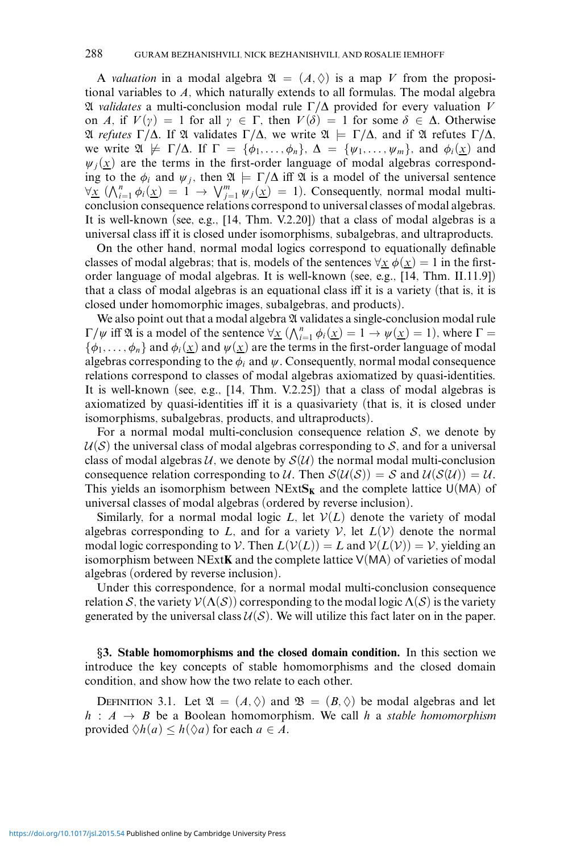A *valuation* in a modal algebra  $\mathfrak{A} = (A, \Diamond)$  is a map V from the propositional variables to *A*, which naturally extends to all formulas. The modal algebra A *validates* a multi-conclusion modal rule Γ*/*Δ provided for every valuation *V* on *A*, if  $V(y) = 1$  for all  $y \in \Gamma$ , then  $V(\delta) = 1$  for some  $\delta \in \Delta$ . Otherwise A *refutes* Γ*/*Δ. If A validates Γ*/*Δ, we write A |= Γ*/*Δ, and if A refutes Γ*/*Δ, we write  $\mathfrak{A} \not\models \Gamma/\Delta$ . If  $\Gamma = {\phi_1, \ldots, \phi_n}, \Delta = {\psi_1, \ldots, \psi_m},$  and  $\phi_i(\chi)$  and  $\psi_i(\underline{x})$  are the terms in the first-order language of modal algebras corresponding to the  $\phi_i$  and  $\psi_j$ , then  $\mathfrak{A} \models \Gamma/\Delta$  iff  $\mathfrak{A}$  is a model of the universal sentence  $\forall x \ (\bigwedge_{i=1}^n \phi_i(x) = 1 \rightarrow \bigvee_{j=1}^m \psi_j(x) = 1).$  Consequently, normal modal multiconclusion consequence relations correspond to universal classes of modal algebras. It is well-known (see, e.g., [14, Thm. V.2.20]) that a class of modal algebras is a universal class iff it is closed under isomorphisms, subalgebras, and ultraproducts.

On the other hand, normal modal logics correspond to equationally definable classes of modal algebras; that is, models of the sentences  $\forall x \phi(x) = 1$  in the firstorder language of modal algebras. It is well-known (see, e.g., [14, Thm. II.11.9]) that a class of modal algebras is an equational class iff it is a variety (that is, it is closed under homomorphic images, subalgebras, and products).

We also point out that a modal algebra  $\mathfrak A$  validates a single-conclusion modal rule  $Γ/ψ$  iff \mat is a model of the sentence  $\forall$ *x* ( $\bigwedge_{i=1}^{n} \phi_i(x) = 1$  →  $ψ(x) = 1$ ), where Γ =  $\{\phi_1,\ldots,\phi_n\}$  and  $\phi_i(\underline{x})$  and  $\psi(\underline{x})$  are the terms in the first-order language of modal algebras corresponding to the  $\phi_i$  and  $\psi$ . Consequently, normal modal consequence relations correspond to classes of modal algebras axiomatized by quasi-identities. It is well-known (see, e.g., [14, Thm. V.2.25]) that a class of modal algebras is axiomatized by quasi-identities iff it is a quasivariety (that is, it is closed under isomorphisms, subalgebras, products, and ultraproducts).

For a normal modal multi-conclusion consequence relation  $S$ , we denote by  $U(S)$  the universal class of modal algebras corresponding to S, and for a universal class of modal algebras U, we denote by  $\mathcal{S}(U)$  the normal modal multi-conclusion consequence relation corresponding to U. Then  $\mathcal{S}(\mathcal{U}(\mathcal{S})) = \mathcal{S}$  and  $\mathcal{U}(\mathcal{S}(\mathcal{U})) = \mathcal{U}$ . This yields an isomorphism between  $NExtS_K$  and the complete lattice  $U(MA)$  of universal classes of modal algebras (ordered by reverse inclusion).

Similarly, for a normal modal logic  $L$ , let  $V(L)$  denote the variety of modal algebras corresponding to *L*, and for a variety  $V$ , let  $L(V)$  denote the normal modal logic corresponding to V. Then  $L(V(L)) = L$  and  $V(L(V)) = V$ , yielding an isomorphism between NExt**K** and the complete lattice V(MA) of varieties of modal algebras (ordered by reverse inclusion).

Under this correspondence, for a normal modal multi-conclusion consequence relation S, the variety  $\mathcal{V}(\Lambda(\mathcal{S}))$  corresponding to the modal logic  $\Lambda(\mathcal{S})$  is the variety generated by the universal class  $U(S)$ . We will utilize this fact later on in the paper.

*§***3. Stable homomorphisms and the closed domain condition.** In this section we introduce the key concepts of stable homomorphisms and the closed domain condition, and show how the two relate to each other.

DEFINITION 3.1. Let  $\mathfrak{A} = (A, \Diamond)$  and  $\mathfrak{B} = (B, \Diamond)$  be modal algebras and let  $h : A \rightarrow B$  be a Boolean homomorphism. We call *h* a *stable homomorphism* provided  $\Diamond h(a) \leq h(\Diamond a)$  for each  $a \in A$ .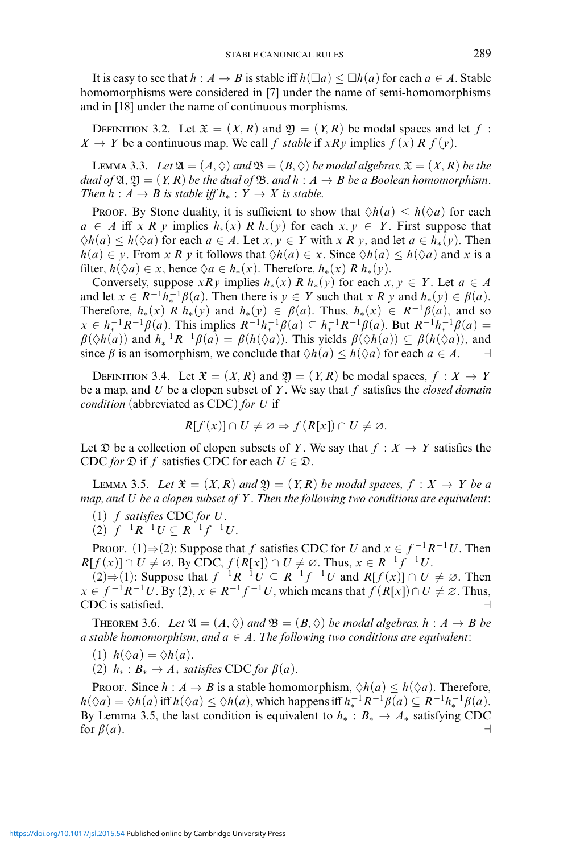It is easy to see that  $h : A \to B$  is stable iff  $h(\Box a) \le \Box h(a)$  for each  $a \in A$ . Stable homomorphisms were considered in [7] under the name of semi-homomorphisms and in [18] under the name of continuous morphisms.

DEFINITION 3.2. Let  $\mathfrak{X} = (X, R)$  and  $\mathfrak{Y} = (Y, R)$  be modal spaces and let  $f$ :  $X \to Y$  be a continuous map. We call *f stable* if *xRy* implies  $f(x) R f(y)$ .

LEMMA 3.3. *Let*  $\mathfrak{A} = (A, \Diamond)$  *and*  $\mathfrak{B} = (B, \Diamond)$  *be modal algebras,*  $\mathfrak{X} = (X, R)$  *be the dual of*  $\mathfrak{A}, \mathfrak{A} = (Y, R)$  *be the dual of*  $\mathfrak{B},$  *and*  $h : A \rightarrow B$  *be a Boolean homomorphism. Then*  $h: A \rightarrow B$  *is stable iff*  $h_*: Y \rightarrow X$  *is stable.* 

**PROOF.** By Stone duality, it is sufficient to show that  $\Diamond h(a) \leq h(\Diamond a)$  for each  $a \in A$  iff *xR y* implies  $h_*(x)$  *R*  $h_*(y)$  for each  $x, y \in Y$ . First suppose that  $\Diamond h(a) \leq h(\Diamond a)$  for each  $a \in A$ . Let  $x, y \in Y$  with  $x R y$ , and let  $a \in h_*(y)$ . Then  $h(a) \in y$ . From *xRy* it follows that  $\Diamond h(a) \in x$ . Since  $\Diamond h(a) \leq h(\Diamond a)$  and *x* is a filter,  $h(\Diamond a) \in x$ , hence  $\Diamond a \in h_*(x)$ . Therefore,  $h_*(x) \in R$ ,  $h_*(y)$ .

Conversely, suppose *xRy* implies  $h_*(x)$  *R*  $h_*(y)$  for each  $x, y \in Y$ . Let  $a \in A$ and let  $x \in R^{-1}h_*^{-1}\beta(a)$ . Then there is  $y \in Y$  such that  $x R y$  and  $h_*(y) \in \beta(a)$ . Therefore,  $h_*(x)$  *R*  $h_*(y)$  and  $h_*(y) \in \beta(a)$ . Thus,  $h_*(x) \in R^{-1}\beta(a)$ , and so  $x \in h_*^{-1}R^{-1}\beta(a)$ . This implies  $R^{-1}h_*^{-1}\beta(a) \subseteq h_*^{-1}R^{-1}\beta(a)$ . But  $R^{-1}h_*^{-1}\beta(a) =$  $\beta(\Diamond h(a))$  and  $h_*^{-1}R^{-1}\beta(a) = \beta(h(\Diamond a))$ . This yields  $\beta(\Diamond h(a)) \subseteq \beta(h(\Diamond a))$ , and since  $\beta$  is an isomorphism, we conclude that  $\Diamond h(a) \leq h(\Diamond a)$  for each  $a \in A$ .

DEFINITION 3.4. Let  $\mathfrak{X} = (X, R)$  and  $\mathfrak{Y} = (Y, R)$  be modal spaces,  $f : X \to Y$ be a map, and *U* be a clopen subset of *Y* . We say that *f* satisfies the *closed domain condition* (abbreviated as CDC) *for U* if

$$
R[f(x)] \cap U \neq \emptyset \Rightarrow f(R[x]) \cap U \neq \emptyset.
$$

Let  $\mathfrak D$  be a collection of clopen subsets of *Y*. We say that  $f : X \to Y$  satisfies the CDC *for*  $\mathfrak{D}$  if *f* satisfies CDC for each  $U \in \mathfrak{D}$ .

**LEMMA 3.5.** Let  $\mathfrak{X} = (X, R)$  and  $\mathfrak{Y} = (Y, R)$  be modal spaces,  $f : X \rightarrow Y$  be a *map, and U be a clopen subset of Y . Then the following two conditions are equivalent:*

(1) *f satisfies* CDC *for U.*

(2)  $f^{-1}R^{-1}U ⊆ R^{-1}f^{-1}U$ .

PROOF. (1) $\Rightarrow$  (2): Suppose that *f* satisfies CDC for *U* and  $x \in f^{-1}R^{-1}U$ . Then  $R[f(x)] \cap U \neq \emptyset$ . By CDC,  $f(R[x]) \cap U \neq \emptyset$ . Thus,  $x \in R^{-1}f^{-1}U$ .

(2)⇒(1): Suppose that  $f^{-1}R^{-1}U \subseteq R^{-1}f^{-1}U$  and  $R[f(x)] \cap U \neq \emptyset$ . Then  $x \in f^{-1}R^{-1}U$ . By (2),  $x \in R^{-1}f^{-1}U$ , which means that  $f(R[x]) \cap U \neq \emptyset$ . Thus, CDC is satisfied.

**THEOREM 3.6.** Let  $\mathfrak{A} = (A, \Diamond)$  and  $\mathfrak{B} = (B, \Diamond)$  be modal algebras,  $h : A \rightarrow B$  be *a* stable homomorphism, and  $a \in A$ . The following two conditions are equivalent:

- (1)  $h(\Diamond a) = \Diamond h(a)$ .
- (2)  $h_*$  :  $B_*$  →  $A_*$  *satisfies* CDC *for*  $\beta(a)$ *.*

**Proof.** Since  $h : A \to B$  is a stable homomorphism,  $\Diamond h(a) \leq h(\Diamond a)$ . Therefore,  $h(\Diamond a) = \Diamond h(a)$  iff  $h(\Diamond a) \le \Diamond h(a)$ , which happens iff  $h_*^{-1}R^{-1}\beta(a) \subseteq R^{-1}h_*^{-1}\beta(a)$ . By Lemma 3.5, the last condition is equivalent to  $h_* : B_* \to A_*$  satisfying CDC for  $\beta(a)$ . for  $\beta(a)$ .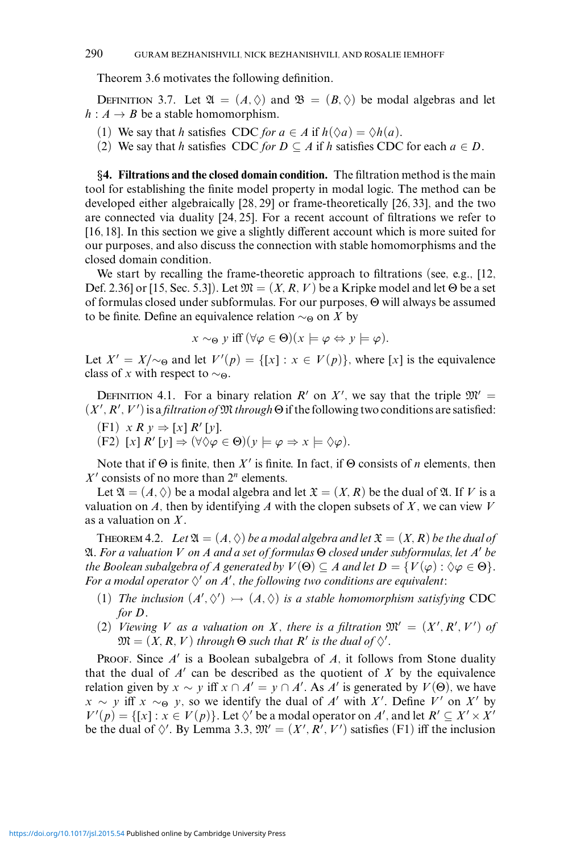Theorem 3.6 motivates the following definition.

DEFINITION 3.7. Let  $\mathfrak{A} = (A, \Diamond)$  and  $\mathfrak{B} = (B, \Diamond)$  be modal algebras and let  $h: A \rightarrow B$  be a stable homomorphism.

- (1) We say that *h* satisfies CDC *for*  $a \in A$  if  $h(\Diamond a) = \Diamond h(a)$ .
- (2) We say that *h* satisfies CDC *for*  $D \subseteq A$  if *h* satisfies CDC for each  $a \in D$ .

*§***4. Filtrations and the closed domain condition.** The filtration method is the main tool for establishing the finite model property in modal logic. The method can be developed either algebraically [28, 29] or frame-theoretically [26, 33], and the two are connected via duality [24, 25]. For a recent account of filtrations we refer to [16, 18]. In this section we give a slightly different account which is more suited for our purposes, and also discuss the connection with stable homomorphisms and the closed domain condition.

We start by recalling the frame-theoretic approach to filtrations (see, e.g., [12, Def. 2.36] or [15, Sec. 5.3]). Let  $\mathfrak{M} = (X, R, V)$  be a Kripke model and let  $\Theta$  be a set of formulas closed under subformulas. For our purposes, Θ will always be assumed to be finite. Define an equivalence relation ∼<sup>Θ</sup> on *X* by

$$
x \sim_{\Theta} y \text{ iff } (\forall \varphi \in \Theta)(x \models \varphi \Leftrightarrow y \models \varphi).
$$

Let  $X' = X/\sim_{\Theta}$  and let  $V'(p) = \{ [x] : x \in V(p) \}$ , where [x] is the equivalence class of *x* with respect to  $\sim_{\Theta}$ .

DEFINITION 4.1. For a binary relation  $R'$  on  $X'$ , we say that the triple  $\mathfrak{M}' =$  $(X', R', V')$  is a *filtration of*  $M$  *through*  $\Theta$  if the following two conditions are satisfied:

- $(F1)$  *x R y*  $\Rightarrow$   $[x]$  *R'*  $[y]$ .
- $(F2)$   $[x]$   $R'$   $[y] \Rightarrow (\forall \Diamond \varphi \in \Theta)(y \models \varphi \Rightarrow x \models \Diamond \varphi).$

Note that if Θ is finite, then *X* is finite. In fact, if Θ consists of *n* elements, then  $X'$  consists of no more than  $2^n$  elements.

Let  $\mathfrak{A} = (A, \Diamond)$  be a modal algebra and let  $\mathfrak{X} = (X, R)$  be the dual of  $\mathfrak{A}$ . If *V* is a valuation on  $A$ , then by identifying  $A$  with the clopen subsets of  $X$ , we can view  $V$ as a valuation on *X* .

THEOREM 4.2. Let  $\mathfrak{A} = (A, \Diamond)$  be a modal algebra and let  $\mathfrak{X} = (X, R)$  be the dual of A*. For a valuation V on A and a set of formulas* Θ *closed under subformulas, let A be the Boolean subalgebra of A generated by*  $V(\Theta) \subseteq A$  *and let*  $D = \{V(\varphi) : \Diamond \varphi \in \Theta\}.$ For a modal operator  $\diamond'$  on  $A'$ , the following two conditions are equivalent:

- (1) *The inclusion*  $(A', \Diamond') \rightarrow (A, \Diamond)$  *is a stable homomorphism satisfying* CDC *for D.*
- (2) *Viewing V* as a valuation on *X*, there is a filtration  $\mathfrak{M}' = (X', R', V')$  of  $\mathfrak{M} = (X, R, V)$  *through*  $\Theta$  *such that*  $R'$  *is the dual of*  $\Diamond'$ .

PROOF. Since *A'* is a Boolean subalgebra of *A*, it follows from Stone duality that the dual of  $A'$  can be described as the quotient of  $X$  by the equivalence relation given by  $x \sim y$  iff  $x \cap A' = y \cap A'$ . As  $A'$  is generated by  $V(\Theta)$ , we have  $x \sim y$  iff  $x \sim_{\Theta} y$ , so we identify the dual of *A'* with *X'*. Define *V'* on *X'* by  $V'(p) = \{ [x] : x \in V(p) \}$ . Let  $\Diamond'$  be a modal operator on *A'*, and let  $R' \subseteq X' \times X'$ be the dual of  $\Diamond'$ . By Lemma 3.3,  $\mathfrak{M}' = (X', R', V')$  satisfies (F1) iff the inclusion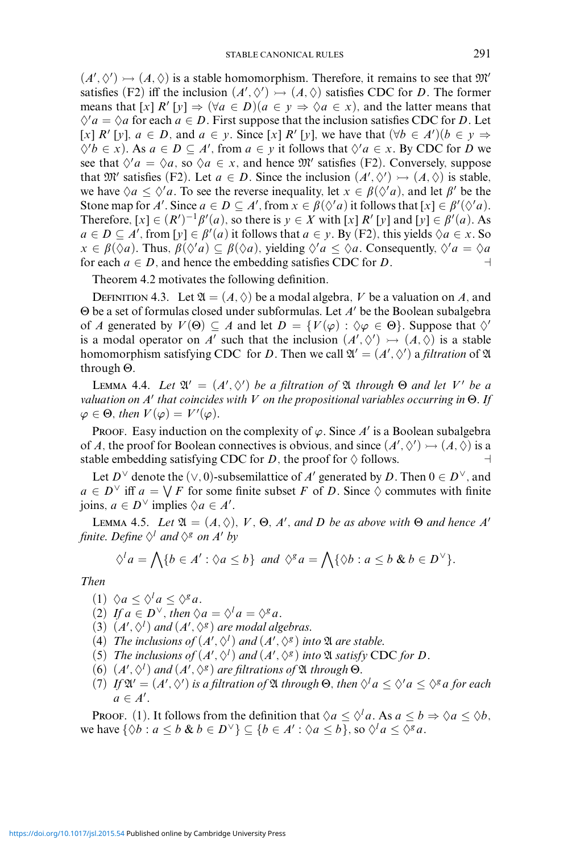$(A', \Diamond') \rightarrow (A, \Diamond)$  is a stable homomorphism. Therefore, it remains to see that  $\mathfrak{M}'$ satisfies (F2) iff the inclusion  $(A', \Diamond') \rightarrowtail (A, \Diamond)$  satisfies CDC for *D*. The former means that  $[x]$   $R'[y] \Rightarrow (\forall a \in D)(a \in y \Rightarrow \Diamond a \in x)$ , and the latter means that  $\Diamond$ ' *a* =  $\Diamond$ *a* for each *a*  $\in$  *D*. First suppose that the inclusion satisfies CDC for *D*. Let  $[x]$  *R'*  $[y]$ ,  $a \in D$ , and  $a \in y$ . Since  $[x]$  *R'*  $[y]$ , we have that  $(\forall b \in A')(b \in y \Rightarrow$  $\diamondsuit$ '*b* ∈ *x*). As *a* ∈ *D* ⊆ *A*', from *a* ∈ *y* it follows that  $\diamondsuit$ '*a* ∈ *x*. By CDC for *D* we see that  $\Diamond^{\prime} a = \Diamond a$ , so  $\Diamond a \in x$ , and hence  $\mathfrak{M}'$  satisfies (F2). Conversely, suppose that  $\mathfrak{M}'$  satisfies (F2). Let  $a \in D$ . Since the inclusion  $(A', \Diamond') \rightarrow (A, \Diamond)$  is stable, we have  $\Diamond a \leq \Diamond' a$ . To see the reverse inequality, let  $x \in \beta(\Diamond' a)$ , and let  $\beta'$  be the Stone map for *A'*. Since  $a \in D \subseteq A'$ , from  $x \in \beta(\Diamond'a)$  it follows that  $[x] \in \beta'(\Diamond'a)$ . Therefore,  $[x] \in (R')^{-1}\beta'(a)$ , so there is  $y \in X$  with  $[x] R'[y]$  and  $[y] \in \beta'(a)$ . As *a* ∈ *D* ⊆ *A*', from [*y*] ∈  $\beta'(a)$  it follows that *a* ∈ *y*. By (F2), this yields  $\Diamond a \in x$ . So  $x \in \beta(\Diamond a)$ . Thus,  $\beta(\Diamond'a) \subseteq \beta(\Diamond a)$ , yielding  $\Diamond'a \leq \Diamond a$ . Consequently,  $\Diamond'a = \Diamond a$ for each  $a \in D$ , and hence the embedding satisfies CDC for *D*.

Theorem 4.2 motivates the following definition.

DEFINITION 4.3. Let  $\mathfrak{A} = (A, \Diamond)$  be a modal algebra, V be a valuation on A, and Θ be a set of formulas closed under subformulas. Let *A'* be the Boolean subalgebra of *A* generated by  $V(\Theta) \subseteq A$  and let  $D = \{V(\varphi) : \Diamond \varphi \in \Theta\}$ . Suppose that  $\Diamond'$ is a modal operator on *A'* such that the inclusion  $(A', \Diamond') \rightarrow (A, \Diamond)$  is a stable homomorphism satisfying CDC for *D*. Then we call  $\mathfrak{A}' = (A', \Diamond')$  a *filtration* of  $\mathfrak A$ through Θ.

**LEMMA 4.4.** *Let*  $\mathfrak{A}' = (A', \Diamond')$  *be a filtration of*  $\mathfrak{A}$  *through*  $\Theta$  *and let*  $V'$  *be a valuation on A that coincides with V on the propositional variables occurring in* Θ*. If*  $\varphi \in \Theta$ , then  $V(\varphi) = V'(\varphi)$ .

PROOF. Easy induction on the complexity of  $\varphi$ . Since A' is a Boolean subalgebra of *A*, the proof for Boolean connectives is obvious, and since  $(A', \Diamond') \rightarrowtail (A, \Diamond)$  is a stable embedding satisfying CDC for *D*, the proof for  $\Diamond$  follows.

Let *D*<sup> $\vee$ </sup> denote the ( $\vee$ , 0)-subsemilattice of *A'* generated by *D*. Then  $0 \in D^{\vee}$ , and  $a \in D^{\vee}$  iff  $a = \bigvee F$  for some finite subset *F* of *D*. Since  $\diamond$  commutes with finite joins,  $a \in D^{\vee}$  implies  $\Diamond a \in A'$ .

**LEMMA 4.5.** *Let*  $\mathfrak{A} = (A, \Diamond), V, \Theta, A'$ , and D be as above with  $\Theta$  and hence A' *finite. Define*  $\Diamond^l$  *and*  $\Diamond^g$  *on A' by* 

$$
\Diamond^l a = \bigwedge \{b \in A' : \Diamond a \leq b\} \text{ and } \Diamond^g a = \bigwedge \{ \Diamond b : a \leq b \& b \in D^\vee\}.
$$

*Then*

(1)  $\Diamond a \leq \Diamond^l a \leq \Diamond^g a$ .

(2) If 
$$
a \in D^{\vee}
$$
, then  $\Diamond a = \Diamond^{\dagger} a = \Diamond^{\dagger} a$ .

- (3)  $(A', \Diamond^l)$  *and*  $(A', \Diamond^g)$  *are modal algebras.*
- (4) *The inclusions of*  $(A', \Diamond^l)$  *and*  $(A', \Diamond^g)$  *into*  $\mathfrak A$  *are stable.*
- (5) *The inclusions of*  $(A', \Diamond^l)$  *and*  $(A', \Diamond^g)$  *into*  $\mathfrak A$  *satisfy* CDC *for D*.
- $(6)$   $(A', \Diamond^l)$  *and*  $(A', \Diamond^g)$  *are filtrations of*  $\mathfrak A$  *through*  $\Theta$ *.*
- (7) *If*  $\mathfrak{A}' = (A', \Diamond')$  *is a filtration of*  $\mathfrak A$  *through*  $\Theta$ *, then*  $\Diamond^l a \leq \Diamond^l a \leq \Diamond^s a$  *for each*  $a \in A'$ .

**Proof.** (1). It follows from the definition that  $\Diamond a \leq \Diamond^l a$ . As  $a \leq b \Rightarrow \Diamond a \leq \Diamond b$ , we have  $\{\Diamond b : a \le b \& b \in D^{\vee}\}\subseteq \{b \in A': \Diamond a \le b\}$ , so  $\Diamond^l a \le \Diamond^g a$ .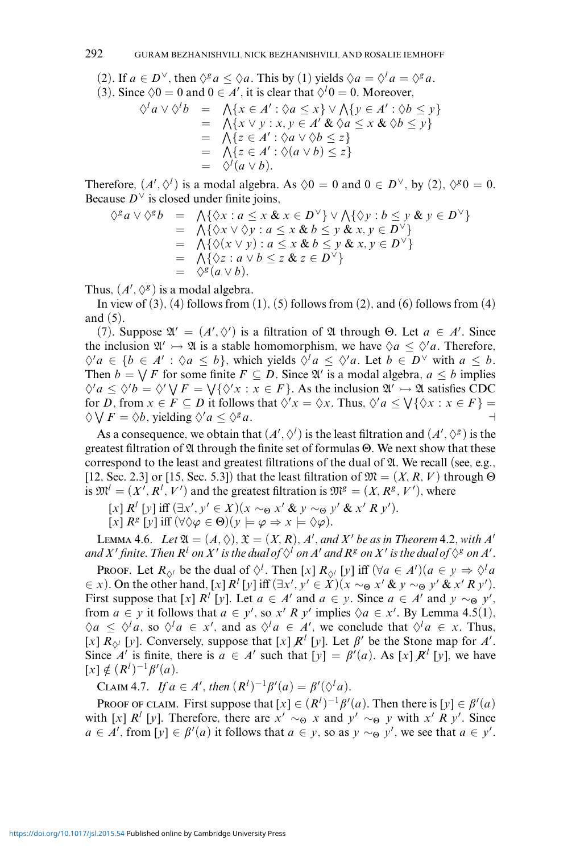(2). If  $a \in D^{\vee}$ , then  $\Diamond^g a \leq \Diamond a$ . This by (1) yields  $\Diamond a = \Diamond^l a = \Diamond^g a$ . (3). Since  $\Diamond 0 = 0$  and  $0 \in A'$ , it is clear that  $\Diamond^l 0 = 0$ . Moreover,  $\Diamond^l a \vee \Diamond^l b = \bigwedge \{x \in A' : \Diamond a \leq x\} \vee \bigwedge \{y \in A' : \Diamond b \leq y\}$  $= \bigwedge \{x \vee y : x, y \in A' \& \Diamond a \leq x \& \Diamond b \leq y\}$  $= \Lambda\{z \in A': \Diamond a \vee \Diamond b \leq z\}$ 

$$
= \bigwedge \{z \in A': \Diamond(a \vee b) \leq z\}
$$
  
=  $\Diamond^l(a \vee b)$ .

Therefore,  $(A', \Diamond')$  is a modal algebra. As  $\Diamond 0 = 0$  and  $0 \in D^{\vee}$ , by (2),  $\Diamond^g 0 = 0$ . Because  $D^{\vee}$  is closed under finite joins,

$$
\begin{array}{rcl}\n\Diamond^g a \lor \Diamond^g b & = & \bigwedge \{\Diamond x : a \le x \& x \in D^\vee\} \lor \bigwedge \{\Diamond y : b \le y \& y \in D^\vee\} \\
& = & \bigwedge \{\Diamond x \lor \Diamond y : a \le x \& b \le y \& x, y \in D^\vee\} \\
& = & \bigwedge \{\Diamond (x \lor y) : a \le x \& b \le y \& x, y \in D^\vee\} \\
& = & \bigwedge \{\Diamond z : a \lor b \le z \& z \in D^\vee\} \\
& = & \bigwedge^g (a \lor b).\n\end{array}
$$

Thus,  $(A', \Diamond^g)$  is a modal algebra.

In view of  $(3)$ ,  $(4)$  follows from  $(1)$ ,  $(5)$  follows from  $(2)$ , and  $(6)$  follows from  $(4)$ and (5).

(7). Suppose  $\mathfrak{A}' = (A', \Diamond')$  is a filtration of  $\mathfrak A$  through  $\Theta$ . Let  $a \in A'$ . Since the inclusion  $\mathfrak{A}' \rightarrow \mathfrak{A}$  is a stable homomorphism, we have  $\Diamond a \leq \Diamond' a$ . Therefore,  $\Diamond$ '*a*  $\in$  {*b*  $\in$  *A'* :  $\Diamond$ *a*  $\leq$  *b*}, which yields  $\Diamond$ <sup>*l*</sup>*a*  $\leq$   $\Diamond$ '*a*. Let *b*  $\in$  *D*<sup>V</sup> with *a*  $\leq$  *b*. Then  $b = \bigvee F$  for some finite  $F \subseteq D$ . Since  $\mathfrak{A}'$  is a modal algebra,  $a \leq b$  implies  $\Diamond' a \leq \Diamond' b = \Diamond' \bigvee F = \bigvee \{ \Diamond' x : x \in F \}.$  As the inclusion  $\mathfrak{A}' \rightarrowtail \mathfrak{A}$  satisfies CDC for *D*, from  $x \in F \subseteq D$  it follows that  $\Diamond' x = \Diamond x$ . Thus,  $\Diamond' a \leq \bigvee \{ \Diamond x : x \in F \}$  $\Diamond \bigvee F = \Diamond b$ , yielding  $\Diamond^{\prime} a \leq \Diamond^{\circ} a$ .

As a consequence, we obtain that  $(A', \Diamond')$  is the least filtration and  $(A', \Diamond^g)$  is the greatest filtration of  $\mathfrak A$  through the finite set of formulas  $\Theta$ . We next show that these correspond to the least and greatest filtrations of the dual of  $\mathfrak{A}$ . We recall (see, e.g., [12, Sec. 2.3] or [15, Sec. 5.3]) that the least filtration of  $\mathfrak{M} = (X, R, V)$  through  $\Theta$ is  $\mathfrak{M}^l = (X', R^l, V')$  and the greatest filtration is  $\mathfrak{M}^g = (X, R^g, V')$ , where

 $[x]$   $R^l$   $[y]$  iff  $(\exists x', y' \in X)(x \sim_\Theta x' \& y \sim_\Theta y' \& x' \in X)$ .

 $[x]$   $R^g$   $[y]$  iff  $(\forall \Diamond \varphi \in \Theta)(y \models \varphi \Rightarrow x \models \Diamond \varphi).$ 

LEMMA 4.6. *Let*  $\mathfrak{A} = (A, \Diamond), \mathfrak{X} = (X, R), A',$  and  $X'$  be as in Theorem 4.2, with  $A'$ and  $X'$  finite. Then  $R^l$  on  $X'$  is the dual of  $\diamondsuit^l$  on  $A'$  and  $R^g$  on  $X'$  is the dual of  $\diamondsuit^g$  on  $A'.$ 

Proof. Let  $R_{\Diamond^l}$  be the dual of  $\Diamond^l$ . Then [*x*]  $R_{\Diamond^l}$  [*y*] iff  $(\forall a \in A')(a \in y \Rightarrow \Diamond^l a$  $\in$  *x*). On the other hand,  $[x]$   $R^l$   $[y]$  iff  $(\exists x', y' \in X)(x \sim_\Theta x' \& y \sim_\Theta y' \& x' R y')$ . First suppose that  $[x]$   $R^l$   $[y]$ . Let  $a \in A'$  and  $a \in y$ . Since  $a \in A'$  and  $y \sim_{\Theta} y'$ , from  $a \in y$  it follows that  $a \in y'$ , so  $x' R y'$  implies  $\Diamond a \in x'$ . By Lemma 4.5(1),  $\Diamond a \leq \Diamond^l a$ , so  $\Diamond^l a \in x'$ , and as  $\Diamond^l a \in A'$ , we conclude that  $\Diamond^l a \in x$ . Thus, [*x*]  $R_{\diamond}$  [*y*]. Conversely, suppose that [*x*]  $R^l$  [*y*]. Let  $\beta'$  be the Stone map for *A'*. Since *A'* is finite, there is  $a \in A'$  such that  $[y] = \beta'(a)$ . As  $[x]R^{i}[y]$ , we have [*x*] ∉  $(R<sup>l</sup>)<sup>-1</sup>β<sup>'</sup>(a)$ .

CLAIM 4.7. *If a* ∈ *A'*, *then*  $(R<sup>l</sup>)<sup>-1</sup>β<sup>'</sup>(a) = β<sup>'</sup>(\Diamond<sup>l</sup>a)$ *.* 

PROOF OF CLAIM. First suppose that  $[x] \in (R^l)^{-1} \beta'(a)$ . Then there is  $[y] \in \beta'(a)$ with [*x*]  $R^l$  [*y*]. Therefore, there are  $x' \sim_\Theta x$  and  $y' \sim_\Theta y$  with  $x' R y'$ . Since  $a \in A'$ , from [*y*]  $\in \beta'(a)$  it follows that  $a \in y$ , so as  $y \sim_{\Theta} y'$ , we see that  $a \in y'$ .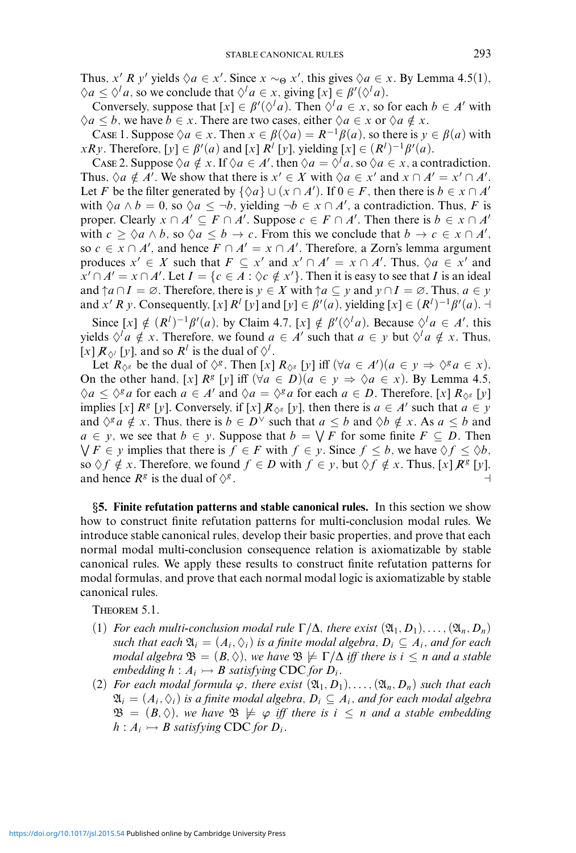Thus, *x' R y'* yields  $\Diamond a \in x'$ . Since  $x \sim_{\Theta} x'$ , this gives  $\Diamond a \in x$ . By Lemma 4.5(1),  $\Diamond a \leq \Diamond^l a$ , so we conclude that  $\Diamond^l a \in x$ , giving  $[x] \in \beta'(\Diamond^l a)$ .

Conversely, suppose that  $[x] \in \beta'(\Diamond^l a)$ . Then  $\Diamond^l a \in x$ , so for each  $b \in A'$  with  $\Diamond a \leq b$ , we have  $b \in x$ . There are two cases, either  $\Diamond a \in x$  or  $\Diamond a \notin x$ .

Case 1. Suppose  $\Diamond a \in x$ . Then  $x \in \beta(\Diamond a) = R^{-1}\beta(a)$ , so there is  $y \in \beta(a)$  with *xRy*. Therefore,  $[y] \in \beta'(a)$  and  $[x]$  *R*<sup>*l*</sup>  $[y]$ , yielding  $[x] \in (R^l)^{-1}\beta'(a)$ .

Case 2. Suppose  $\Diamond a \notin x$ . If  $\Diamond a \in A'$ , then  $\Diamond a = \Diamond^{\dagger} a$ , so  $\Diamond a \in x$ , a contradiction. Thus,  $\Diamond a \notin A'$ . We show that there is  $x' \in X$  with  $\Diamond a \in x'$  and  $x \cap A' = x' \cap A'$ . Let *F* be the filter generated by  $\{\Diamond a\} \cup (x \cap A')$ . If  $0 \in F$ , then there is  $b \in x \cap A'$ with  $\Diamond a \land b = 0$ , so  $\Diamond a \leq \neg b$ , yielding  $\neg b \in x \cap A'$ , a contradiction. Thus, *F* is proper. Clearly  $x \cap A' \subseteq F \cap A'$ . Suppose  $c \in F \cap A'$ . Then there is  $b \in x \cap A'$ with  $c \geq \Diamond a \land b$ , so  $\Diamond a \leq b \to c$ . From this we conclude that  $b \to c \in x \cap A'$ , so  $c \in x \cap A'$ , and hence  $F \cap A' = x \cap A'$ . Therefore, a Zorn's lemma argument produces  $x' \in X$  such that  $F \subseteq x'$  and  $x' \cap A' = x \cap A'$ . Thus,  $\Diamond a \in x'$  and  $x' \cap A' = x \cap A'$ . Let  $I = \{c \in A : \Diamond c \notin x'\}$ . Then it is easy to see that *I* is an ideal and  $\uparrow a \cap I = \emptyset$ . Therefore, there is  $y \in X$  with  $\uparrow a \subseteq y$  and  $y \cap I = \emptyset$ . Thus,  $a \in y$ and *x' R y*. Consequently, [*x*]  $R^l$  [*y*] and [*y*]  $\in \beta'(a)$ , yielding [*x*]  $\in (R^l)^{-1}\beta'(a)$ . ⊣

Since  $[x] \notin (R^l)^{-1}\beta'(a)$ , by Claim 4.7,  $[x] \notin \beta'(\Diamond^l a)$ . Because  $\Diamond^l a \in A'$ , this yields  $\Diamond^l a \notin x$ . Therefore, we found  $a \in A'$  such that  $a \in y$  but  $\Diamond^l a \notin x$ . Thus,  $[x]$   $\mathcal{R}_{\diamondsuit^l}$  [*y*], and so  $\mathcal{R}^l$  is the dual of  $\diamondsuit^l$ .

Let  $R_{\Diamond^g}$  be the dual of  $\Diamond^g$ . Then [*x*]  $R_{\Diamond^g}$  [*y*] iff  $(\forall a \in A') (a \in y \Rightarrow \Diamond^g a \in x)$ . On the other hand,  $[x]$   $R^g$   $[y]$  iff  $(\forall a \in D)(a \in y \Rightarrow \Diamond a \in x)$ . By Lemma 4.5,  $\Diamond a \leq \Diamond^g a$  for each  $a \in A'$  and  $\Diamond a = \Diamond^g a$  for each  $a \in D$ . Therefore, [*x*]  $R_{\Diamond^g}$  [*y*] implies  $[x]$  *R*<sup>*g*</sup> [*y*]. Conversely, if  $[x]$  *R*<sub> $\Diamond$ *g*</sub> [*y*], then there is  $a \in A'$  such that  $a \in y$ and  $\Diamond^g a \notin x$ . Thus, there is  $b \in D^{\vee}$  such that  $a \leq b$  and  $\Diamond b \notin x$ . As  $a \leq b$  and *a* ∈ *y*, we see that *b* ∈ *y*. Suppose that *b* =  $\sqrt{F}$  for some finite  $F \subseteq D$ . Then  $\bigvee F \in y$  implies that there is  $f \in F$  with  $f \in y$ . Since  $f \leq b$ , we have  $\Diamond f \leq \Diamond b$ , so  $\Diamond f \notin x$ . Therefore, we found  $f \in D$  with  $f \in y$ , but  $\Diamond f \notin x$ . Thus,  $[x] \mathbb{R}^g [y]$ , and hence  $R^g$  is the dual of  $\Diamond^g$ .

*§***5. Finite refutation patterns and stable canonical rules.** In this section we show how to construct finite refutation patterns for multi-conclusion modal rules. We introduce stable canonical rules, develop their basic properties, and prove that each normal modal multi-conclusion consequence relation is axiomatizable by stable canonical rules. We apply these results to construct finite refutation patterns for modal formulas, and prove that each normal modal logic is axiomatizable by stable canonical rules.

Theorem 5.1.

- (1) *For each multi-conclusion modal rule*  $\Gamma/\Delta$ *, there exist*  $(\mathfrak{A}_1, D_1), \ldots, (\mathfrak{A}_n, D_n)$ *such that each*  $\mathfrak{A}_i = (A_i, \Diamond_i)$  *is a finite modal algebra,*  $D_i \subseteq A_i$ *, and for each modal algebra*  $\mathfrak{B} = (B, \Diamond)$ *, we have*  $\mathfrak{B} \not\models \Gamma/\Delta$  *iff there is*  $i \leq n$  *and a stable embedding*  $h : A_i \rightarrow B$  *satisfying* CDC *for*  $D_i$ *.*
- (2) *For each modal formula*  $\varphi$ *, there exist*  $(\mathfrak{A}_1, D_1), \ldots, (\mathfrak{A}_n, D_n)$  *such that each*  $\mathfrak{A}_i = (A_i, \Diamond_i)$  *is a finite modal algebra,*  $D_i \subseteq A_i$ *, and for each modal algebra*  $\mathfrak{B} = (B, \Diamond)$ , we have  $\mathfrak{B} \not\models \varphi$  *iff there is*  $i \leq n$  *and a stable embedding*  $h: A_i \rightarrow B$  *satisfying* CDC *for*  $D_i$ *.*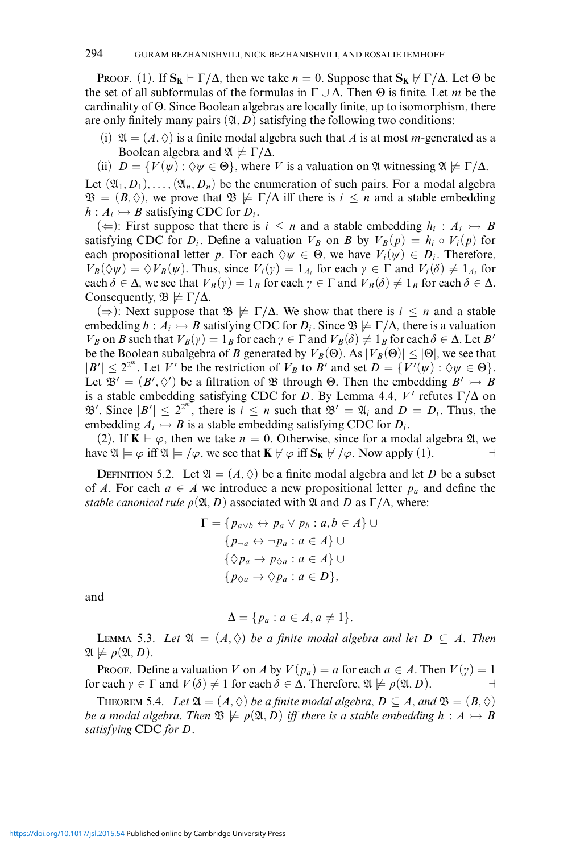PROOF. (1). If  $S_K \vdash \Gamma/\Delta$ , then we take  $n = 0$ . Suppose that  $S_K \not\vdash \Gamma/\Delta$ . Let  $\Theta$  be the set of all subformulas of the formulas in Γ ∪ Δ. Then Θ is finite. Let *m* be the cardinality of Θ. Since Boolean algebras are locally finite, up to isomorphism, there are only finitely many pairs  $(\mathfrak{A}, D)$  satisfying the following two conditions:

- (i)  $\mathfrak{A} = (A, \Diamond)$  is a finite modal algebra such that A is at most m-generated as a Boolean algebra and  $\mathfrak{A} \not\models \Gamma/\Delta$ .
- (ii)  $D = \{V(\psi): \Diamond \psi \in \Theta\}$ , where *V* is a valuation on  $\mathfrak A$  witnessing  $\mathfrak A \not\models \Gamma/\Delta$ .

Let  $(\mathfrak{A}_1, D_1), \ldots, (\mathfrak{A}_n, D_n)$  be the enumeration of such pairs. For a modal algebra  $\mathfrak{B} = (B, \Diamond)$ , we prove that  $\mathfrak{B} \not\models \Gamma/\Delta$  iff there is  $i \leq n$  and a stable embedding  $h: A_i \rightarrow B$  satisfying CDC for  $D_i$ .

(←): First suppose that there is  $i \leq n$  and a stable embedding  $h_i : A_i \rightarrow B$ satisfying CDC for  $D_i$ . Define a valuation  $V_B$  on *B* by  $V_B(p) = h_i \circ V_i(p)$  for each propositional letter *p*. For each  $\Diamond \psi \in \Theta$ , we have  $V_i(\psi) \in D_i$ . Therefore,  $V_B(\Diamond \psi) = \Diamond V_B(\psi)$ . Thus, since  $V_i(\gamma) = 1_{A_i}$  for each  $\gamma \in \Gamma$  and  $V_i(\delta) \neq 1_{A_i}$  for each  $\delta \in \Delta$ , we see that  $V_B(\gamma) = 1_B$  for each  $\gamma \in \Gamma$  and  $V_B(\delta) \neq 1_B$  for each  $\delta \in \Delta$ . Consequently,  $\mathfrak{B} \not\models \Gamma/\Delta$ .

( $\Rightarrow$ ): Next suppose that  $\mathfrak{B} \not\models \Gamma/\Delta$ . We show that there is *i* ≤ *n* and a stable embedding  $h : A_i \rightarrow B$  satisfying CDC for  $D_i$ . Since  $\mathfrak{B} \not\models \Gamma/\Delta$ , there is a valuation *V<sub>B</sub>* on *B* such that  $V_B(y) = 1_B$  for each  $y \in \Gamma$  and  $V_B(\delta) \neq 1_B$  for each  $\delta \in \Delta$ . Let *B'* be the Boolean subalgebra of *B* generated by  $V_B(\Theta)$ . As  $|V_B(\Theta)| \leq |\Theta|$ , we see that  $|B'| \le 2^{2^m}$ . Let *V'* be the restriction of *V<sub>B</sub>* to *B'* and set  $D = \{V'(\psi) : \Diamond \psi \in \Theta\}.$ Let  $\mathfrak{B}' = (B', \Diamond')$  be a filtration of  $\mathfrak{B}$  through  $\Theta$ . Then the embedding  $B' \rightarrow B$ is a stable embedding satisfying CDC for *D*. By Lemma 4.4,  $V'$  refutes  $\Gamma/\Delta$  on  $\mathfrak{B}'$ . Since  $|B'| \leq 2^{2^{m}}$ , there is  $i \leq n$  such that  $\mathfrak{B}' = \mathfrak{A}_i$  and  $D = D_i$ . Thus, the embedding  $A_i \rightarrow B$  is a stable embedding satisfying CDC for  $D_i$ .

(2). If  $\mathbf{K} \vdash \varphi$ , then we take  $n = 0$ . Otherwise, since for a modal algebra  $\mathfrak{A}$ , we have  $\mathfrak{A} \models \varphi$  iff  $\mathfrak{A} \models / \varphi$ , we see that  $\mathbf{K} \not\vdash \varphi$  iff  $\mathbf{S}_{\mathbf{K}} \not\vdash / \varphi$ . Now apply (1).

DEFINITION 5.2. Let  $\mathfrak{A} = (A, \Diamond)$  be a finite modal algebra and let D be a subset of *A*. For each  $a \in A$  we introduce a new propositional letter  $p_a$  and define the *stable canonical rule*  $\rho(\mathfrak{A}, D)$  associated with  $\mathfrak{A}$  and  $D$  as  $\Gamma/\Delta$ , where:

$$
\Gamma = \{ p_{a \lor b} \leftrightarrow p_a \lor p_b : a, b \in A \} \cup
$$
  
\n
$$
\{ p_{\neg a} \leftrightarrow \neg p_a : a \in A \} \cup
$$
  
\n
$$
\{ \Diamond p_a \rightarrow p_{\Diamond a} : a \in A \} \cup
$$
  
\n
$$
\{ p_{\Diamond a} \rightarrow \Diamond p_a : a \in D \},
$$

and

$$
\Delta = \{p_a : a \in A, a \neq 1\}.
$$

**LEMMA 5.3.** Let  $\mathfrak{A} = (A, \Diamond)$  be a finite modal algebra and let  $D \subseteq A$ . Then  $\mathfrak{A} \not\models \rho(\mathfrak{A}, D)$ .

**Proof.** Define a valuation *V* on *A* by  $V(p_a) = a$  for each  $a \in A$ . Then  $V(\gamma) = 1$ for each  $\gamma \in \Gamma$  and  $V(\delta) \neq 1$  for each  $\delta \in \Delta$ . Therefore,  $\mathfrak{A} \not\models \rho(\mathfrak{A}, D)$ .

**THEOREM 5.4.** *Let*  $\mathfrak{A} = (A, \Diamond)$  *be a finite modal algebra,*  $D \subseteq A$ *, and*  $\mathfrak{B} = (B, \Diamond)$ *be a modal algebra. Then*  $\mathfrak{B} \not\models \rho(\mathfrak{A}, D)$  *iff there is a stable embedding*  $h : A \rightarrow B$ *satisfying* CDC *for D.*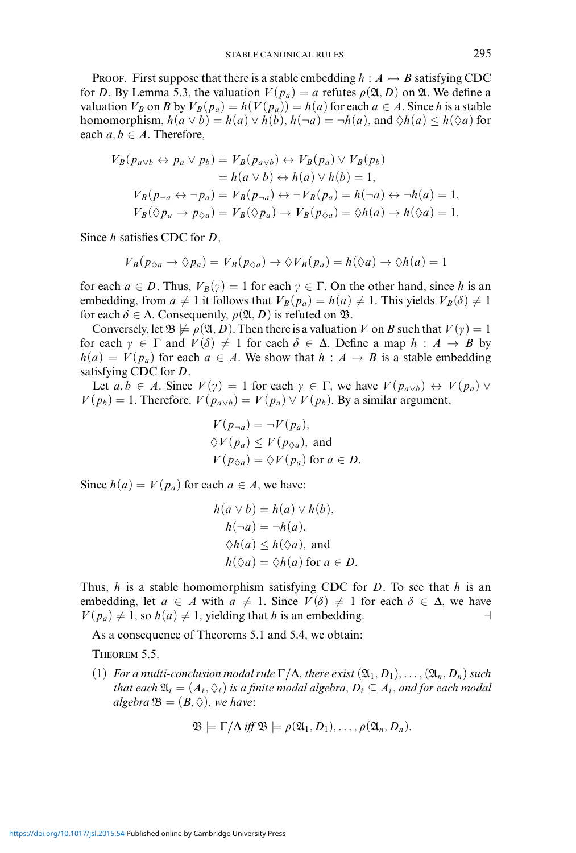Proof. First suppose that there is a stable embedding  $h : A \rightarrow B$  satisfying CDC for *D*. By Lemma 5.3, the valuation  $V(p_a) = a$  refutes  $\rho(\mathfrak{A}, D)$  on  $\mathfrak{A}$ . We define a valuation  $V_B$  on *B* by  $V_B(p_a) = h(V(p_a)) = h(a)$  for each  $a \in A$ . Since *h* is a stable homomorphism,  $h(a \lor b) = h(a) \lor h(b)$ ,  $h(\neg a) = \neg h(a)$ , and  $\Diamond h(a) \leq h(\Diamond a)$  for each  $a, b \in A$ . Therefore,

$$
V_B(p_{a\vee b} \leftrightarrow p_a \vee p_b) = V_B(p_{a\vee b}) \leftrightarrow V_B(p_a) \vee V_B(p_b)
$$
  
=  $h(a \vee b) \leftrightarrow h(a) \vee h(b) = 1$ ,  

$$
V_B(p_{\neg a} \leftrightarrow \neg p_a) = V_B(p_{\neg a}) \leftrightarrow \neg V_B(p_a) = h(\neg a) \leftrightarrow \neg h(a) = 1,
$$
  

$$
V_B(\Diamond p_a \to p_{\Diamond a}) = V_B(\Diamond p_a) \to V_B(p_{\Diamond a}) = \Diamond h(a) \to h(\Diamond a) = 1.
$$

Since *h* satisfies CDC for *D*,

$$
V_B(p_{\Diamond a} \to \Diamond p_a) = V_B(p_{\Diamond a}) \to \Diamond V_B(p_a) = h(\Diamond a) \to \Diamond h(a) = 1
$$

for each  $a \in D$ . Thus,  $V_B(\gamma) = 1$  for each  $\gamma \in \Gamma$ . On the other hand, since h is an embedding, from  $a \neq 1$  it follows that  $V_B(p_a) = h(a) \neq 1$ . This yields  $V_B(\delta) \neq 1$ for each  $\delta \in \Delta$ . Consequently,  $\rho(\mathfrak{A}, D)$  is refuted on  $\mathfrak{B}$ .

Conversely, let  $\mathfrak{B} \not\models \rho(\mathfrak{A}, D)$ . Then there is a valuation *V* on *B* such that  $V(\gamma) = 1$ for each  $\gamma \in \Gamma$  and  $V(\delta) \neq 1$  for each  $\delta \in \Delta$ . Define a map  $h : A \to B$  by  $h(a) = V(p_a)$  for each  $a \in A$ . We show that  $h : A \rightarrow B$  is a stable embedding satisfying CDC for *D*.

Let  $a, b \in A$ . Since  $V(\gamma) = 1$  for each  $\gamma \in \Gamma$ , we have  $V(p_{a \lor b}) \leftrightarrow V(p_a) \lor$  $V(p_b) = 1$ . Therefore,  $V(p_{a \lor b}) = V(p_a) \lor V(p_b)$ . By a similar argument,

$$
V(p_{\neg a}) = \neg V(p_a),
$$
  
\n
$$
\Diamond V(p_a) \le V(p_{\Diamond a}),
$$
 and  
\n
$$
V(p_{\Diamond a}) = \Diamond V(p_a)
$$
 for  $a \in D$ .

Since  $h(a) = V(p_a)$  for each  $a \in A$ , we have:

$$
h(a \lor b) = h(a) \lor h(b),
$$
  
\n
$$
h(\neg a) = \neg h(a),
$$
  
\n
$$
\Diamond h(a) \leq h(\Diamond a),
$$
 and  
\n
$$
h(\Diamond a) = \Diamond h(a) \text{ for } a \in D.
$$

Thus, *h* is a stable homomorphism satisfying CDC for *D*. To see that *h* is an embedding, let  $a \in A$  with  $a \neq 1$ . Since  $V(\delta) \neq 1$  for each  $\delta \in \Delta$ , we have  $V(p_a) \neq 1$ , so  $h(a) \neq 1$ , yielding that *h* is an embedding.

As a consequence of Theorems 5.1 and 5.4, we obtain:

Theorem 5.5.

 $(1)$  *For a multi-conclusion modal rule*  $\Gamma/\Delta$ *, there exist*  $(\mathfrak{A}_1, D_1), \ldots, (\mathfrak{A}_n, D_n)$  *such that each*  $\mathfrak{A}_i = (A_i, \Diamond_i)$  *is a finite modal algebra,*  $D_i \subseteq A_i$ *, and for each modal algebra*  $\mathfrak{B} = (B, \Diamond)$ *, we have:* 

$$
\mathfrak{B}\models \Gamma/\Delta \text{ iff } \mathfrak{B}\models \rho(\mathfrak{A}_1, D_1),\ldots,\rho(\mathfrak{A}_n, D_n).
$$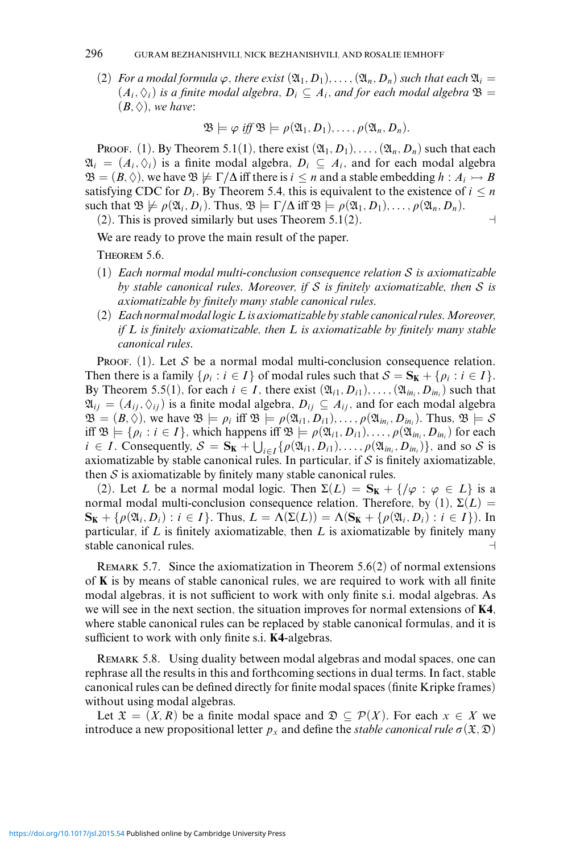## 296 GURAM BEZHANISHVILI, NICK BEZHANISHVILI, AND ROSALIE IEMHOFF

(2) *For a modal formula*  $\varphi$ *, there exist*  $(\mathfrak{A}_1, D_1), \ldots, (\mathfrak{A}_n, D_n)$  *such that each*  $\mathfrak{A}_i =$  $(A_i, \Diamond_i)$  *is a finite modal algebra,*  $D_i \subseteq A_i$ *, and for each modal algebra*  $\mathfrak{B} =$  $(B, \Diamond)$ *, we have:* 

$$
\mathfrak{B}\models \varphi\ \text{iff}\ \mathfrak{B}\models \rho(\mathfrak{A}_1,D_1),\ldots,\rho(\mathfrak{A}_n,D_n).
$$

Proof. (1). By Theorem 5.1(1), there exist  $(\mathfrak{A}_1, D_1), \ldots, (\mathfrak{A}_n, D_n)$  such that each  $\mathfrak{A}_i = (A_i, \Diamond_i)$  is a finite modal algebra,  $D_i \subseteq A_i$ , and for each modal algebra  $\mathfrak{B} = (B, \Diamond)$ , we have  $\mathfrak{B} \not\models \Gamma/\Delta$  iff there is  $i \leq n$  and a stable embedding  $h : A_i \rightarrow B$ satisfying CDC for  $D_i$ . By Theorem 5.4, this is equivalent to the existence of  $i \leq n$ such that  $\mathfrak{B} \not\models \rho(\mathfrak{A}_i, D_i)$ . Thus,  $\mathfrak{B} \models \Gamma/\Delta$  iff  $\mathfrak{B} \models \rho(\mathfrak{A}_1, D_1), \ldots, \rho(\mathfrak{A}_n, D_n)$ .

 $(2)$ . This is proved similarly but uses Theorem 5.1 $(2)$ .

$$
\mathord{\hspace{1pt}\text{--}\hspace{1pt}}^{\mathord{\hspace{1pt}\text{--}\hspace{1pt}}}
$$

We are ready to prove the main result of the paper.

Theorem 5.6.

- (1) *Each normal modal multi-conclusion consequence relation* S *is axiomatizable by stable canonical rules. Moreover, if* S *is finitely axiomatizable, then* S *is axiomatizable by finitely many stable canonical rules.*
- (2) *Each normal modal logicL is axiomatizable by stable canonical rules.Moreover, if L is finitely axiomatizable, then L is axiomatizable by finitely many stable canonical rules.*

PROOF. (1). Let S be a normal modal multi-conclusion consequence relation. Then there is a family  $\{\rho_i : i \in I\}$  of modal rules such that  $S = S_K + \{\rho_i : i \in I\}$ . By Theorem 5.5(1), for each  $i \in I$ , there exist  $(\mathfrak{A}_{i1}, D_{i1}), \ldots, (\mathfrak{A}_{in_i}, D_{in_i})$  such that  $\mathfrak{A}_{ij} = (A_{ij}, \Diamond_{ij})$  is a finite modal algebra,  $D_{ij} \subseteq A_{ij}$ , and for each modal algebra  $\mathfrak{B} = (B, \Diamond)$ , we have  $\mathfrak{B} \models \rho_i$  iff  $\mathfrak{B} \models \rho(\mathfrak{A}_{i1}, D_{i1}), \ldots, \rho(\mathfrak{A}_{in_i}, D_{in_i})$ . Thus,  $\mathfrak{B} \models \mathcal{S}$ iff  $\mathfrak{B} \models \{p_i : i \in I\}$ , which happens iff  $\mathfrak{B} \models \rho(\mathfrak{A}_{i1}, D_{i1}), \ldots, \rho(\mathfrak{A}_{in_i}, D_{in_i})$  for each  $i \in I$ . Consequently,  $S = \mathbf{S_K} + \bigcup_{i \in I} {\rho(\mathfrak{A}_{i1}, D_{i1}), \ldots, \rho(\mathfrak{A}_{in_i}, D_{in_i})}$ , and so S is axiomatizable by stable canonical rules. In particular, if  $S$  is finitely axiomatizable, then  $S$  is axiomatizable by finitely many stable canonical rules.

(2). Let *L* be a normal modal logic. Then  $\Sigma(L) = \mathbf{S_K} + \{ / \varphi : \varphi \in L \}$  is a normal modal multi-conclusion consequence relation. Therefore, by (1),  $\Sigma(L)$  =  $\mathbf{S_K} + {\rho(\mathfrak{A}_i, D_i) : i \in I}$ . Thus,  $L = \Lambda(\Sigma(L)) = \Lambda(\mathbf{S_K} + {\rho(\mathfrak{A}_i, D_i) : i \in I}$ . In particular, if *L* is finitely axiomatizable, then *L* is axiomatizable by finitely many stable canonical rules.

REMARK 5.7. Since the axiomatization in Theorem  $5.6(2)$  of normal extensions of **K** is by means of stable canonical rules, we are required to work with all finite modal algebras, it is not sufficient to work with only finite s.i. modal algebras. As we will see in the next section, the situation improves for normal extensions of **K4**, where stable canonical rules can be replaced by stable canonical formulas, and it is sufficient to work with only finite s.i. **K4**-algebras.

Remark 5.8. Using duality between modal algebras and modal spaces, one can rephrase all the results in this and forthcoming sections in dual terms. In fact, stable canonical rules can be defined directly for finite modal spaces (finite Kripke frames) without using modal algebras.

Let  $\mathfrak{X} = (X, R)$  be a finite modal space and  $\mathfrak{D} \subseteq \mathcal{P}(X)$ . For each  $x \in X$  we introduce a new propositional letter  $p_x$  and define the *stable canonical rule*  $\sigma(\mathfrak{X}, \mathfrak{D})$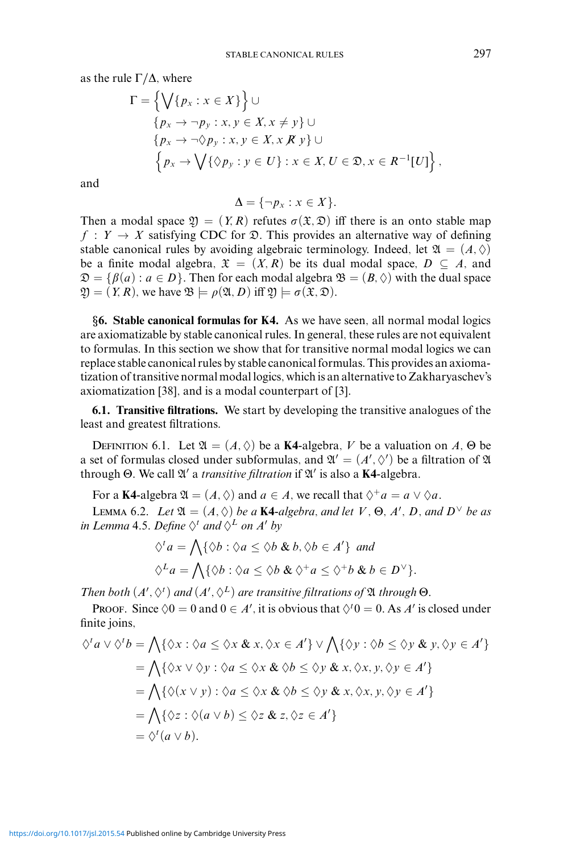as the rule  $\Gamma/\Delta$ , where

$$
\Gamma = \left\{ \bigvee \{p_x : x \in X\} \right\} \cup
$$
\n
$$
\{p_x \to \neg p_y : x, y \in X, x \neq y\} \cup
$$
\n
$$
\{p_x \to \neg \Diamond p_y : x, y \in X, x \notin y\} \cup
$$
\n
$$
\left\{p_x \to \bigvee \{ \Diamond p_y : y \in U\} : x \in X, U \in \mathfrak{D}, x \in R^{-1}[U] \right\},
$$

and

$$
\Delta = \{\neg p_x : x \in X\}.
$$

Then a modal space  $\mathfrak{Y} = (Y, R)$  refutes  $\sigma(\mathfrak{X}, \mathfrak{D})$  iff there is an onto stable map  $f: Y \to X$  satisfying CDC for  $\mathfrak{D}$ . This provides an alternative way of defining stable canonical rules by avoiding algebraic terminology. Indeed, let  $\mathfrak{A} = (A, \Diamond)$ be a finite modal algebra,  $\mathfrak{X} = (X, R)$  be its dual modal space,  $D \subseteq A$ , and  $\mathfrak{D} = \{\beta(a) : a \in D\}$ . Then for each modal algebra  $\mathfrak{B} = (B, \Diamond)$  with the dual space  $\mathfrak{Y} = (Y, R)$ , we have  $\mathfrak{B} \models \rho(\mathfrak{A}, D)$  iff  $\mathfrak{Y} \models \sigma(\mathfrak{X}, \mathfrak{D})$ .

*§***6. Stable canonical formulas for K4.** As we have seen, all normal modal logics are axiomatizable by stable canonical rules. In general, these rules are not equivalent to formulas. In this section we show that for transitive normal modal logics we can replace stable canonical rules by stable canonical formulas. This provides an axiomatization of transitive normal modal logics, which is an alternative to Zakharyaschev's axiomatization [38], and is a modal counterpart of [3].

**6.1. Transitive filtrations.** We start by developing the transitive analogues of the least and greatest filtrations.

DEFINITION 6.1. Let  $\mathfrak{A} = (A, \Diamond)$  be a **K4**-algebra, *V* be a valuation on *A*,  $\Theta$  be a set of formulas closed under subformulas, and  $\mathfrak{A}' = (A', \Diamond')$  be a filtration of  $\mathfrak A$ through Θ. We call  $\mathfrak{A}'$  a *transitive filtration* if  $\mathfrak{A}'$  is also a **K4**-algebra.

For a **K4**-algebra  $\mathfrak{A} = (A, \Diamond)$  and  $a \in A$ , we recall that  $\Diamond^+ a = a \lor \Diamond a$ .

**LEMMA** 6.2. *Let*  $\mathfrak{A} = (A, \Diamond)$  *be a* **K4***-algebra, and let V*,  $\Theta$ *, A'*, *D, and*  $D^{\vee}$  *be as in Lemma* 4.5. Define  $\Diamond^t$  *and*  $\Diamond^L$  *on A' by* 

$$
\diamondsuit^t a = \bigwedge \{ \diamondsuit b : \diamondsuit a \le \diamondsuit b \& b, \diamondsuit b \in A' \} \text{ and}
$$
  

$$
\diamondsuit^L a = \bigwedge \{ \diamondsuit b : \diamondsuit a \le \diamondsuit b \& \diamondsuit^+ a \le \diamondsuit^+ b \& b \in D^\vee \}.
$$

*Then both*  $(A', \Diamond^t)$  *and*  $(A', \Diamond^L)$  *are transitive filtrations of*  $\mathfrak A$  *through*  $\Theta$ *.* 

PROOF. Since  $\Diamond 0 = 0$  and  $0 \in A'$ , it is obvious that  $\Diamond^t 0 = 0$ . As A' is closed under finite joins,

$$
\diamondsuit^t a \lor \diamondsuit^t b = \bigwedge \{ \diamondsuit x : \diamondsuit a \leq \diamondsuit x \& x, \diamondsuit x \in A' \} \lor \bigwedge \{ \diamondsuit y : \diamondsuit b \leq \diamondsuit y \& y, \diamondsuit y \in A' \}
$$
  
= 
$$
\bigwedge \{ \diamondsuit x \lor \diamondsuit y : \diamondsuit a \leq \diamondsuit x \& \diamondsuit b \leq \diamondsuit y \& x, \diamondsuit x, y, \diamondsuit y \in A' \}
$$
  
= 
$$
\bigwedge \{ \diamondsuit (x \lor y) : \diamondsuit a \leq \diamondsuit x \& \diamondsuit b \leq \diamondsuit y \& x, \diamondsuit x, y, \diamondsuit y \in A' \}
$$
  
= 
$$
\bigwedge \{ \diamondsuit z : \diamondsuit (a \lor b) \leq \diamondsuit z \& z, \diamondsuit z \in A' \}
$$
  
= 
$$
\diamondsuit^t (a \lor b).
$$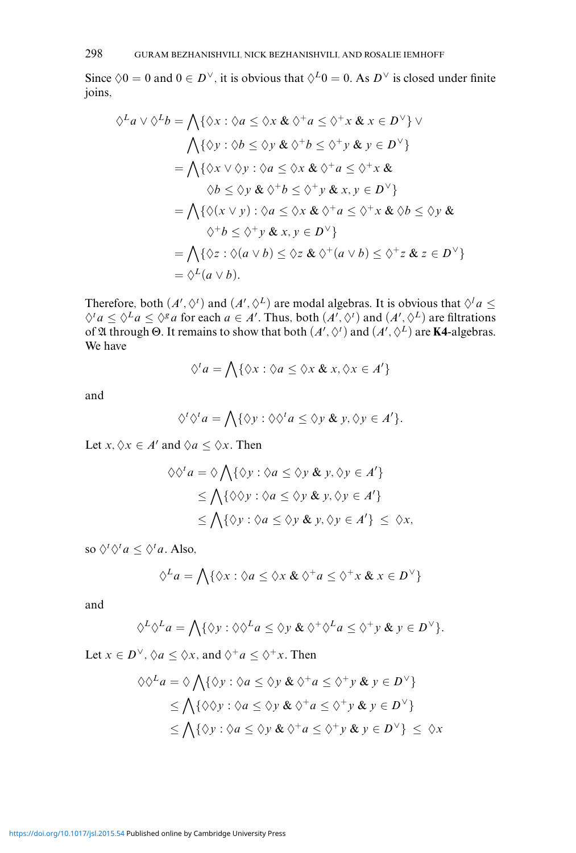Since  $\Diamond 0 = 0$  and  $0 \in D^{\vee}$ , it is obvious that  $\Diamond^L 0 = 0$ . As  $D^{\vee}$  is closed under finite joins,

$$
\diamondsuit^L a \lor \diamondsuit^L b = \bigwedge \{ \diamondsuit x : \diamondsuit a \leq \diamondsuit x \& \diamondsuit^+ a \leq \diamondsuit^+ x \& x \in D^\vee \} \lor
$$
\n
$$
\bigwedge \{ \diamondsuit y : \diamondsuit b \leq \diamondsuit y \& \diamondsuit^+ b \leq \diamondsuit^+ y \& y \in D^\vee \}
$$
\n
$$
= \bigwedge \{ \diamondsuit x \lor \diamondsuit y : \diamondsuit a \leq \diamondsuit x \& \diamondsuit^+ a \leq \diamondsuit^+ x \& \diamondsuit b \leq \diamondsuit y \& \diamondsuit^+ b \leq \diamondsuit^+ y \& x, y \in D^\vee \}
$$
\n
$$
= \bigwedge \{ \diamondsuit (x \lor y) : \diamondsuit a \leq \diamondsuit x \& \diamondsuit^+ a \leq \diamondsuit^+ x \& \diamondsuit b \leq \diamondsuit y \& \diamondsuit b \leq \diamondsuit y \& \diamondsuit b \leq \diamondsuit^+ y \& x, y \in D^\vee \}
$$
\n
$$
= \bigwedge \{ \diamondsuit z : \diamondsuit (a \lor b) \leq \diamondsuit z \& \diamondsuit^+ (a \lor b) \leq \diamondsuit^+ z \& z \in D^\vee \}
$$
\n
$$
= \diamondsuit^L (a \lor b).
$$

Therefore, both  $(A', \Diamond')$  and  $(A', \Diamond^L)$  are modal algebras. It is obvious that  $\Diamond^l a \leq$  $\diamondsuit^t a \leq \diamondsuit^t a \leq \diamondsuit^s a$  for each  $a \in A'$ . Thus, both  $(A', \diamondsuit^t)$  and  $(A', \diamondsuit^L)$  are filtrations of  $\mathfrak A$  through  $\Theta$ . It remains to show that both  $(A', \Diamond')$  and  $(A', \Diamond^L)$  are **K4**-algebras. We have

$$
\Diamond^t a = \bigwedge \{ \Diamond x : \Diamond a \leq \Diamond x \& x, \Diamond x \in A' \}
$$

and

$$
\Diamond^t \Diamond^t a = \bigwedge \{ \Diamond y : \Diamond \Diamond^t a \leq \Diamond y \& y, \Diamond y \in A' \}.
$$

Let *x*,  $\Diamond x \in A'$  and  $\Diamond a \leq \Diamond x$ . Then

$$
\Diamond \Diamond^t a = \Diamond \bigwedge \{ \Diamond y : \Diamond a \le \Diamond y \& y, \Diamond y \in A' \}
$$
  
\n
$$
\le \bigwedge \{ \Diamond \Diamond y : \Diamond a \le \Diamond y \& y, \Diamond y \in A' \}
$$
  
\n
$$
\le \bigwedge \{ \Diamond y : \Diamond a \le \Diamond y \& y, \Diamond y \in A' \} \le \Diamond x,
$$

so  $\Diamond^t \Diamond^t a \leq \Diamond^t a$ . Also,

$$
\Diamond^L a = \bigwedge \{ \Diamond x : \Diamond a \leq \Diamond x \& \Diamond^{\dagger} a \leq \Diamond^{\dagger} x \& x \in D^{\vee} \}
$$

and

$$
\Diamond^L \Diamond^L a = \bigwedge \{ \Diamond y : \Diamond \Diamond^L a \leq \Diamond y \& \Diamond^+ \Diamond^L a \leq \Diamond^+ y \& y \in D^\vee \}.
$$

Let  $x \in D^{\vee}$ ,  $\Diamond a \leq \Diamond x$ , and  $\Diamond^{+}a \leq \Diamond^{+}x$ . Then

$$
\diamondsuit \diamondsuit^L a = \diamondsuit \bigwedge \{ \diamondsuit y : \diamondsuit a \leq \diamondsuit y \& \diamondsuit^+ a \leq \diamondsuit^+ y \& y \in D^\vee \} \leq \bigwedge \{ \diamondsuit \diamondsuit y : \diamondsuit a \leq \diamondsuit y \& \diamondsuit^+ a \leq \diamondsuit^+ y \& y \in D^\vee \} \leq \bigwedge \{ \diamondsuit y : \diamondsuit a \leq \diamondsuit y \& \diamondsuit^+ a \leq \diamondsuit^+ y \& y \in D^\vee \} \leq \diamondsuit x
$$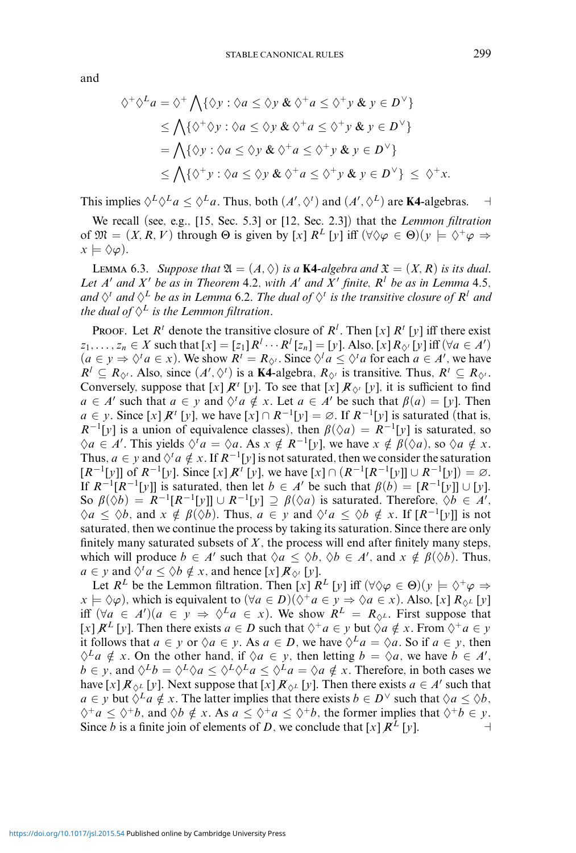and

$$
\diamond^+ \diamond^L a = \diamond^+ \bigwedge \{ \diamond y : \diamond a \leq \diamond y \& \diamond^+ a \leq \diamond^+ y \& y \in D^\vee \}
$$
  
\n
$$
\leq \bigwedge \{ \diamond^+ \diamond y : \diamond a \leq \diamond y \& \diamond^+ a \leq \diamond^+ y \& y \in D^\vee \}
$$
  
\n
$$
= \bigwedge \{ \diamond y : \diamond a \leq \diamond y \& \diamond^+ a \leq \diamond^+ y \& y \in D^\vee \}
$$
  
\n
$$
\leq \bigwedge \{ \diamond^+ y : \diamond a \leq \diamond y \& \diamond^+ a \leq \diamond^+ y \& y \in D^\vee \} \leq \diamond^+ x.
$$

This implies  $\Diamond^L \Diamond^L a \leq \Diamond^L a$ . Thus, both  $(A', \Diamond^t)$  and  $(A', \Diamond^L)$  are **K4**-algebras.  $\Box$ 

We recall (see, e.g., [15, Sec. 5.3] or [12, Sec. 2.3]) that the *Lemmon filtration* of  $\mathfrak{M} = (X, R, V)$  through  $\Theta$  is given by  $[x]$   $R^L[y]$  iff  $(\forall \Diamond \varphi \in \Theta)(y \models \Diamond^+ \varphi \Rightarrow$  $x \models \Diamond \varphi$ ).

LEMMA 6.3. *Suppose that*  $\mathfrak{A} = (A, \Diamond)$  *is a* **K4***-algebra and*  $\mathfrak{X} = (X, R)$  *is its dual. Let*  $A'$  and  $X'$  be as in Theorem 4.2, with  $A'$  and  $X'$  finite,  $R^l$  be as in Lemma 4.5, *and*  $\Diamond$ <sup>*t*</sup> *and*  $\Diamond$ <sup>*L*</sup> *be as in Lemma* 6.2. The *dual* of  $\Diamond$ <sup>*t*</sup> *is the transitive closure of*  $R$ <sup>*l*</sup> *and the dual of*  $\Diamond^L$  *is the Lemmon filtration.* 

PROOF. Let  $R^t$  denote the transitive closure of  $R^l$ . Then [x]  $R^t$  [y] iff there exist *z*<sub>1</sub>,...,*z<sub>n</sub>* ∈ *X* such that  $[x] = [z_1]R^l \cdots R^l [z_n] = [y]$ . Also,  $[x]R_{\Diamond^t}[y]$  iff  $(\forall a \in A')$  $(a \in y \Rightarrow \Diamond^t a \in x)$ . We show  $R^t = R_{\Diamond^t}$ . Since  $\Diamond^t a \leq \Diamond^t a$  for each  $a \in A'$ , we have  $R^l \subseteq R_{\Diamond^t}$ . Also, since  $(A', \Diamond^t)$  is a **K4**-algebra,  $R_{\Diamond^t}$  is transitive. Thus,  $R^t \subseteq R_{\Diamond^t}$ . Conversely, suppose that  $[x]$   $\mathbb{R}^t$   $[y]$ . To see that  $[x]$   $\mathbb{R}_{\diamond}$   $[y]$ , it is sufficient to find *a* ∈ *A'* such that *a* ∈ *y* and  $\Diamond^t a \notin x$ . Let *a* ∈ *A'* be such that  $\beta(a) = [y]$ . Then *a* ∈ *y*. Since  $[x]$  *R*<sup>*t*</sup>  $[y]$ , we have  $[x] ∩ R^{-1}[y] = ∅$ . If  $R^{-1}[y]$  is saturated (that is,  $R^{-1}[y]$  is a union of equivalence classes), then  $\beta(\Diamond a) = R^{-1}[y]$  is saturated, so  $\Diamond a \in A'$ . This yields  $\Diamond^t a = \Diamond a$ . As  $x \notin R^{-1}[y]$ , we have  $x \notin \beta(\Diamond a)$ , so  $\Diamond a \notin x$ . Thus,  $a \in y$  and  $\Diamond^t a \notin x$ . If  $R^{-1}[y]$  is not saturated, then we consider the saturation  $[R^{-1}[y]]$  of  $R^{-1}[y]$ . Since  $[x]R^{t}[y]$ , we have  $[x] \cap (R^{-1}[R^{-1}[y]] \cup R^{-1}[y]) = \emptyset$ . If  $R^{-1}[R^{-1}[y]]$  is saturated, then let  $b \in A'$  be such that  $\beta(b)=[R^{-1}[y]] \cup [y]$ . So  $\beta(\Diamond b) = R^{-1}[R^{-1}[y]] \cup R^{-1}[y] \supseteq \beta(\Diamond a)$  is saturated. Therefore,  $\Diamond b \in A'$ ,  $\Diamond a \leq \Diamond b$ , and  $x \notin \beta(\Diamond b)$ . Thus,  $a \in y$  and  $\Diamond^t a \leq \Diamond b \notin x$ . If  $[R^{-1}[y]]$  is not saturated, then we continue the process by taking its saturation. Since there are only finitely many saturated subsets of  $X$ , the process will end after finitely many steps, which will produce  $b \in A'$  such that  $\Diamond a \leq \Diamond b$ ,  $\Diamond b \in A'$ , and  $x \notin \beta(\Diamond b)$ . Thus,  $a \in y$  and  $\Diamond^t a \le \Diamond b \notin x$ , and hence  $[x] \mathcal{R}_{\Diamond^t} [y]$ .

Let  $R^L$  be the Lemmon filtration. Then  $[x]$   $R^L$   $[y]$  iff  $(\forall \Diamond \varphi \in \Theta)(y \models \Diamond^+ \varphi \Rightarrow$ *x*  $\vdash$  ◇ $\varphi$ ), which is equivalent to  $(\forall a \in D)(\Diamond^+ a \in \mathcal{Y} \Rightarrow \Diamond a \in \mathcal{X})$ . Also, [*x*] *R*<sub>◇</sub>*L* [*y*] iff  $(\forall a \in A')(a \in y \Rightarrow \Diamond^L a \in x)$ . We show  $R^L = R_{\Diamond^L}$ . First suppose that  $[x]$   $R^L[y]$ . Then there exists  $a \in D$  such that  $\Diamond^+ a \in y$  but  $\Diamond a \notin x$ . From  $\Diamond^+ a \in y$ it follows that  $a \in y$  or  $\Diamond a \in y$ . As  $a \in D$ , we have  $\Diamond^L a = \Diamond a$ . So if  $a \in y$ , then  $\diamondsuit^L a \notin x$ . On the other hand, if  $\diamondsuit a \in y$ , then letting  $b = \diamondsuit a$ , we have  $b \in A'$ , *b* ∈ *y*, and  $\Diamond^L b = \Diamond^L \Diamond a \leq \Diamond^L \Diamond^L a \leq \Diamond^L a = \Diamond a \notin x$ . Therefore, in both cases we have  $[x] \mathcal{R}_{\Diamond^L} [y]$ . Next suppose that  $[x] \mathcal{R}_{\Diamond^L} [y]$ . Then there exists  $a \in A'$  such that *a* ∈ *y* but  $\Diamond^L a \notin x$ . The latter implies that there exists *b* ∈ *D*<sup>∨</sup> such that  $\Diamond a \leq \Diamond b$ ,  $\diamondsuit^+a \leq \diamondsuit^+b$ , and  $\diamondsuit b \notin x$ . As  $a \leq \diamondsuit^+a \leq \diamondsuit^+b$ , the former implies that  $\diamondsuit^+b \in y$ . Since *b* is a finite join of elements of *D*, we conclude that  $[x] \mathbb{R}^{\mathcal{L}}[y]$ .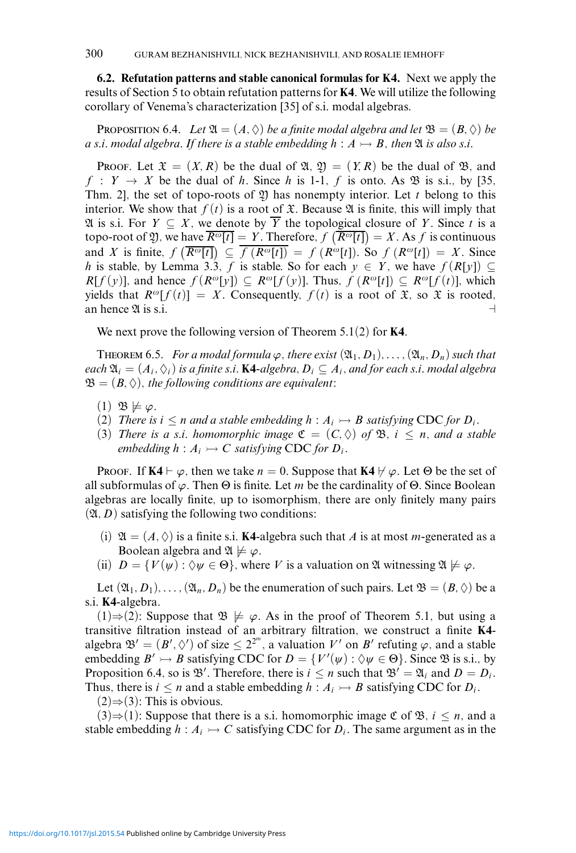**6.2. Refutation patterns and stable canonical formulas for K4.** Next we apply the results of Section 5 to obtain refutation patterns for **K4**. We will utilize the following corollary of Venema's characterization [35] of s.i. modal algebras.

**PROPOSITION 6.4.** *Let*  $\mathfrak{A} = (A, \Diamond)$  *be a finite modal algebra and let*  $\mathfrak{B} = (B, \Diamond)$  *be a s.i. modal algebra. If there is a stable embedding*  $h : A \rightarrow B$ , then  $\mathfrak A$  *is also s.i.* 

Proof. Let  $\mathfrak{X} = (X, R)$  be the dual of  $\mathfrak{A}, \mathfrak{Y} = (Y, R)$  be the dual of  $\mathfrak{B}, \mathfrak{A}$ , and  $f: Y \to X$  be the dual of *h*. Since *h* is 1-1, *f* is onto. As  $\mathfrak{B}$  is s.i., by [35, Thm. 2], the set of topo-roots of  $\mathfrak{Y}$  has nonempty interior. Let *t* belong to this interior. We show that  $f(t)$  is a root of  $\mathfrak X$ . Because  $\mathfrak A$  is finite, this will imply that  $\mathfrak A$  is s.i. For *Y* ⊆ *X*, we denote by  $\overline{Y}$  the topological closure of *Y*. Since *t* is a topo-root of 29, we have  $\overline{R^{\omega}[t]} = Y$ . Therefore,  $f(\overline{R^{\omega}[t]}) = X$ . As  $f$  is continuous and *X* is finite,  $f\left(\overline{R^{\omega}[t]}\right) \subseteq \overline{f\left(R^{\omega}[t]\right)} = f\left(R^{\omega}[t]\right)$ . So  $f\left(R^{\omega}[t]\right) = X$ . Since *h* is stable, by Lemma 3.3, *f* is stable. So for each  $y \in Y$ , we have  $f(R[y]) \subseteq$ *R*[*f*(*y*)], and hence *f*(*R*<sup>*o*</sup>[*y*]) ⊆ *R<sup><sup><i>o*</sup>[*f*(*y*)]. Thus, *f*(*R<sup><sup><i>o*</sup>[*t*]) ⊆ *R<sup><i>o*</sup>[*f*(*t*)], which</sup></sup> yields that  $R^{\omega}[f(t)] = X$ . Consequently,  $f(t)$  is a root of  $\mathfrak{X}$ , so  $\mathfrak{X}$  is rooted, an hence  $\mathfrak{A}$  is s.i.

We next prove the following version of Theorem 5.1(2) for **K4**.

**THEOREM 6.5.** *For a modal formula*  $\varphi$ *, there exist*  $(\mathfrak{A}_1, D_1), \ldots, (\mathfrak{A}_n, D_n)$  *such that each*  $\mathfrak{A}_i = (A_i, \Diamond_i)$  *is a finite s.i.* **K4***-algebra,*  $D_i \subseteq A_i$ *, and for each s.i. modal algebra*  $\mathfrak{B} = (B, \Diamond)$ , the following conditions are equivalent:

- $(1)$   $\mathfrak{B} \not\models \varphi$ .
- (2) *There is*  $i \leq n$  *and a stable embedding*  $h : A_i \rightarrow B$  *satisfying* CDC *for*  $D_i$ *.*
- (3) *There is a s.i. homomorphic image*  $\mathfrak{C} = (C, \Diamond)$  *of*  $\mathfrak{B}$ *, i*  $\leq n$ *, and a stable embedding*  $h : A_i \rightarrowtail C$  *satisfying* CDC *for*  $D_i$ *.*

PROOF. If  $\mathbf{K4} \vdash \varphi$ , then we take  $n = 0$ . Suppose that  $\mathbf{K4} \not\vdash \varphi$ . Let  $\Theta$  be the set of all subformulas of *ϕ*. Then Θ is finite. Let *m* be the cardinality of Θ. Since Boolean algebras are locally finite, up to isomorphism, there are only finitely many pairs  $(\mathfrak{A}, D)$  satisfying the following two conditions:

- (i)  $\mathfrak{A} = (A, \Diamond)$  is a finite s.i. **K4**-algebra such that *A* is at most *m*-generated as a Boolean algebra and  $\mathfrak{A} \not\models \varphi$ .
- (ii)  $D = \{V(\psi): \Diamond \psi \in \Theta\}$ , where *V* is a valuation on  $\mathfrak A$  witnessing  $\mathfrak A \not\models \varphi$ .

Let  $(\mathfrak{A}_1, D_1), \ldots, (\mathfrak{A}_n, D_n)$  be the enumeration of such pairs. Let  $\mathfrak{B} = (B, \Diamond)$  be a s.i. **K4**-algebra.

(1)⇒(2): Suppose that  $\mathfrak{B} \not\models \varphi$ . As in the proof of Theorem 5.1, but using a transitive filtration instead of an arbitrary filtration, we construct a finite **K4** algebra  $\mathfrak{B}' = (B', \Diamond')$  of size  $\leq 2^{2^m}$ , a valuation *V'* on *B'* refuting  $\varphi$ , and a stable embedding  $B' \rightarrow B$  satisfying CDC for  $D = \{V'(\psi) : \Diamond \psi \in \Theta\}$ . Since  $\mathfrak B$  is s.i., by Proposition 6.4, so is  $\mathfrak{B}'$ . Therefore, there is  $i \leq n$  such that  $\mathfrak{B}' = \mathfrak{A}_i$  and  $D = D_i$ . Thus, there is  $i \leq n$  and a stable embedding  $h : A_i \rightarrow B$  satisfying CDC for  $D_i$ .

 $(2)$ ⇒ $(3)$ : This is obvious.

(3)⇒(1): Suppose that there is a s.i. homomorphic image  $\mathfrak{C}$  of  $\mathfrak{B}$ ,  $i \leq n$ , and a stable embedding  $h : A_i \rightarrow C$  satisfying CDC for  $D_i$ . The same argument as in the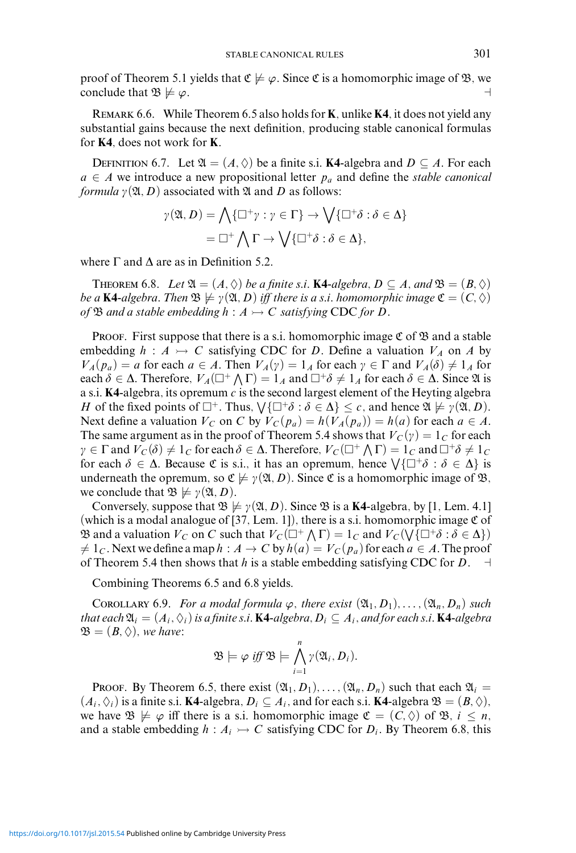proof of Theorem 5.1 yields that  $\mathfrak{C} \not\models \varphi$ . Since  $\mathfrak{C}$  is a homomorphic image of  $\mathfrak{B}$ , we conclude that  $\mathfrak{B} \not\models \varphi$ .

Remark 6.6. While Theorem 6.5 also holds for **K**, unlike **K4**, it does not yield any substantial gains because the next definition, producing stable canonical formulas for **K4**, does not work for **K**.

DEFINITION 6.7. Let  $\mathfrak{A} = (A, \Diamond)$  be a finite s.i. **K4**-algebra and  $D \subseteq A$ . For each  $a \in A$  we introduce a new propositional letter  $p_a$  and define the *stable canonical formula*  $\gamma(\mathfrak{A}, D)$  associated with  $\mathfrak A$  and  $D$  as follows:

$$
\gamma(\mathfrak{A}, D) = \bigwedge \{ \Box^+ \gamma : \gamma \in \Gamma \} \to \bigvee \{ \Box^+ \delta : \delta \in \Delta \}
$$

$$
= \Box^+ \bigwedge \Gamma \to \bigvee \{ \Box^+ \delta : \delta \in \Delta \},
$$

where  $\Gamma$  and  $\Delta$  are as in Definition 5.2.

THEOREM 6.8. *Let*  $\mathfrak{A} = (A, \Diamond)$  *be a finite s.i.* **K4***-algebra,*  $D \subseteq A$ *, and*  $\mathfrak{B} = (B, \Diamond)$ *be a* **K4**-algebra. Then  $\mathfrak{B} \not\models \gamma(\mathfrak{A}, D)$  *iff there is a s.i. homomorphic image*  $\mathfrak{C} = (C, \Diamond)$ *of*  $\mathfrak{B}$  *and a stable embedding*  $h : A \rightarrowtail C$  *satisfying* CDC *for D*.

PROOF. First suppose that there is a s.i. homomorphic image  $\mathfrak C$  of  $\mathfrak B$  and a stable embedding  $h : A \rightarrowtail C$  satisfying CDC for *D*. Define a valuation  $V_A$  on *A* by  $V_A(p_a) = a$  for each  $a \in A$ . Then  $V_A(\gamma) = 1_A$  for each  $\gamma \in \Gamma$  and  $V_A(\delta) \neq 1_A$  for each  $\delta \in \Delta$ . Therefore,  $V_A(\Box^+ \land \Gamma) = 1_A$  and  $\Box^+ \delta \neq 1_A$  for each  $\delta \in \Delta$ . Since  $\mathfrak A$  is a s.i. **K4**-algebra, its opremum *c* is the second largest element of the Heyting algebra *H* of the fixed points of  $\Box^+$ . Thus,  $\bigvee \{\Box^+ \delta : \delta \in \Delta\} \leq c$ , and hence  $\mathfrak{A} \not\models \gamma(\mathfrak{A}, D)$ . Next define a valuation  $V_C$  on *C* by  $V_C(p_a) = h(V_A(p_a)) = h(a)$  for each  $a \in A$ . The same argument as in the proof of Theorem 5.4 shows that  $V_C(y) = 1_C$  for each  $\gamma \in \Gamma$  and  $V_C(\delta) \neq 1_C$  for each  $\delta \in \Delta$ . Therefore,  $V_C(\Box^+ \land \Gamma) = 1_C$  and  $\Box^+ \delta \neq 1_C$ for each  $\delta \in \Delta$ . Because  $\mathfrak C$  is s.i., it has an opremum, hence  $\bigvee \{\Box^+\delta : \delta \in \Delta\}$  is underneath the opremum, so  $\mathfrak{C} \not\models \gamma(\mathfrak{A}, D)$ . Since  $\mathfrak{C}$  is a homomorphic image of  $\mathfrak{B}$ , we conclude that  $\mathfrak{B} \not\models \gamma(\mathfrak{A}, D)$ .

Conversely, suppose that  $\mathfrak{B} \not\models \gamma(\mathfrak{A}, D)$ . Since  $\mathfrak{B}$  is a **K4**-algebra, by [1, Lem. 4.1] (which is a modal analogue of [37, Lem. 1]), there is a s.i. homomorphic image  $\mathfrak C$  of **B** and a valuation  $V_C$  on C such that  $V_C(\Box^+ \land \Gamma) = 1_C$  and  $V_C(\forall \lbrace \Box^+ \delta : \delta \in \Delta \rbrace)$  $\neq 1_c$ . Next we define a map  $h : A \to C$  by  $h(a) = V_C(p_a)$  for each  $a \in A$ . The proof of Theorem 5.4 then shows that *h* is a stable embedding satisfying CDC for *D*.  $\dashv$ 

Combining Theorems 6.5 and 6.8 yields.

COROLLARY 6.9. *For a modal formula*  $\varphi$ *, there exist*  $(\mathfrak{A}_1, D_1), \ldots, (\mathfrak{A}_n, D_n)$  *such that each*  $\mathfrak{A}_i = (A_i, \Diamond_i)$  *is a finite s.i.* **K4***-algebra,*  $D_i \subseteq A_i$ *, and for each s.i.* **K4***-algebra*  $\mathfrak{B} = (B, \Diamond)$ *, we have:* 

$$
\mathfrak{B}\models \varphi\ \text{iff}\ \mathfrak{B}\models \bigwedge_{i=1}^n \gamma(\mathfrak{A}_i,D_i).
$$

**PROOF.** By Theorem 6.5, there exist  $(\mathfrak{A}_1, D_1), \ldots, (\mathfrak{A}_n, D_n)$  such that each  $\mathfrak{A}_i =$  $(A_i, \Diamond_i)$  is a finite s.i. **K4**-algebra,  $D_i \subseteq A_i$ , and for each s.i. **K4**-algebra  $\mathfrak{B} = (B, \Diamond),$ we have  $\mathfrak{B} \not\models \varphi$  iff there is a s.i. homomorphic image  $\mathfrak{C} = (C, \Diamond)$  of  $\mathfrak{B}, i \leq n$ , and a stable embedding  $h : A_i \rightarrow C$  satisfying CDC for  $D_i$ . By Theorem 6.8, this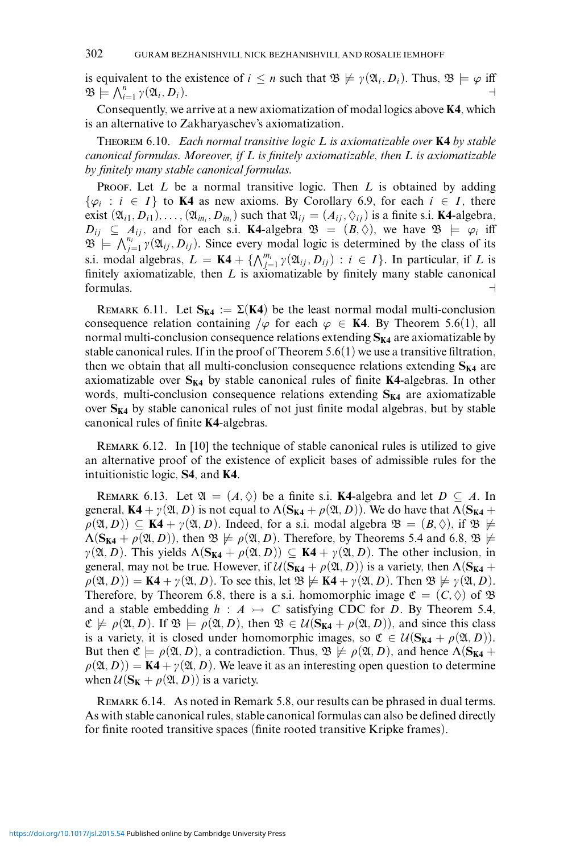is equivalent to the existence of  $i \leq n$  such that  $\mathfrak{B} \not\models \gamma(\mathfrak{A}_i, D_i)$ . Thus,  $\mathfrak{B} \models \varphi$  iff  $\mathfrak{B} \models \bigwedge_{i=1}^{n} \gamma(\mathfrak{A}_i, D_i).$ 

Consequently, we arrive at a new axiomatization of modal logics above **K4**, which is an alternative to Zakharyaschev's axiomatization.

Theorem 6.10. *Each normal transitive logic L is axiomatizable over* **K4** *by stable canonical formulas. Moreover, if L is finitely axiomatizable, then L is axiomatizable by finitely many stable canonical formulas.*

PROOF. Let *L* be a normal transitive logic. Then *L* is obtained by adding  $\{\varphi_i : i \in I\}$  to **K4** as new axioms. By Corollary 6.9, for each  $i \in I$ , there exist  $(\mathfrak{A}_{i1}, D_{i1}), \ldots, (\mathfrak{A}_{in_i}, D_{in_i})$  such that  $\mathfrak{A}_{ij} = (A_{ij}, \Diamond_{ij})$  is a finite s.i. **K4**-algebra,  $D_{ij} \subseteq A_{ij}$ , and for each s.i. **K4**-algebra  $\mathfrak{B} = (B, \Diamond)$ , we have  $\mathfrak{B} \models \varphi_i$  iff  $\mathfrak{B} \models \bigwedge_{j=1}^{n_i} \gamma(\mathfrak{A}_{ij}, D_{ij})$ . Since every modal logic is determined by the class of its s.i. modal algebras,  $L = \mathbf{K4} + \{ \bigwedge_{j=1}^{m_i} \gamma(\mathfrak{A}_{ij}, D_{ij}) : i \in I \}$ . In particular, if *L* is finitely axiomatizable, then *L* is axiomatizable by finitely many stable canonical formulas.

REMARK 6.11. Let  $S_{K4} := \Sigma(K4)$  be the least normal modal multi-conclusion consequence relation containing  $/\varphi$  for each  $\varphi \in \mathbf{K4}$ . By Theorem 5.6(1), all normal multi-conclusion consequence relations extending  $S_{K4}$  are axiomatizable by stable canonical rules. If in the proof of Theorem  $5.6(1)$  we use a transitive filtration, then we obtain that all multi-conclusion consequence relations extending  $S_{K4}$  are axiomatizable over  $S_{K4}$  by stable canonical rules of finite  $K4$ -algebras. In other words, multi-conclusion consequence relations extending  $S_{K4}$  are axiomatizable over  $S_{K4}$  by stable canonical rules of not just finite modal algebras, but by stable canonical rules of finite **K4**-algebras.

REMARK 6.12. In [10] the technique of stable canonical rules is utilized to give an alternative proof of the existence of explicit bases of admissible rules for the intuitionistic logic, **S4**, and **K4**.

REMARK 6.13. Let  $\mathfrak{A} = (A, \Diamond)$  be a finite s.i. **K4**-algebra and let  $D \subseteq A$ . In general, **K4** +  $\gamma(\mathfrak{A}, D)$  is not equal to  $\Lambda(\mathbf{S}_{K4} + \rho(\mathfrak{A}, D))$ . We do have that  $\Lambda(\mathbf{S}_{K4} + D)$  $(\rho(\mathfrak{A}, D)) \subseteq \mathbf{K4} + \gamma(\mathfrak{A}, D)$ . Indeed, for a s.i. modal algebra  $\mathfrak{B} = (B, \Diamond)$ , if  $\mathfrak{B} \not\models$  $\Lambda(\mathbf{S}_{K4} + \rho(\mathfrak{A}, D))$ , then  $\mathfrak{B} \not\models \rho(\mathfrak{A}, D)$ . Therefore, by Theorems 5.4 and 6.8,  $\mathfrak{B} \not\models \rho(\mathfrak{A}, D)$  $\gamma(\mathfrak{A}, D)$ . This yields  $\Lambda(\mathbf{S}_{\mathbf{K4}} + \rho(\mathfrak{A}, D)) \subseteq \mathbf{K4} + \gamma(\mathfrak{A}, D)$ . The other inclusion, in general, may not be true. However, if  $\mathcal{U}(\mathbf{S}_{K4} + \rho(\mathfrak{A}, D))$  is a variety, then  $\Lambda(\mathbf{S}_{K4} + \rho(\mathfrak{A}, D))$  $p(\mathfrak{A}, D)) = \mathbf{K4} + \gamma(\mathfrak{A}, D)$ . To see this, let  $\mathfrak{B} \not\models \mathbf{K4} + \gamma(\mathfrak{A}, D)$ . Then  $\mathfrak{B} \not\models \gamma(\mathfrak{A}, D)$ . Therefore, by Theorem 6.8, there is a s.i. homomorphic image  $\mathfrak{C} = (C, \Diamond)$  of  $\mathfrak{B}$ and a stable embedding  $h : A \rightarrow C$  satisfying CDC for *D*. By Theorem 5.4,  $\mathfrak{C} \not\models \rho(\mathfrak{A}, D)$ . If  $\mathfrak{B} \models \rho(\mathfrak{A}, D)$ , then  $\mathfrak{B} \in \mathcal{U}(\mathbf{S}_{K4} + \rho(\mathfrak{A}, D))$ , and since this class is a variety, it is closed under homomorphic images, so  $\mathfrak{C} \in \mathcal{U}(\mathbf{S}_{K4} + \rho(\mathfrak{A}, D)).$ But then  $\mathfrak{C} \models \rho(\mathfrak{A}, D)$ , a contradiction. Thus,  $\mathfrak{B} \not\models \rho(\mathfrak{A}, D)$ , and hence  $\Lambda(\mathbf{S}_{K4} + D)$  $p(\mathfrak{A}, D)$ ) = **K4** +  $\gamma(\mathfrak{A}, D)$ . We leave it as an interesting open question to determine when  $\mathcal{U}(\mathbf{S_K} + \rho(\mathfrak{A}, D))$  is a variety.

Remark 6.14. As noted in Remark 5.8, our results can be phrased in dual terms. As with stable canonical rules, stable canonical formulas can also be defined directly for finite rooted transitive spaces (finite rooted transitive Kripke frames).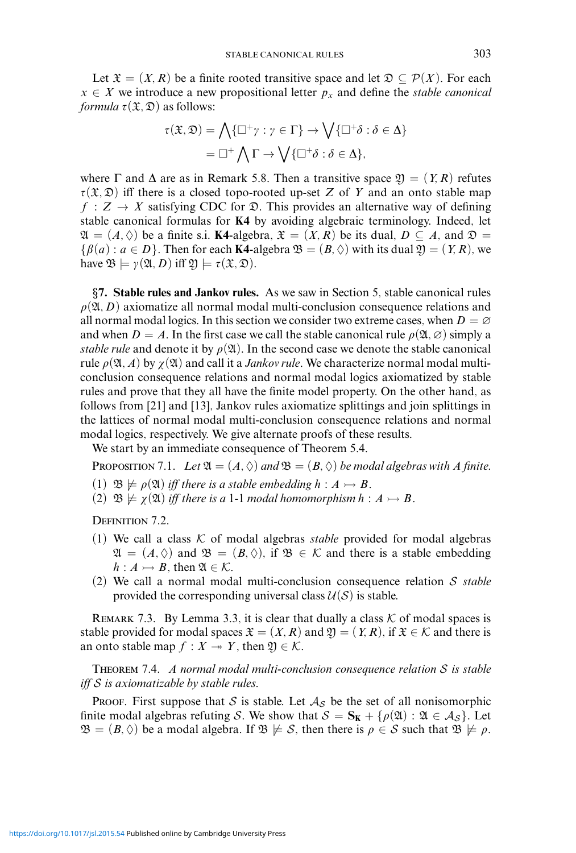Let  $\mathfrak{X} = (X, R)$  be a finite rooted transitive space and let  $\mathfrak{D} \subseteq \mathcal{P}(X)$ . For each  $x \in X$  we introduce a new propositional letter  $p_x$  and define the *stable canonical formula*  $\tau(\mathfrak{X}, \mathfrak{D})$  as follows:

$$
\tau(\mathfrak{X}, \mathfrak{D}) = \bigwedge \{ \Box^+ \gamma : \gamma \in \Gamma \} \to \bigvee \{ \Box^+ \delta : \delta \in \Delta \}
$$

$$
= \Box^+ \bigwedge \Gamma \to \bigvee \{ \Box^+ \delta : \delta \in \Delta \},
$$

where  $\Gamma$  and  $\Delta$  are as in Remark 5.8. Then a transitive space  $\mathfrak{Y} = (Y, R)$  refutes  $\tau(\mathfrak{X}, \mathfrak{D})$  iff there is a closed topo-rooted up-set *Z* of *Y* and an onto stable map  $f : Z \to X$  satisfying CDC for  $\mathfrak{D}$ . This provides an alternative way of defining stable canonical formulas for **K4** by avoiding algebraic terminology. Indeed, let  $\mathfrak{A} = (A, \Diamond)$  be a finite s.i. **K4**-algebra,  $\mathfrak{X} = (X, R)$  be its dual,  $D \subseteq A$ , and  $\mathfrak{D} =$  $\{\beta(a): a \in D\}$ . Then for each **K4**-algebra  $\mathfrak{B} = (B, \Diamond)$  with its dual  $\mathfrak{Y} = (Y, R)$ , we have  $\mathfrak{B} \models \gamma(\mathfrak{A}, D)$  iff  $\mathfrak{Y} \models \tau(\mathfrak{X}, \mathfrak{D})$ .

*§***7. Stable rules and Jankov rules.** As we saw in Section 5, stable canonical rules  $\rho(\mathfrak{A}, D)$  axiomatize all normal modal multi-conclusion consequence relations and all normal modal logics. In this section we consider two extreme cases, when  $D = \emptyset$ and when  $D = A$ . In the first case we call the stable canonical rule  $\rho(\mathfrak{A}, \varnothing)$  simply a *stable rule* and denote it by  $\rho(\mathfrak{A})$ . In the second case we denote the stable canonical rule  $\rho(\mathfrak{A}, A)$  by  $\chi(\mathfrak{A})$  and call it a *Jankov rule*. We characterize normal modal multiconclusion consequence relations and normal modal logics axiomatized by stable rules and prove that they all have the finite model property. On the other hand, as follows from [21] and [13], Jankov rules axiomatize splittings and join splittings in the lattices of normal modal multi-conclusion consequence relations and normal modal logics, respectively. We give alternate proofs of these results.

We start by an immediate consequence of Theorem 5.4.

PROPOSITION 7.1. *Let*  $\mathfrak{A} = (A, \Diamond)$  *and*  $\mathfrak{B} = (B, \Diamond)$  *be modal algebras with A finite.* 

- (1)  $\mathfrak{B} \not\models \rho(\mathfrak{A})$  *iff there is a stable embedding*  $h : A \rightarrow B$ .
- $(2)$   $\mathfrak{B} \not\models \chi(\mathfrak{A})$  *iff there is a* 1-1 *modal homomorphism*  $h : A \rightarrow B$ .

DEFINITION 7.2.

- (1) We call a class  $K$  of modal algebras *stable* provided for modal algebras  $\mathfrak{A} = (A, \Diamond)$  and  $\mathfrak{B} = (B, \Diamond)$ , if  $\mathfrak{B} \in \mathcal{K}$  and there is a stable embedding  $h: A \rightarrow B$ , then  $\mathfrak{A} \in \mathcal{K}$ .
- (2) We call a normal modal multi-conclusion consequence relation S *stable* provided the corresponding universal class  $U(S)$  is stable.

REMARK 7.3. By Lemma 3.3, it is clear that dually a class  $K$  of modal spaces is stable provided for modal spaces  $\mathfrak{X} = (X, R)$  and  $\mathfrak{Y} = (Y, R)$ , if  $\mathfrak{X} \in \mathcal{K}$  and there is an onto stable map  $f : X \rightarrow Y$ , then  $\mathfrak{Y} \in \mathcal{K}$ .

Theorem 7.4. *A normal modal multi-conclusion consequence relation* S *is stable iff* S *is axiomatizable by stable rules.*

**PROOF.** First suppose that S is stable. Let  $A<sub>S</sub>$  be the set of all nonisomorphic finite modal algebras refuting S. We show that  $S = S_K + \{\rho(\mathfrak{A}) : \mathfrak{A} \in A_S\}$ . Let  $\mathfrak{B} = (B, \Diamond)$  be a modal algebra. If  $\mathfrak{B} \not\models S$ , then there is  $\rho \in S$  such that  $\mathfrak{B} \not\models \rho$ .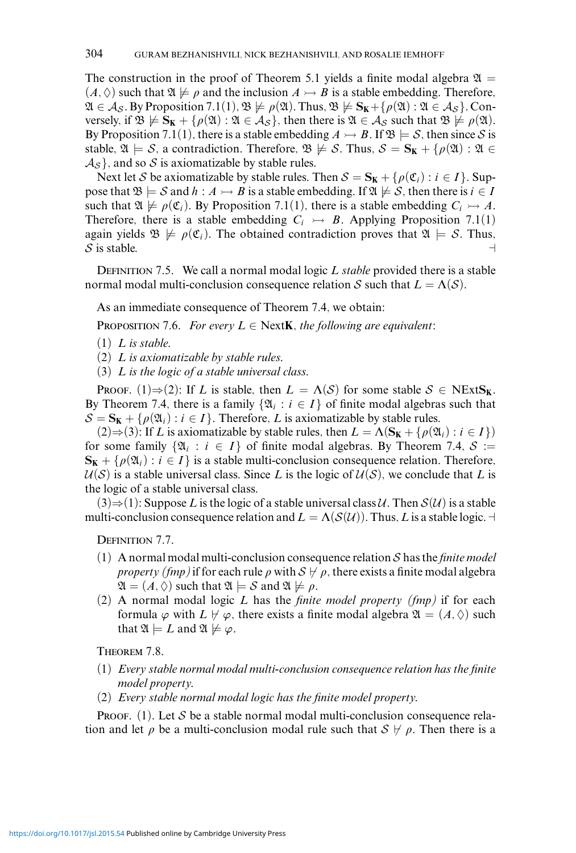The construction in the proof of Theorem 5.1 yields a finite modal algebra  $\mathfrak{A} =$  $(A, \Diamond)$  such that  $\mathfrak{A} \not\models \rho$  and the inclusion  $A \rightarrow B$  is a stable embedding. Therefore,  $\mathfrak{A} \in \mathcal{A}_{\mathcal{S}}$ . By Proposition 7.1(1),  $\mathfrak{B} \not\models \rho(\mathfrak{A})$ . Thus,  $\mathfrak{B} \not\models \mathbf{S}_{\mathbf{K}} + {\rho(\mathfrak{A}) : \mathfrak{A} \in \mathcal{A}_{\mathcal{S}}}$ . Conversely, if  $\mathfrak{B} \not\models S_K + \{\rho(\mathfrak{A}) : \mathfrak{A} \in \mathcal{A}_S\}$ , then there is  $\mathfrak{A} \in \mathcal{A}_S$  such that  $\mathfrak{B} \not\models \rho(\mathfrak{A})$ . By Proposition 7.1(1), there is a stable embedding  $A \rightarrow B$ . If  $\mathfrak{B} \models S$ , then since S is stable,  $\mathfrak{A} \models \mathcal{S}$ , a contradiction. Therefore,  $\mathfrak{B} \not\models \mathcal{S}$ . Thus,  $\mathcal{S} = \mathbf{S}_{\mathbf{K}} + {\rho(\mathfrak{A}) : \mathfrak{A} \in \mathcal{S}(\mathfrak{A})}$  $\mathcal{A}_{\mathcal{S}}$ , and so  $\mathcal{S}$  is axiomatizable by stable rules.

Next let S be axiomatizable by stable rules. Then  $S = S_K + \{ \rho(\mathfrak{C}_i) : i \in I \}$ . Suppose that  $\mathfrak{B} \models S$  and  $h : A \rightarrow B$  is a stable embedding. If  $\mathfrak{A} \not\models S$ , then there is  $i \in I$ such that  $\mathfrak{A} \not\models \rho(\mathfrak{C}_i)$ . By Proposition 7.1(1), there is a stable embedding  $C_i \rightarrowtail A$ . Therefore, there is a stable embedding  $C_i \rightarrow B$ . Applying Proposition 7.1(1) again yields  $\mathfrak{B} \not\models \rho(\mathfrak{C}_i)$ . The obtained contradiction proves that  $\mathfrak{A} \models S$ . Thus, S is stable.  $\Box$ 

DEFINITION 7.5. We call a normal modal logic *L stable* provided there is a stable normal modal multi-conclusion consequence relation S such that  $L = \Lambda(S)$ .

As an immediate consequence of Theorem 7.4, we obtain:

**PROPOSITION 7.6.** *For every*  $L \in \text{NextK}$ *, the following are equivalent:* 

- (1) *L is stable.*
- (2) *L is axiomatizable by stable rules.*
- (3) *L is the logic of a stable universal class.*

PROOF. (1) $\Rightarrow$  (2): If *L* is stable, then  $L = \Lambda(S)$  for some stable  $S \in \text{NExtS}_K$ . By Theorem 7.4, there is a family  $\{\mathfrak{A}_i : i \in I\}$  of finite modal algebras such that  $S = S_K + \{ \rho(\mathfrak{A}_i) : i \in I \}$ . Therefore, *L* is axiomatizable by stable rules.

 $(2) \Rightarrow (3)$ : If *L* is axiomatizable by stable rules, then  $L = \Lambda(S_K + \{\rho(\mathfrak{A}_i) : i \in I\})$ for some family  $\{\mathfrak{A}_i : i \in I\}$  of finite modal algebras. By Theorem 7.4,  $S :=$  $\mathbf{S_K} + \{\rho(\mathfrak{A}_i) : i \in I\}$  is a stable multi-conclusion consequence relation. Therefore,  $U(S)$  is a stable universal class. Since *L* is the logic of  $U(S)$ , we conclude that *L* is the logic of a stable universal class.

 $(3) \Rightarrow (1)$ : Suppose *L* is the logic of a stable universal class U. Then  $S(\mathcal{U})$  is a stable multi-conclusion consequence relation and  $L = \Lambda(S(\mathcal{U}))$ . Thus, *L* is a stable logic.  $\dashv$ 

DEFINITION 7.7.

- (1) A normal modal multi-conclusion consequence relation S has the *finite model property (fmp)* if for each rule  $\rho$  with  $S \nvdash \rho$ , there exists a finite modal algebra  $\mathfrak{A} = (A, \Diamond)$  such that  $\mathfrak{A} \models S$  and  $\mathfrak{A} \not\models \rho$ .
- (2) A normal modal logic *L* has the *finite model property (fmp)* if for each formula  $\varphi$  with  $L \not\vdash \varphi$ , there exists a finite modal algebra  $\mathfrak{A} = (A, \Diamond)$  such that  $\mathfrak{A} \models L$  and  $\mathfrak{A} \not\models \varphi$ .

Theorem 7.8.

- (1) *Every stable normal modal multi-conclusion consequence relation has the finite model property.*
- (2) *Every stable normal modal logic has the finite model property.*

PROOF. (1). Let S be a stable normal modal multi-conclusion consequence relation and let  $\rho$  be a multi-conclusion modal rule such that  $S \not\vdash \rho$ . Then there is a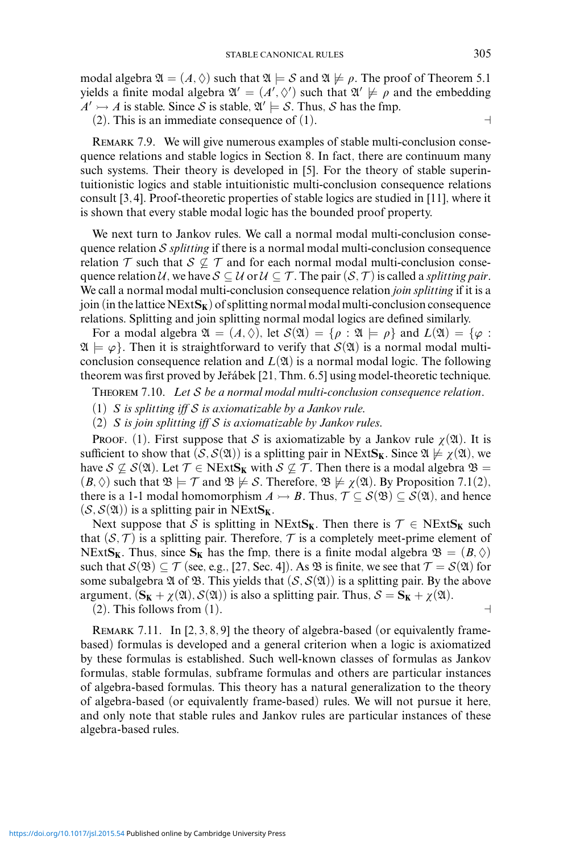modal algebra  $\mathfrak{A} = (A, \Diamond)$  such that  $\mathfrak{A} \models S$  and  $\mathfrak{A} \not\models \rho$ . The proof of Theorem 5.1 yields a finite modal algebra  $\mathfrak{A}' = (A', \Diamond')$  such that  $\mathfrak{A}' \not\models \rho$  and the embedding  $A' \rightarrow A$  is stable. Since S is stable,  $\mathfrak{A}' \models S$ . Thus, S has the fmp.

(2). This is an immediate consequence of (1).  $\Box$ 

REMARK 7.9. We will give numerous examples of stable multi-conclusion consequence relations and stable logics in Section 8. In fact, there are continuum many such systems. Their theory is developed in [5]. For the theory of stable superintuitionistic logics and stable intuitionistic multi-conclusion consequence relations consult [3, 4]. Proof-theoretic properties of stable logics are studied in [11], where it is shown that every stable modal logic has the bounded proof property.

We next turn to Jankov rules. We call a normal modal multi-conclusion consequence relation S *splitting* if there is a normal modal multi-conclusion consequence relation  $\tau$  such that  $\mathcal{S} \not\subseteq \tau$  and for each normal modal multi-conclusion consequence relation U, we have  $S \subseteq U$  or  $U \subseteq T$ . The pair  $(S, \mathcal{T})$  is called a *splitting pair*. We call a normal modal multi-conclusion consequence relation *join splitting* if it is a join (in the lattice  $NExtS_K$ ) of splitting normal modal multi-conclusion consequence relations. Splitting and join splitting normal modal logics are defined similarly.

For a modal algebra  $\mathfrak{A} = (A, \Diamond)$ , let  $\mathcal{S}(\mathfrak{A}) = \{ \rho : \mathfrak{A} \models \rho \}$  and  $L(\mathfrak{A}) = \{ \varphi : \varphi \in \mathfrak{A} \}$  $\mathfrak{A} \models \varphi$ . Then it is straightforward to verify that  $\mathcal{S}(\mathfrak{A})$  is a normal modal multiconclusion consequence relation and  $L(\mathfrak{A})$  is a normal modal logic. The following theorem was first proved by Jeřábek [21, Thm. 6.5] using model-theoretic technique.

Theorem 7.10. *Let* S *be a normal modal multi-conclusion consequence relation.*

(1) *S is splitting iff* S *is axiomatizable by a Jankov rule.*

(2) *S is join splitting iff* S *is axiomatizable by Jankov rules.*

PROOF. (1). First suppose that S is axiomatizable by a Jankov rule  $\gamma(\mathfrak{A})$ . It is sufficient to show that  $(S, S(\mathfrak{A}))$  is a splitting pair in NExtS<sub>K</sub>. Since  $\mathfrak{A} \not\models \chi(\mathfrak{A})$ , we have  $S \nsubseteq S(\mathfrak{A})$ . Let  $\mathcal{T} \in \text{NExtS}_{\mathbf{K}}$  with  $S \nsubseteq \mathcal{T}$ . Then there is a modal algebra  $\mathfrak{B} =$  $(B, \Diamond)$  such that  $\mathfrak{B} \models \mathcal{T}$  and  $\mathfrak{B} \not\models S$ . Therefore,  $\mathfrak{B} \not\models \chi(\mathfrak{A})$ . By Proposition 7.1(2), there is a 1-1 modal homomorphism  $A \rightarrow B$ . Thus,  $\mathcal{T} \subseteq \mathcal{S}(\mathfrak{B}) \subseteq \mathcal{S}(\mathfrak{A})$ , and hence  $(S, S(\mathfrak{A}))$  is a splitting pair in NExtS<sub>K</sub>.

Next suppose that S is splitting in NExt $S_K$ . Then there is  $\mathcal{T} \in \text{NEx}$ t $S_K$  such that  $(S, \mathcal{T})$  is a splitting pair. Therefore,  $\mathcal{T}$  is a completely meet-prime element of NExtS<sub>K</sub>. Thus, since S<sub>K</sub> has the fmp, there is a finite modal algebra  $\mathfrak{B} = (B, \Diamond)$ such that  $S(\mathfrak{B}) \subseteq \mathcal{T}$  (see, e.g., [27, Sec. 4]). As  $\mathfrak{B}$  is finite, we see that  $\mathcal{T} = S(\mathfrak{A})$  for some subalgebra  $\mathfrak A$  of  $\mathfrak B$ . This yields that  $(S, S(\mathfrak A))$  is a splitting pair. By the above argument,  $(S_K + \chi(\mathfrak{A}), S(\mathfrak{A}))$  is also a splitting pair. Thus,  $S = S_K + \chi(\mathfrak{A})$ . (2). This follows from (1).

REMARK 7.11. In [2, 3, 8, 9] the theory of algebra-based (or equivalently framebased) formulas is developed and a general criterion when a logic is axiomatized by these formulas is established. Such well-known classes of formulas as Jankov formulas, stable formulas, subframe formulas and others are particular instances of algebra-based formulas. This theory has a natural generalization to the theory of algebra-based (or equivalently frame-based) rules. We will not pursue it here, and only note that stable rules and Jankov rules are particular instances of these algebra-based rules.

<https://doi.org/10.1017/jsl.2015.54> Published online by Cambridge University Press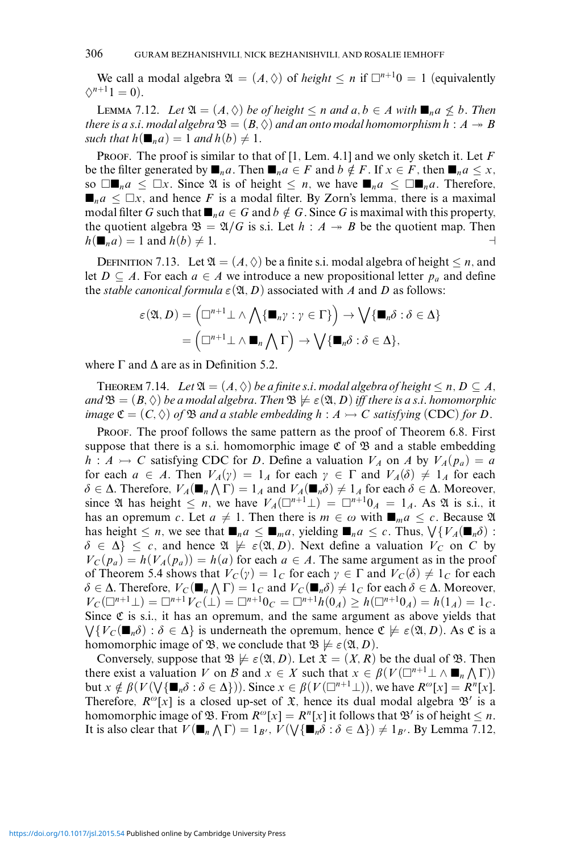We call a modal algebra  $\mathfrak{A} = (A, \Diamond)$  of *height*  $\leq n$  if  $\Box^{n+1}0 = 1$  (equivalently  $\Diamond^{n+1}1=0$ .

LEMMA 7.12. *Let*  $\mathfrak{A} = (A, \Diamond)$  *be of height* ≤ *n and a, b* ∈ *A with*  $\blacksquare_n a$  ≰ *b. Then there is a s.i. modal algebra*  $\mathfrak{B} = (B, \Diamond)$  *and an onto modal homomorphism h* :  $A \rightarrow B$ *such that*  $h(\blacksquare_n a) = 1$  *and*  $h(b) \neq 1$ .

PROOF. The proof is similar to that of [1, Lem. 4.1] and we only sketch it. Let F be the filter generated by  $\blacksquare_n a$ . Then  $\blacksquare_n a \in F$  and  $b \notin F$ . If  $x \in F$ , then  $\blacksquare_n a \leq x$ , so  $\square$ **n**<sub>n</sub> $a \leq \square x$ . Since  $\mathfrak{A}$  is of height  $\leq n$ , we have  $\blacksquare_n a \leq \square \blacksquare_n a$ . Therefore,  $\blacksquare_n a \leq \square x$ , and hence *F* is a modal filter. By Zorn's lemma, there is a maximal modal filter *G* such that  $\blacksquare_n a \in G$  and  $b \notin G$ . Since *G* is maximal with this property, the quotient algebra  $\mathfrak{B} = \mathfrak{A}/G$  is s.i. Let  $h : A \rightarrow B$  be the quotient map. Then  $h(\blacksquare_n a) = 1$  and  $h(b) \neq 1$ .

DEFINITION 7.13. Let  $\mathfrak{A} = (A, \Diamond)$  be a finite s.i. modal algebra of height  $\leq n$ , and let *D*  $\subseteq$  *A*. For each *a*  $\in$  *A* we introduce a new propositional letter  $p_a$  and define the *stable canonical formula*  $\varepsilon(\mathfrak{A}, D)$  associated with *A* and *D* as follows:

$$
\varepsilon(\mathfrak{A}, D) = (\square^{n+1} \bot \wedge \bigwedge \{\blacksquare_n \gamma : \gamma \in \Gamma\}) \rightarrow \bigvee \{\blacksquare_n \delta : \delta \in \Delta\}
$$

$$
= (\square^{n+1} \bot \wedge \blacksquare_n \bigwedge \Gamma) \rightarrow \bigvee \{\blacksquare_n \delta : \delta \in \Delta\},
$$

where  $\Gamma$  and  $\Delta$  are as in Definition 5.2.

THEOREM 7.14. Let  $\mathfrak{A} = (A, \Diamond)$  be a finite s.i. modal algebra of height  $\leq n, D \subseteq A$ ,  $\mathcal{B} = (B, \Diamond)$  *be a modal algebra. Then*  $\mathfrak{B} \not\models \varepsilon(\mathfrak{A}, D)$  *iff there is a s.i. homomorphic image*  $\mathfrak{C} = (C, \Diamond)$  *of*  $\mathfrak{B}$  *and a stable embedding*  $h : A \rightarrowtail C$  *satisfying* (CDC) *for D*.

Proof. The proof follows the same pattern as the proof of Theorem 6.8. First suppose that there is a s.i. homomorphic image  $\mathfrak C$  of  $\mathfrak B$  and a stable embedding  $h: A \rightarrow C$  satisfying CDC for *D*. Define a valuation  $V_A$  on *A* by  $V_A(p_a) = a$ for each  $a \in A$ . Then  $V_A(\gamma) = 1_A$  for each  $\gamma \in \Gamma$  and  $V_A(\delta) \neq 1_A$  for each  $\delta \in \Delta$ . Therefore,  $V_A(\blacksquare_n \wedge \Gamma) = 1_A$  and  $V_A(\blacksquare_n \delta) \neq 1_A$  for each  $\delta \in \Delta$ . Moreover, since  $\mathfrak A$  has height  $\leq n$ , we have  $V_A(\square^{n+1}\bot) = \square^{n+1}0_A = 1_A$ . As  $\mathfrak A$  is s.i., it has an opremum *c*. Let  $a \neq 1$ . Then there is  $m \in \omega$  with  $\blacksquare_m a \leq c$ . Because  $\mathfrak A$ has height  $\leq n$ , we see that  $\blacksquare_n a \leq \blacksquare_m a$ , yielding  $\blacksquare_n a \leq c$ . Thus,  $\bigvee \{V_A(\blacksquare_n \delta) :$  $\delta \in \Delta$   $\leq c$ , and hence  $\mathfrak{A} \not\models \varepsilon(\mathfrak{A}, D)$ . Next define a valuation  $V_C$  on C by  $V_c(p_a) = h(V_A(p_a)) = h(a)$  for each  $a \in A$ . The same argument as in the proof of Theorem 5.4 shows that  $V_C(y) = 1_C$  for each  $\gamma \in \Gamma$  and  $V_C(\delta) \neq 1_C$  for each  $\delta \in \Delta$ . Therefore,  $V_C(\blacksquare_n \wedge \Gamma) = 1_C$  and  $V_C(\blacksquare_n \delta) \neq 1_C$  for each  $\delta \in \Delta$ . Moreover,  $V_C(\square^{n+1} \bot) = \square^{n+1} V_C(\bot) = \square^{n+1} 0_C = \square^{n+1} h(0_A) \ge h(\square^{n+1} 0_A) = h(1_A) = 1_C$ . Since  $\mathfrak C$  is s.i., it has an opremum, and the same argument as above yields that  $\bigvee \{V_C(\blacksquare_n \delta) : \delta \in \Delta\}$  is underneath the opremum, hence  $\mathfrak{C} \not\models \varepsilon(\mathfrak{A}, D)$ . As  $\mathfrak{C}$  is a homomorphic image of  $\mathfrak{B}$ , we conclude that  $\mathfrak{B} \not\models \varepsilon(\mathfrak{A}, D)$ .

Conversely, suppose that  $\mathfrak{B} \not\models \varepsilon(\mathfrak{A}, D)$ . Let  $\mathfrak{X} = (X, R)$  be the dual of  $\mathfrak{B}$ . Then there exist a valuation *V* on *B* and  $x \in X$  such that  $x \in \beta(V(\square^{n+1} \perp \wedge \blacksquare_n \wedge \Gamma))$ but  $x \notin \beta(V(\bigvee {\{\blacksquare_{n} \delta : \delta \in \Delta\}}))$ . Since  $x \in \beta(V(\square^{n+1} \bot))$ , we have  $R^{\omega}[x] = R^{n}[x]$ . Therefore,  $R^{\omega}[x]$  is a closed up-set of  $\mathfrak{X}$ , hence its dual modal algebra  $\mathfrak{B}'$  is a homomorphic image of  $\mathfrak{B}$ . From  $R^{\omega}[x] = R^{n}[x]$  it follows that  $\mathfrak{B}'$  is of height  $\leq n$ . It is also clear that  $V(\blacksquare_n \wedge \Gamma) = 1_{B'}$ ,  $V(\bigvee {\blacksquare} n\delta : \delta \in \Delta) \neq 1_{B'}$ . By Lemma 7.12,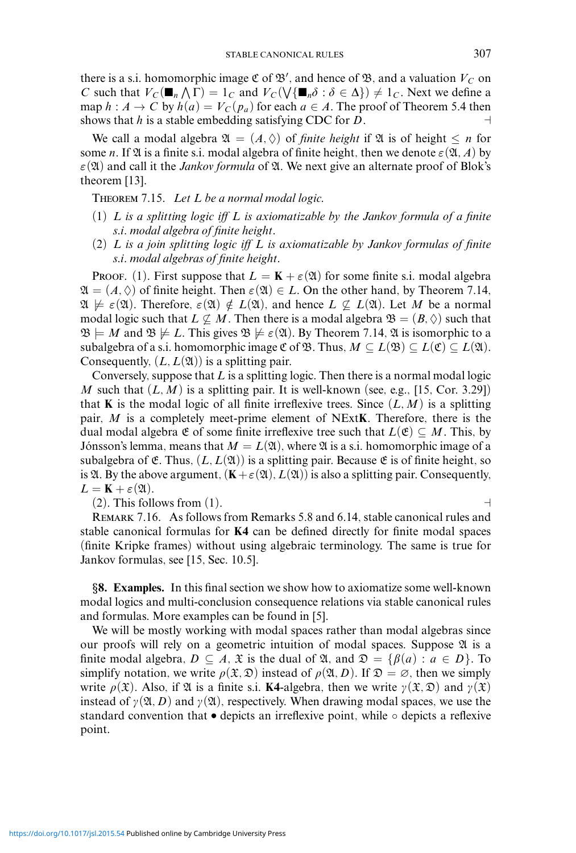there is a s.i. homomorphic image  $\mathfrak{C}$  of  $\mathfrak{B}'$ , and hence of  $\mathfrak{B}$ , and a valuation  $V_C$  on *C* such that  $V_C(\blacksquare_n \wedge \Gamma) = 1_C$  and  $V_C(\bigvee \{\blacksquare_n \delta : \delta \in \Delta\}) \neq 1_C$ . Next we define a map  $h : A \to C$  by  $h(a) = V_C(p_a)$  for each  $a \in A$ . The proof of Theorem 5.4 then shows that *h* is a stable embedding satisfying CDC for *D*.

We call a modal algebra  $\mathfrak{A} = (A, \Diamond)$  of *finite height* if  $\mathfrak{A}$  is of height  $\leq n$  for some *n*. If  $\mathfrak A$  is a finite s.i. modal algebra of finite height, then we denote  $\varepsilon(\mathfrak A, A)$  by  $\varepsilon(\mathfrak{A})$  and call it the *Jankov formula* of  $\mathfrak{A}$ . We next give an alternate proof of Blok's theorem [13].

Theorem 7.15. *Let L be a normal modal logic.*

- (1) *L is a splitting logic iff L is axiomatizable by the Jankov formula of a finite s.i. modal algebra of finite height.*
- (2) *L is a join splitting logic iff L is axiomatizable by Jankov formulas of finite s.i. modal algebras of finite height.*

PROOF. (1). First suppose that  $L = \mathbf{K} + \varepsilon(\mathfrak{A})$  for some finite s.i. modal algebra  $\mathfrak{A} = (A, \Diamond)$  of finite height. Then  $\varepsilon(\mathfrak{A}) \in L$ . On the other hand, by Theorem 7.14,  $\mathfrak{A} \not\models \varepsilon(\mathfrak{A})$ . Therefore,  $\varepsilon(\mathfrak{A}) \notin L(\mathfrak{A})$ , and hence  $L \not\subseteq L(\mathfrak{A})$ . Let M be a normal modal logic such that  $L \nsubseteq M$ . Then there is a modal algebra  $\mathfrak{B} = (B, \Diamond)$  such that  $\mathfrak{B} \models M$  and  $\mathfrak{B} \not\models L$ . This gives  $\mathfrak{B} \not\models \varepsilon(\mathfrak{A})$ . By Theorem 7.14,  $\mathfrak{A}$  is isomorphic to a subalgebra of a s.i. homomorphic image  $\mathfrak{C}$  of  $\mathfrak{B}$ . Thus,  $M \subseteq L(\mathfrak{B}) \subseteq L(\mathfrak{C}) \subseteq L(\mathfrak{A})$ . Consequently,  $(L, L(\mathfrak{A}))$  is a splitting pair.

Conversely, suppose that *L* is a splitting logic. Then there is a normal modal logic *M* such that  $(L, M)$  is a splitting pair. It is well-known (see, e.g., [15, Cor. 3.29]) that **K** is the modal logic of all finite irreflexive trees. Since  $(L, M)$  is a splitting pair, *M* is a completely meet-prime element of NExt**K**. Therefore, there is the dual modal algebra  $\mathfrak E$  of some finite irreflexive tree such that  $L(\mathfrak E) \subseteq M$ . This, by Jónsson's lemma, means that  $M = L(\mathfrak{A})$ , where  $\mathfrak A$  is a s.i. homomorphic image of a subalgebra of  $\mathfrak{E}$ . Thus,  $(L, L(\mathfrak{A}))$  is a splitting pair. Because  $\mathfrak{E}$  is of finite height, so is  $\mathfrak{A}$ . By the above argument,  $(\mathbf{K} + \varepsilon(\mathfrak{A}), L(\mathfrak{A}))$  is also a splitting pair. Consequently,  $L = \mathbf{K} + \varepsilon(\mathfrak{A}).$ 

 $(2)$ . This follows from  $(1)$ .

Remark 7.16. As follows from Remarks 5.8 and 6.14, stable canonical rules and stable canonical formulas for **K4** can be defined directly for finite modal spaces (finite Kripke frames) without using algebraic terminology. The same is true for Jankov formulas, see [15, Sec. 10.5].

*§***8. Examples.** In this final section we show how to axiomatize some well-known modal logics and multi-conclusion consequence relations via stable canonical rules and formulas. More examples can be found in [5].

We will be mostly working with modal spaces rather than modal algebras since our proofs will rely on a geometric intuition of modal spaces. Suppose  $\mathfrak A$  is a finite modal algebra,  $D \subseteq A$ ,  $\mathfrak X$  is the dual of  $\mathfrak A$ , and  $\mathfrak D = \{ \beta(a) : a \in D \}$ . To simplify notation, we write  $\rho(\mathfrak{X}, \mathfrak{D})$  instead of  $\rho(\mathfrak{A}, D)$ . If  $\mathfrak{D} = \emptyset$ , then we simply write  $\rho(\mathfrak{X})$ . Also, if  $\mathfrak{A}$  is a finite s.i. **K4**-algebra, then we write  $\gamma(\mathfrak{X}, \mathfrak{D})$  and  $\gamma(\mathfrak{X})$ instead of  $\gamma(\mathfrak{A}, D)$  and  $\gamma(\mathfrak{A})$ , respectively. When drawing modal spaces, we use the standard convention that  $\bullet$  depicts an irreflexive point, while  $\circ$  depicts a reflexive point.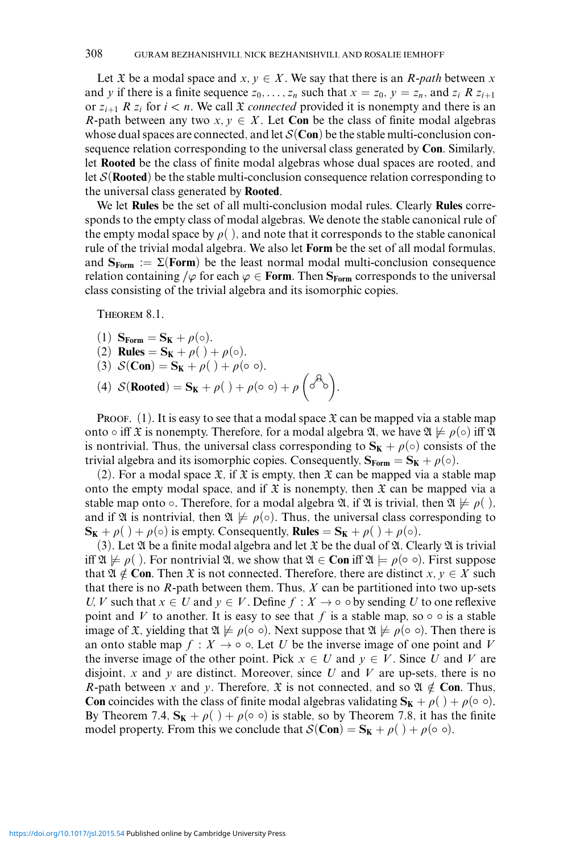Let  $\mathfrak X$  be a modal space and  $x, y \in X$ . We say that there is an *R*-path between x and *y* if there is a finite sequence  $z_0, \ldots, z_n$  such that  $x = z_0$ ,  $y = z_n$ , and  $z_i$  *R*  $z_{i+1}$ or  $z_{i+1}$  *R*  $z_i$  for  $i < n$ . We call  $\mathfrak X$  *connected* provided it is nonempty and there is an *R*-path between any two  $x, y \in X$ . Let **Con** be the class of finite modal algebras whose dual spaces are connected, and let  $S(\text{Con})$  be the stable multi-conclusion consequence relation corresponding to the universal class generated by **Con**. Similarly, let **Rooted** be the class of finite modal algebras whose dual spaces are rooted, and let S(**Rooted**) be the stable multi-conclusion consequence relation corresponding to the universal class generated by **Rooted**.

We let **Rules** be the set of all multi-conclusion modal rules. Clearly **Rules** corresponds to the empty class of modal algebras. We denote the stable canonical rule of the empty modal space by  $\rho(.)$ , and note that it corresponds to the stable canonical rule of the trivial modal algebra. We also let **Form** be the set of all modal formulas, and  $S_{\text{Form}} := \Sigma(\text{Form})$  be the least normal modal multi-conclusion consequence relation containing / $\varphi$  for each  $\varphi \in$  **Form**. Then **S**<sub>Form</sub> corresponds to the universal class consisting of the trivial algebra and its isomorphic copies.

THEOREM 8.1.

(1)  $\mathbf{S}_{\text{Form}} = \mathbf{S}_{\text{K}} + \rho(\circ).$ (2) **Rules** =  $S_K + \rho( ) + \rho( \circ ).$ (3)  $S(\text{Con}) = S_K + \rho( ) + \rho( \circ \circ ).$ (4)  $S(\text{Rooted}) = \mathbf{S_K} + \rho(\ ) + \rho(\circ \circ) + \rho\left(\circ^{\mathcal{A}_\lozenge}\right).$ 

**PROOF.** (1). It is easy to see that a modal space  $\mathfrak X$  can be mapped via a stable map onto  $\circ$  iff  $\mathfrak X$  is nonempty. Therefore, for a modal algebra  $\mathfrak A$ , we have  $\mathfrak A \not\models \rho(\circ)$  iff  $\mathfrak A$ is nontrivial. Thus, the universal class corresponding to  $S_K + \rho(\circ)$  consists of the trivial algebra and its isomorphic copies. Consequently,  $S_{\text{Form}} = S_K + \rho(\circ)$ .

(2). For a modal space  $\mathfrak{X}$ , if  $\mathfrak{X}$  is empty, then  $\mathfrak{X}$  can be mapped via a stable map onto the empty modal space, and if  $\mathfrak X$  is nonempty, then  $\mathfrak X$  can be mapped via a stable map onto  $\circ$ . Therefore, for a modal algebra  $\mathfrak{A}$ , if  $\mathfrak{A}$  is trivial, then  $\mathfrak{A} \not\models \rho(.)$ , and if  $\mathfrak A$  is nontrivial, then  $\mathfrak A \not\models \rho(\circ)$ . Thus, the universal class corresponding to  $\mathbf{S_K} + \rho() + \rho(\circ)$  is empty. Consequently, **Rules** =  $\mathbf{S_K} + \rho() + \rho(\circ)$ .

(3). Let  $\mathfrak A$  be a finite modal algebra and let  $\mathfrak X$  be the dual of  $\mathfrak A$ . Clearly  $\mathfrak A$  is trivial iff  $\mathfrak{A} \not\models \rho$  ( ). For nontrivial  $\mathfrak{A}$ , we show that  $\mathfrak{A} \in \mathbf{Con}$  iff  $\mathfrak{A} \models \rho$  ( $\circ$   $\circ$ ). First suppose that  $\mathfrak{A} \notin \mathbf{Con}$ . Then  $\mathfrak{X}$  is not connected. Therefore, there are distinct *x*,  $y \in X$  such that there is no *R*-path between them. Thus, *X* can be partitioned into two up-sets *U, V* such that  $x \in U$  and  $y \in V$ . Define  $f : X \to \circ \circ$  by sending *U* to one reflexive point and *V* to another. It is easy to see that *f* is a stable map, so  $\circ$   $\circ$  is a stable image of  $\mathfrak{X}$ , yielding that  $\mathfrak{A} \not\models \rho(\circ \circ)$ . Next suppose that  $\mathfrak{A} \not\models \rho(\circ \circ)$ . Then there is an onto stable map  $f : X \to \infty$ . Let *U* be the inverse image of one point and *V* the inverse image of the other point. Pick  $x \in U$  and  $y \in V$ . Since *U* and *V* are disjoint, *x* and *y* are distinct. Moreover, since *U* and *V* are up-sets, there is no *R*-path between *x* and *y*. Therefore,  $\mathfrak{X}$  is not connected, and so  $\mathfrak{A} \notin \mathbf{Con}$ . Thus, **Con** coincides with the class of finite modal algebras validating  $S_K + \rho() + \rho(\circ \circ)$ . By Theorem 7.4,  $S_K + \rho() + \rho(\circ \circ)$  is stable, so by Theorem 7.8, it has the finite model property. From this we conclude that  $\mathcal{S}(\mathbf{Con}) = \mathbf{S_K} + \rho( ) + \rho( \circ \circ ).$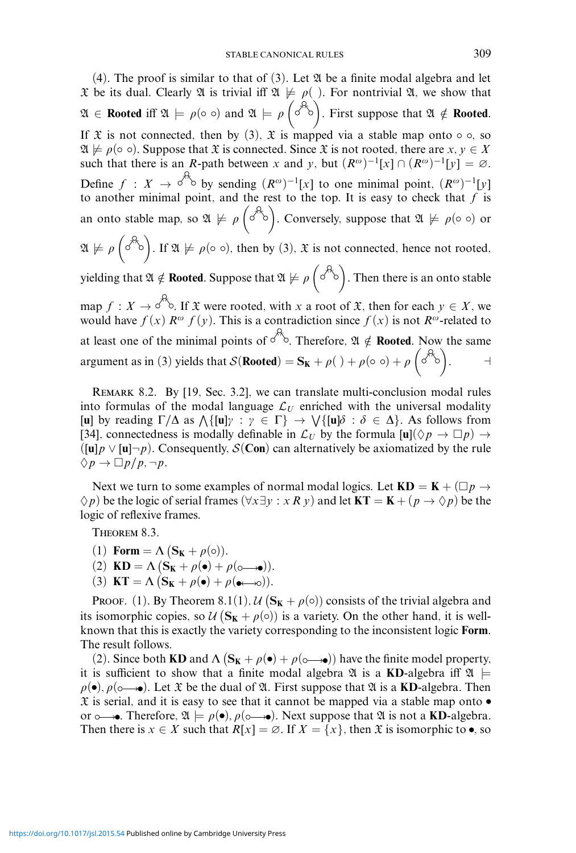$(4)$ . The proof is similar to that of  $(3)$ . Let  $\mathfrak A$  be a finite modal algebra and let  $\mathfrak X$  be its dual. Clearly  $\mathfrak A$  is trivial iff  $\mathfrak A \not\models \rho( \cdot )$ . For nontrivial  $\mathfrak A$ , we show that  $\mathfrak{A} \in \mathbf{Rooted}$  iff  $\mathfrak{A} \models \rho(\circ \circ)$  and  $\mathfrak{A} \models \rho \left( \circ^{\mathcal{A}_{\diamond}} \right)$ . First suppose that  $\mathfrak{A} \notin \mathbf{Rooted}$ . If  $\mathfrak X$  is not connected, then by (3),  $\mathfrak X$  is mapped via a stable map onto  $\circ \circ$ , so  $\mathfrak{A} \not\models \rho$  ( $\circ$   $\circ$ ). Suppose that  $\mathfrak{X}$  is connected. Since  $\mathfrak{X}$  is not rooted, there are  $x, y \in X$ such that there is an *R*-path between *x* and *y*, but  $(R^{\omega})^{-1}[x] \cap (R^{\omega})^{-1}[y] = \emptyset$ . Define  $f : X \to \infty$  by sending  $(R^{\omega})^{-1}[x]$  to one minimal point,  $(R^{\omega})^{-1}[y]$ to another minimal point, and the rest to the top. It is easy to check that *f* is an onto stable map, so  $\mathfrak{A} \not\models \rho \left( \stackrel{\rightarrow}{\diamond} \right)$ . Conversely, suppose that  $\mathfrak{A} \not\models \rho (\circ \circ)$  or  $\mathfrak{A} \not\models \rho \left( \stackrel{\partial^2}{\circ} \right)$ . If  $\mathfrak{A} \not\models \rho (\circ \circ)$ , then by (3),  $\mathfrak{X}$  is not connected, hence not rooted, yielding that  $\mathfrak{A} \notin \mathbf{Rooted}.$  Suppose that  $\mathfrak{A} \not\models \rho \left( \stackrel{\curvearrowleft}{\curvearrowright} \right).$  Then there is an onto stable map  $f: X \to \infty$ . If  $\mathfrak X$  were rooted, with *x* a root of  $\mathfrak X$ , then for each  $y \in X$ , we would have  $f(x)$   $R^{\omega} f(y)$ . This is a contradiction since  $f(x)$  is not  $R^{\omega}$ -related to at least one of the minimal points of  $\sigma^2$ . Therefore,  $\mathfrak{A} \notin \mathbf{Rooted}$ . Now the same argument as in (3) yields that  $S(\text{Rooted}) = \mathbf{S_K} + \rho(\ ) + \rho(\circ \circ) + \rho\left(\circ \overset{\mathcal{A}_\circ}{\circ}\right)$ .

Remark 8.2. By [19, Sec. 3.2], we can translate multi-conclusion modal rules into formulas of the modal language  $\mathcal{L}_U$  enriched with the universal modality [**u**] by reading  $\Gamma/\Delta$  as  $\Lambda\{[\mathbf{u}] \gamma : \gamma \in \Gamma\} \to \mathrm{V}\{[\mathbf{u}] \delta : \delta \in \Delta\}$ . As follows from [34], connectedness is modally definable in  $\mathcal{L}_U$  by the formula  $[\mathbf{u}](\Diamond p \to \Box p) \to$  $(\lceil u \rceil p \vee \lceil u \rceil \neg p)$ . Consequently,  $S(\text{Con})$  can alternatively be axiomatized by the rule  $\Diamond p \rightarrow \Box p/p, \neg p.$ 

Next we turn to some examples of normal modal logics. Let  $KD = K + (\Box p \rightarrow$  $\Diamond p$ ) be the logic of serial frames ( $\forall x \exists y : x \in R$ *y*) and let  $KT = K + (p \rightarrow \Diamond p)$  be the logic of reflexive frames.

Theorem 8.3.

- (1) **Form** =  $\Lambda$  (**S<sub>K</sub>** +  $\rho$ ( $\circ$ )).
- (2)  $\mathbf{KD} = \Lambda \left( \mathbf{S_K} + \rho \left( \bullet \right) + \rho \left( \circ \!\!\!\! \rightarrow \!\!\! \bullet \right) \right).$
- (3) **KT** =  $\Lambda$  (**S<sub>K</sub>** +  $\rho$ ( $\bullet$ ) +  $\rho$ ( $\bullet \rightarrow \infty$ )).

PROOF. (1). By Theorem 8.1(1),  $\mathcal{U}(\mathbf{S_K} + \rho(o))$  consists of the trivial algebra and its isomorphic copies, so  $\mathcal{U}(\mathbf{S_K} + \rho(\circ))$  is a variety. On the other hand, it is wellknown that this is exactly the variety corresponding to the inconsistent logic **Form**. The result follows.

(2). Since both **KD** and  $\Lambda$  ( $S_K + \rho(\bullet) + \rho(\circ \rightarrow \bullet)$ ) have the finite model property, it is sufficient to show that a finite modal algebra  $\mathfrak{A}$  is a **KD**-algebra iff  $\mathfrak{A} \models$  $\rho(\bullet)$ ,  $\rho(\circ \rightarrow \bullet)$ . Let  $\mathfrak X$  be the dual of  $\mathfrak A$ . First suppose that  $\mathfrak A$  is a **KD**-algebra. Then  $\mathfrak X$  is serial, and it is easy to see that it cannot be mapped via a stable map onto  $\bullet$ or  $\circ \rightarrow$ . Therefore,  $\mathfrak{A} \models \rho(\bullet), \rho(\circ \rightarrow \bullet)$ . Next suppose that  $\mathfrak{A}$  is not a **KD**-algebra. Then there is  $x \in X$  such that  $R[x] = \emptyset$ . If  $X = \{x\}$ , then  $\mathfrak X$  is isomorphic to  $\bullet$ , so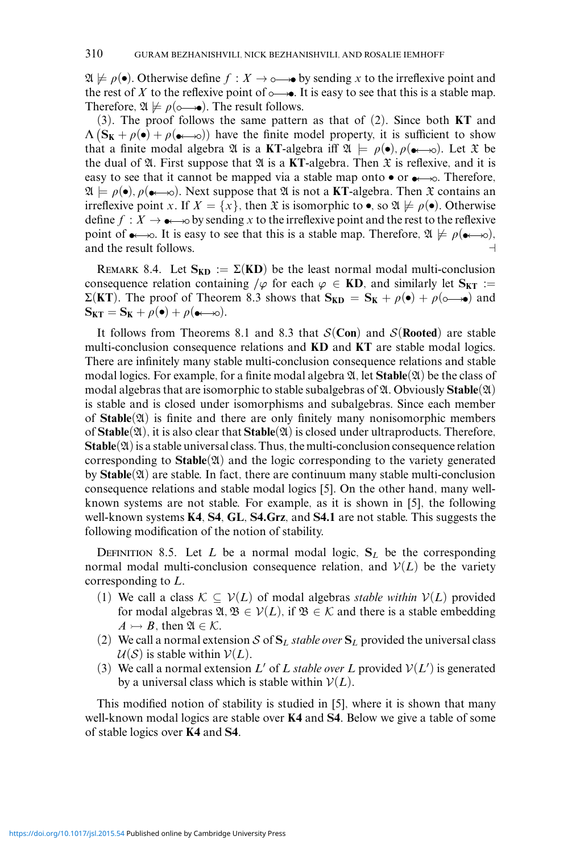$\mathfrak{A} \not\models \rho(\bullet)$ . Otherwise define  $f : X \rightarrow \circ \rightarrow \bullet$  by sending x to the irreflexive point and the rest of *X* to the reflexive point of  $\rightarrow$ . It is easy to see that this is a stable map. Therefore,  $\mathfrak{A} \not\models \rho(\circ \rightarrow \bullet)$ . The result follows.

(3). The proof follows the same pattern as that of (2). Since both **KT** and  $\Lambda (S_K + \rho(s) + \rho(s \rightarrow s))$  have the finite model property, it is sufficient to show that a finite modal algebra  $\mathfrak A$  is a **KT**-algebra iff  $\mathfrak A \models \rho(\bullet), \rho(\bullet \rightarrow \infty)$ . Let  $\mathfrak X$  be the dual of  $\mathfrak A$ . First suppose that  $\mathfrak A$  is a **KT**-algebra. Then  $\mathfrak X$  is reflexive, and it is easy to see that it cannot be mapped via a stable map onto  $\bullet$  or  $\bullet \rightarrow \infty$ . Therefore,  $\mathfrak{A} \models \rho(\bullet), \rho(\bullet \rightarrow \circ)$ . Next suppose that  $\mathfrak{A}$  is not a **KT**-algebra. Then  $\mathfrak{X}$  contains an irreflexive point *x*. If  $X = \{x\}$ , then  $\mathfrak X$  is isomorphic to  $\bullet$ , so  $\mathfrak A \not\models \rho(\bullet)$ . Otherwise define  $f : X \to \bullet$  by sending *x* to the irreflexive point and the rest to the reflexive point of  $\rightarrow \infty$ . It is easy to see that this is a stable map. Therefore,  $\mathfrak{A} \not\models \rho(\rightarrow \infty)$ , and the result follows.

REMARK 8.4. Let  $S_{KD} := \Sigma(KD)$  be the least normal modal multi-conclusion consequence relation containing  $/\varphi$  for each  $\varphi \in \mathbf{KD}$ , and similarly let  $\mathbf{S}_{\mathbf{KT}} :=$  $\Sigma(KT)$ . The proof of Theorem 8.3 shows that  $S_{KD} = S_K + \rho(\bullet) + \rho(\circ \rightarrow \bullet)$  and  $\mathbf{S}_{\mathbf{KT}} = \mathbf{S}_{\mathbf{K}} + \rho(\bullet) + \rho(\bullet \longleftrightarrow \circ).$ 

It follows from Theorems 8.1 and 8.3 that  $S(Con)$  and  $S(Rooted)$  are stable multi-conclusion consequence relations and **KD** and **KT** are stable modal logics. There are infinitely many stable multi-conclusion consequence relations and stable modal logics. For example, for a finite modal algebra  $\mathfrak{A}$ , let **Stable**( $\mathfrak{A}$ ) be the class of modal algebras that are isomorphic to stable subalgebras of  $\mathfrak{A}$ . Obviously **Stable** $(\mathfrak{A})$ is stable and is closed under isomorphisms and subalgebras. Since each member of **Stable**(A) is finite and there are only finitely many nonisomorphic members of **Stable**(A), it is also clear that **Stable**(A) is closed under ultraproducts. Therefore,  $\mathbf{Stable}(\mathfrak{A})$  is a stable universal class. Thus, the multi-conclusion consequence relation corresponding to **Stable**(21) and the logic corresponding to the variety generated by  $\text{Stable}(\mathfrak{A})$  are stable. In fact, there are continuum many stable multi-conclusion consequence relations and stable modal logics [5]. On the other hand, many wellknown systems are not stable. For example, as it is shown in [5], the following well-known systems **K4**, **S4**, **GL**, **S4.Grz**, and **S4.1** are not stable. This suggests the following modification of the notion of stability.

DEFINITION 8.5. Let *L* be a normal modal logic,  $S_L$  be the corresponding normal modal multi-conclusion consequence relation, and  $V(L)$  be the variety corresponding to *L*.

- (1) We call a class  $K \subseteq V(L)$  of modal algebras *stable within*  $V(L)$  provided for modal algebras  $\mathfrak{A}, \mathfrak{B} \in \mathcal{V}(L)$ , if  $\mathfrak{B} \in \mathcal{K}$  and there is a stable embedding  $A \rightarrow B$ , then  $\mathfrak{A} \in \mathcal{K}$ .
- (2) We call a normal extension S of  $S_L$  *stable over*  $S_L$  provided the universal class  $U(S)$  is stable within  $V(L)$ .
- (3) We call a normal extension L' of L *stable over* L provided  $V(L')$  is generated by a universal class which is stable within  $V(L)$ .

This modified notion of stability is studied in [5], where it is shown that many well-known modal logics are stable over **K4** and **S4**. Below we give a table of some of stable logics over **K4** and **S4**.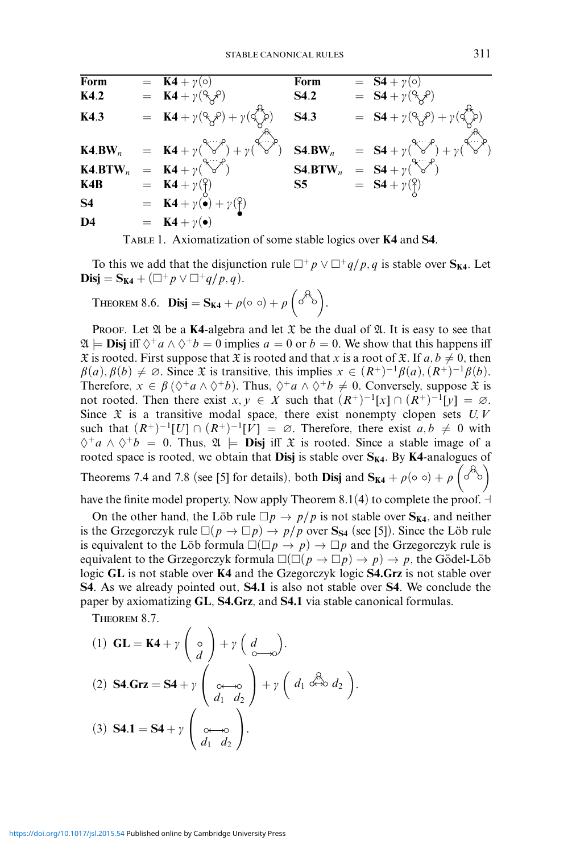| Form                | $=$ K4+y(o)                                                                                                                           | Form        | $=$ $\overline{S4} + \gamma(0)$                                                                  |
|---------------------|---------------------------------------------------------------------------------------------------------------------------------------|-------------|--------------------------------------------------------------------------------------------------|
| K4.2                | $=$ <b>K4</b> + $\gamma$ ( $\beta$ $\chi$ $\beta$ )                                                                                   | <b>S4.2</b> | $=$ <b>S4</b> + $\gamma$ ( $\beta$ $\gamma$ $\beta$ )                                            |
| K4.3                | = $\mathbf{K4} + \gamma (\overset{\circ}{\gamma} \overset{\circ}{\gamma}) + \gamma (\overset{\circ}{\gamma} \overset{\circ}{\gamma})$ | S4.3        | = $S4 + \gamma(\alpha_{\mathcal{S}}^{\mathcal{S}}) + \gamma(\alpha_{\mathcal{S}}^{\mathcal{S}})$ |
| $K4.BW_n$           | = $K4 + \gamma(\sqrt[3]{\gamma^2}) + \gamma(\sqrt[3]{\gamma^3})$                                                                      | $S4.BW_n$   | = $S4 + \gamma(\sqrt[3]{\gamma^2}) + \gamma(\sqrt[4]{\gamma^2})$                                 |
| K4.BTW <sub>n</sub> | $=$ <b>K4</b> + $\gamma(\sqrt{c^2})$                                                                                                  |             | <b>S4.BTW</b> <sub>n</sub> = $S4 + \gamma(\sqrt{3\pi})$                                          |
| K4B                 | $=$ <b>K4</b> + $\gamma$ ( $\beta$ )                                                                                                  | S5          | $= S4 + \gamma(\hat{ })}$                                                                        |
| <b>S4</b>           | $=$ <b>K4</b> + $\gamma(\bullet)$ + $\gamma(\uparrow)$                                                                                |             |                                                                                                  |
| D <sub>4</sub>      | $=$ <b>K4</b> + $\gamma(\bullet)$                                                                                                     |             |                                                                                                  |

Table 1. Axiomatization of some stable logics over **K4** and **S4**.

To this we add that the disjunction rule  $\Box^+ p \lor \Box^+ q/p, q$  is stable over  $S_{K4}$ . Let  $\text{Disj} = \mathbf{S}_{\mathbf{K4}} + (\Box^+ p \vee \Box^+ q/p, q).$ 

THEOREM 8.6. **Disj** = 
$$
S_{K4} + \rho(\circ \circ) + \rho \left( \circ^{A_{\circ}} \right)
$$
.

**PROOF.** Let  $\mathfrak A$  be a **K4**-algebra and let  $\mathfrak X$  be the dual of  $\mathfrak A$ . It is easy to see that  $\mathfrak{A} \models$  **Disj** iff  $\Diamond^+a \land \Diamond^+b = 0$  implies  $a = 0$  or  $b = 0$ . We show that this happens iff  $\mathfrak X$  is rooted. First suppose that  $\mathfrak X$  is rooted and that *x* is a root of  $\mathfrak X$ . If  $a, b \neq 0$ , then  $\beta(a), \beta(b) \neq \emptyset$ . Since  $\mathfrak X$  is transitive, this implies  $x \in (R^+)^{-1}\beta(a), (R^+)^{-1}\beta(b)$ . Therefore,  $x \in \beta$  ( $\Diamond^+ a \land \Diamond^+ b$ ). Thus,  $\Diamond^+ a \land \Diamond^+ b \neq 0$ . Conversely, suppose  $\mathfrak X$  is not rooted. Then there exist  $x, y \in X$  such that  $(R^+)^{-1}[x] \cap (R^+)^{-1}[y] = \emptyset$ . Since  $\mathfrak X$  is a transitive modal space, there exist nonempty clopen sets  $U, V$ such that  $(R^+)^{-1}[U] \cap (R^+)^{-1}[V] = \emptyset$ . Therefore, there exist  $a, b \neq 0$  with  $\diamondsuit^+a \wedge \diamondsuit^+b = 0$ . Thus,  $\mathfrak{A} \models$  **Disj** iff  $\mathfrak{X}$  is rooted. Since a stable image of a rooted space is rooted, we obtain that **Disj** is stable over  $S_{K4}$ . By K4-analogues of Theorems 7.4 and 7.8 (see [5] for details), both **Disj** and  $S_{K4} + \rho(\circ \circ) + \rho\left(\circ^{A}\circ\right)$ 

have the finite model property. Now apply Theorem 8.1(4) to complete the proof.  $\neg$ 

On the other hand, the Löb rule  $\Box p \rightarrow p/p$  is not stable over  $S_{K4}$ , and neither is the Grzegorczyk rule  $\square(p \to \square p) \to p/p$  over  $S_{S4}$  (see [5]). Since the Löb rule is equivalent to the Löb formula  $\square(\square p \to p) \to \square p$  and the Grzegorczyk rule is equivalent to the Grzegorczyk formula  $\square(\square(p\rightarrow \square p)\rightarrow p)\rightarrow p,$  the Gödel-Löb logic **GL** is not stable over **K4** and the Gzegorczyk logic **S4.Grz** is not stable over **S4**. As we already pointed out, **S4.1** is also not stable over **S4**. We conclude the paper by axiomatizing **GL**, **S4.Grz**, and **S4.1** via stable canonical formulas.

Theorem 8.7.

(1) 
$$
\mathbf{GL} = \mathbf{K4} + \gamma \begin{pmatrix} 0 \\ d \end{pmatrix} + \gamma \begin{pmatrix} d \\ d \end{pmatrix}.
$$
  
\n(2) 
$$
\mathbf{S4} \cdot \mathbf{G} \mathbf{rz} = \mathbf{S4} + \gamma \begin{pmatrix} 0 \\ 0 \end{pmatrix} + \gamma \begin{pmatrix} d \\ d_1 \end{pmatrix} + \gamma \begin{pmatrix} d_1 \stackrel{\partial}{\partial t} & d_2 \\ d_1 \end{pmatrix}.
$$
  
\n(3) 
$$
\mathbf{S4} \cdot \mathbf{I} = \mathbf{S4} + \gamma \begin{pmatrix} 0 \\ 0 \end{pmatrix}.
$$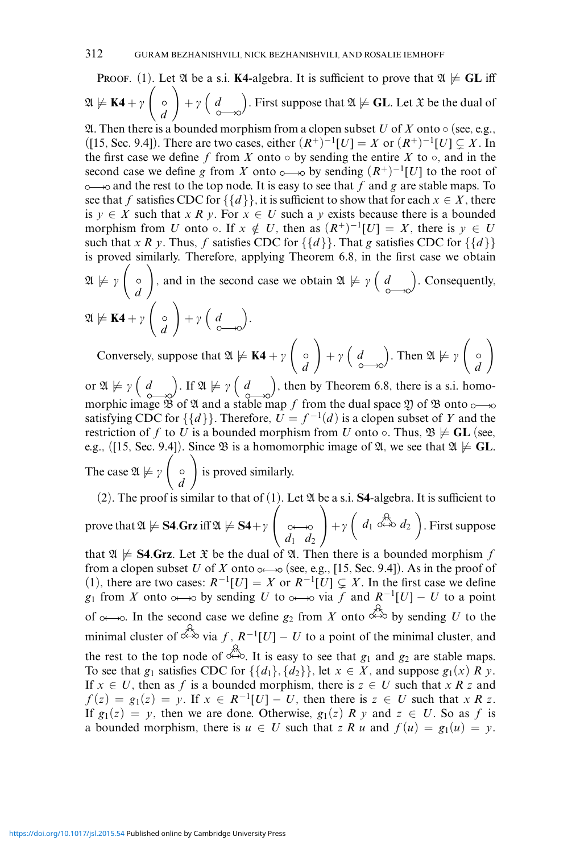**PROOF.** (1). Let  $\mathfrak A$  be a s.i. **K4**-algebra. It is sufficient to prove that  $\mathfrak A \not\models GL$  iff  $\mathfrak{A} \not\models \mathbf{K4} + \gamma$  $\sqrt{2}$ *d*  $\setminus$  $+\gamma$  (*d*). First suppose that  $\mathfrak{A} \not\models \mathbf{GL}$ . Let  $\mathfrak{X}$  be the dual of

24. Then there is a bounded morphism from a clopen subset *U* of *X* onto  $\circ$  (see, e.g., ([15, Sec. 9.4]). There are two cases, either  $(R^+)^{-1}[U] = X$  or  $(R^+)^{-1}[U] ⊆ X$ . In the first case we define  $f$  from  $X$  onto  $\circ$  by sending the entire  $X$  to  $\circ$ , and in the second case we define *g* from *X* onto  $\circ \rightarrow \circ$  by sending  $(R^+)^{-1}[U]$  to the root of  $\infty$  and the rest to the top node. It is easy to see that f and g are stable maps. To see that *f* satisfies CDC for  $\{\{d\}\}\$ , it is sufficient to show that for each  $x \in X$ , there is  $y \in X$  such that *xRy*. For  $x \in U$  such a *y* exists because there is a bounded morphism from *U* onto  $\circ$ . If  $x \notin U$ , then as  $(R^+)^{-1}[U] = X$ , there is  $y \in U$ such that *xRy*. Thus, *f* satisfies CDC for  $\{\{d\}\}\$ . That *g* satisfies CDC for  $\{\{d\}\}\$ is proved similarly. Therefore, applying Theorem 6.8, in the first case we obtain  $\mathfrak{A} \not\models \gamma$  $\sqrt{ }$ *d*  $\setminus$ , and in the second case we obtain  $\mathfrak{A} \not\models \gamma \left( d \quad \right)$ . Consequently,  $\mathfrak{A} \not\models \mathbf{K4} + \gamma$  $\sqrt{2}$  $\setminus$  $+\gamma$  (d).

*d* Conversely, suppose that  $\mathfrak{A} \not\models \mathbf{K4} + \gamma$  $\sqrt{ }$ *d*  $\setminus$  $+\gamma$  (*d*). Then  $\mathfrak{A} \not\models \gamma$  $\sqrt{ }$ *d*  $\setminus$ 

or  $\mathfrak{A} \not\models \gamma$  ( d). If  $\mathfrak{A} \not\models \gamma$  ( d), then by Theorem 6.8, there is a s.i. homomorphic image  $\mathfrak B$  of  $\mathfrak A$  and a stable map  $f$  from the dual space  $\mathfrak Y$  of  $\mathfrak B$  onto satisfying CDC for  $\{\{d\}\}\$ . Therefore,  $\vec{U} = f^{-1}(d)$  is a clopen subset of *Y* and the restriction of *f* to *U* is a bounded morphism from *U* onto  $\circ$ . Thus,  $\mathfrak{B} \not\models$  **GL** (see, e.g., ([15, Sec. 9.4]). Since  $\mathfrak{B}$  is a homomorphic image of  $\mathfrak{A}$ , we see that  $\mathfrak{A} \not\models$  **GL**. The case  $\mathfrak{A} \not\models \gamma$  $\sqrt{2}$ *d*  $\setminus$ is proved similarly.

(2). The proof is similar to that of  $(1)$ . Let  $\mathfrak A$  be a s.i. **S4**-algebra. It is sufficient to

prove that 
$$
\mathfrak{A} \not\models \mathbf{S4}.\mathbf{Grz} \text{ iff } \mathfrak{A} \not\models \mathbf{S4} + \gamma \begin{pmatrix} 0 & 0 \\ 0 & 0 \end{pmatrix} + \gamma \begin{pmatrix} d_1 & 0 \\ d_2 & 0 \end{pmatrix}.
$$
 First suppose

that  $\mathfrak{A} \not\models$  **S4.Grz**. Let  $\mathfrak{X}$  be the dual of  $\mathfrak{A}$ . Then there is a bounded morphism *f* from a clopen subset *U* of *X* onto  $\infty$  (see, e.g., [15, Sec. 9.4]). As in the proof of (1), there are two cases:  $R^{-1}[U] = X$  or  $R^{-1}[U] \subsetneq X$ . In the first case we define *g*<sub>1</sub> from *X* onto  $\infty$   $\infty$  by sending *U* to  $\infty$   $\infty$  via *f* and  $R^{-1}[U] - U$  to a point of  $\infty$  or In the second case we define  $g_2$  from *X* onto  $\stackrel{\leftrightarrow}{\leftrightarrow}$  by sending *U* to the minimal cluster of  $\stackrel{\mathcal{R}}{\longleftrightarrow}$  via *f*,  $R^{-1}[U] - U$  to a point of the minimal cluster, and the rest to the top node of  $\overrightarrow{G}$ . It is easy to see that  $g_1$  and  $g_2$  are stable maps. To see that  $g_1$  satisfies CDC for  $\{\{d_1\}, \{d_2\}\}\$ , let  $x \in X$ , and suppose  $g_1(x) \cap R y$ . If  $x \in U$ , then as f is a bounded morphism, there is  $z \in U$  such that x R z and  $f(z) = g_1(z) = y$ . If  $x \in R^{-1}[U] - U$ , then there is  $z \in U$  such that *xRz*. If  $g_1(z) = y$ , then we are done. Otherwise,  $g_1(z)$  *R* y and  $z \in U$ . So as f is a bounded morphism, there is  $u \in U$  such that *zRu* and  $f(u) = g_1(u) = v$ .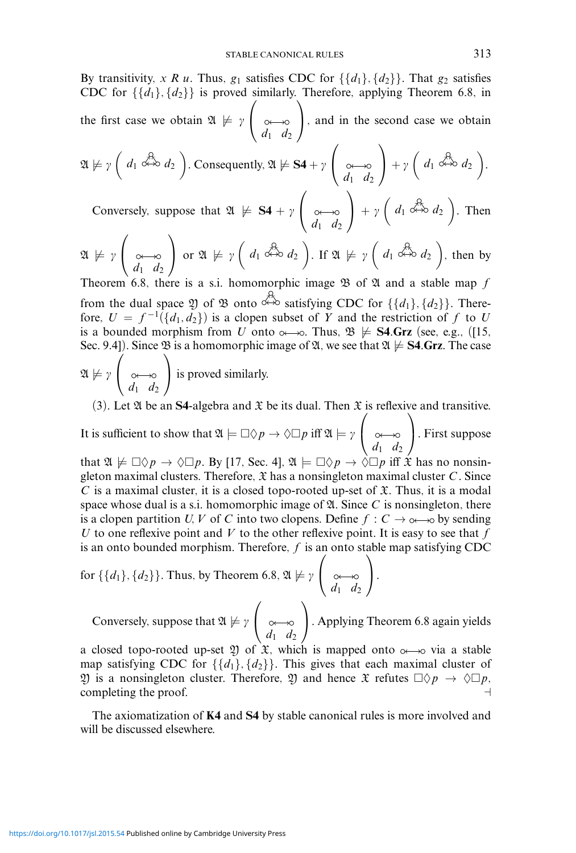By transitivity, *x R u*. Thus,  $g_1$  satisfies CDC for  $\{\{d_1\}, \{d_2\}\}\$ . That  $g_2$  satisfies CDC for  $\{\{d_1\}, \{d_2\}\}\$ is proved similarly. Therefore, applying Theorem 6.8, in the first case we obtain  $\mathfrak{A} \not\models \gamma$  $\sqrt{2}$  $\begin{pmatrix} 1 & 0 \\ d_1 & d_2 \end{pmatrix}$ ⎞ <sup>⎠</sup>, and in the second case we obtain  $\sqrt{2}$  $\setminus$  $\left( \begin{array}{cc} \end{array} \right)$  $\sqrt{ }$  $\setminus$ 

$$
\mathfrak{A} \not\models \gamma \left( d_1 \stackrel{\partial}{\leftrightarrow} d_2 \right). \text{ Consequently, } \mathfrak{A} \not\models \mathbf{S4} + \gamma \left( \underset{d_1}{\circ} \underset{d_2}{\leftrightarrow} \right) + \gamma \left( d_1 \stackrel{\partial}{\leftrightarrow} d_2 \right).
$$

Conversely, suppose that  $\mathfrak{A} \not\models \mathbf{S4} + \gamma$  $\begin{pmatrix} a_1 & d_2 \end{pmatrix}$  $+ \gamma \left( d_1 \stackrel{\partial}{\longleftrightarrow} d_2 \right)$ . Then

$$
\mathfrak{A} \not\models \gamma \left( \underset{d_1 \text{ even}}{\leadsto} \right) \text{ or } \mathfrak{A} \not\models \gamma \left( d_1 \overset{\mathcal{A}}{\leadsto} d_2 \right). \text{ If } \mathfrak{A} \not\models \gamma \left( d_1 \overset{\mathcal{A}}{\leadsto} d_2 \right), \text{ then by}
$$
\n
$$
\text{Theorem 6.8, then is a a is homeumwhile image } \mathfrak{B} \text{ a 5.8, and a stable mean 6.}
$$

Theorem 6.8, there is a s.i. homomorphic image B of A and a stable map *f* from the dual space 2) of 28 onto  $\stackrel{\star}{\leftrightarrow}$  satisfying CDC for  $\{\{d_1\}, \{d_2\}\}\.$  Therefore,  $U = f^{-1}(\{d_1, d_2\})$  is a clopen subset of *Y* and the restriction of *f* to *U* is a bounded morphism from *U* onto  $\infty$   $\infty$ . Thus,  $\mathfrak{B} \not\models$  **S4.Grz** (see, e.g., ([15, Sec. 9.4]). Since  $\mathfrak{B}$  is a homomorphic image of  $\mathfrak{A}$ , we see that  $\mathfrak{A} \not\models$  **S4.Grz**. The case

 $\mathfrak{A} \not\models \gamma$  $\sqrt{2}$  $\begin{pmatrix} a_1 & d_2 \end{pmatrix}$ ⎞ <sup>⎠</sup> is proved similarly.

(3). Let  $\mathfrak A$  be an **S4**-algebra and  $\mathfrak X$  be its dual. Then  $\mathfrak X$  is reflexive and transitive.

It is sufficient to show that  $\mathfrak{A} \models \Box \Diamond p \rightarrow \Diamond \Box p$  iff  $\mathfrak{A} \models \gamma$  $\sqrt{2}$  $\begin{pmatrix} 0 & 0 \\ d_1 & d_2 \end{pmatrix}$ ⎞ <sup>⎠</sup>. First suppose that  $\mathfrak{A} \not\models \Box \Diamond p \rightarrow \Diamond \Box p$ . By [17, Sec. 4],  $\mathfrak{A} \models \Box \Diamond p \rightarrow \Diamond \Box p$  iff  $\mathfrak{X}$  has no nonsingleton maximal clusters. Therefore,  $\mathfrak X$  has a nonsingleton maximal cluster *C*. Since *C* is a maximal cluster, it is a closed topo-rooted up-set of  $\mathfrak{X}$ . Thus, it is a modal space whose dual is a s.i. homomorphic image of  $\mathfrak A$ . Since C is nonsingleton, there is a clopen partition *U, V* of *C* into two clopens. Define  $f : C \rightarrow \infty$  by sending *U* to one reflexive point and *V* to the other reflexive point. It is easy to see that *f* is an onto bounded morphism. Therefore, *f* is an onto stable map satisfying CDC

for 
$$
\{\{d_1\}, \{d_2\}\}\.
$$
 Thus, by Theorem 6.8,  $\mathfrak{A} \not\models \gamma \left( \underset{d_1}{\leadsto} \underset{d_2}{\longleftrightarrow} \right).$ 

Conversely, suppose that  $\mathfrak{A} \not\models \gamma$  $\sqrt{2}$  $\begin{pmatrix} 0 & 0 \\ d_1 & d_2 \end{pmatrix}$ ⎞ <sup>⎠</sup>. Applying Theorem 6.8 again yields

a closed topo-rooted up-set 2) of  $\mathfrak{X}$ , which is mapped onto  $\infty \rightarrow \infty$  via a stable map satisfying CDC for  $\{\{d_1\}, \{d_2\}\}\$ . This gives that each maximal cluster of  $\mathfrak Y$  is a nonsingleton cluster. Therefore,  $\mathfrak Y$  and hence  $\mathfrak X$  refutes  $\Box \Diamond p \to \Diamond \Box p$ , completing the proof.

The axiomatization of **K4** and **S4** by stable canonical rules is more involved and will be discussed elsewhere.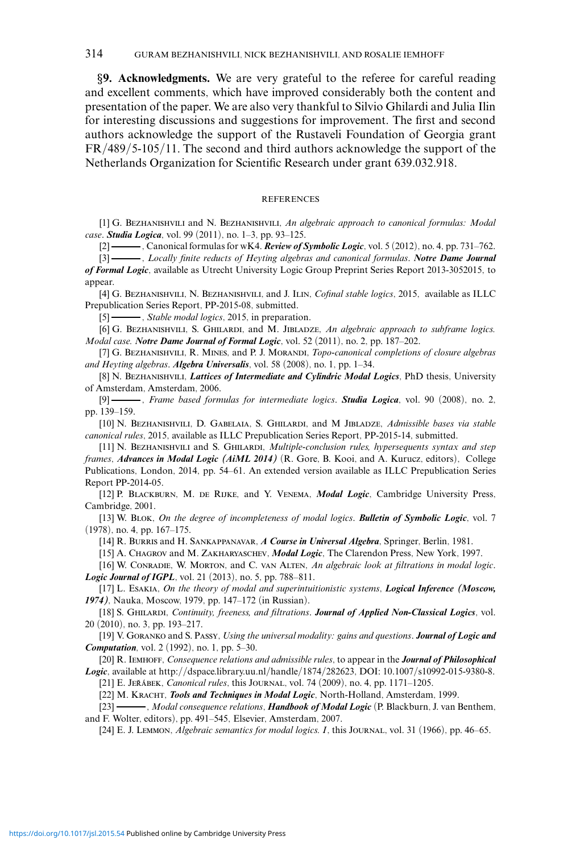*§***9. Acknowledgments.** We are very grateful to the referee for careful reading and excellent comments, which have improved considerably both the content and presentation of the paper. We are also very thankful to Silvio Ghilardi and Julia Ilin for interesting discussions and suggestions for improvement. The first and second authors acknowledge the support of the Rustaveli Foundation of Georgia grant FR/489/5-105/11. The second and third authors acknowledge the support of the Netherlands Organization for Scientific Research under grant 639.032.918.

## REFERENCES

[1] G. Bezhanishvili and N. Bezhanishvili, *An algebraic approach to canonical formulas: Modal case*. *Studia Logica*, vol. 99 (2011), no. 1–3, pp. 93–125.

[2] , Canonical formulas for wK4. *Review of Symbolic Logic*, vol. 5 (2012), no. 4, pp. 731–762.

[3] , *Locally finite reducts of Heyting algebras and canonical formulas*. *Notre Dame Journal of Formal Logic*, available as Utrecht University Logic Group Preprint Series Report 2013-3052015, to appear.

[4] G. Bezhanishvili, N. Bezhanishvili, and J. Ilin, *Cofinal stable logics*, 2015, available as ILLC Prepublication Series Report, PP-2015-08, submitted.

[5] , *Stable modal logics*, 2015, in preparation.

[6] G. Bezhanishvili, S. Ghilardi, and M. Jibladze, *An algebraic approach to subframe logics. Modal case. Notre Dame Journal of Formal Logic*, vol. 52 (2011), no. 2, pp. 187–202.

[7] G. BEZHANISHVILI, R. MINES, and P. J. MORANDI, *Topo-canonical completions of closure algebras and Heyting algebras*. *Algebra Universalis*, vol. 58 (2008), no. 1, pp. 1–34.

[8] N. Bezhanishvili, *Lattices of Intermediate and Cylindric Modal Logics*, PhD thesis, University of Amsterdam, Amsterdam, 2006.

[9] , *Frame based formulas for intermediate logics*. *Studia Logica*, vol. 90 (2008), no. 2, pp. 139–159.

[10] N. BEZHANISHVILI, D. GABELAIA, S. GHILARDI, and M JIBLADZE, Admissible bases via stable *canonical rules*, 2015, available as ILLC Prepublication Series Report, PP-2015-14, submitted.

[11] N. Bezhanishvili and S. Ghilardi, *Multiple-conclusion rules, hypersequents syntax and step frames*, *Advances in Modal Logic (AiML 2014)* (R. Gore, B. Kooi, and A. Kurucz, editors), College Publications, London, 2014, pp. 54–61. An extended version available as ILLC Prepublication Series Report PP-2014-05.

[12] P. Blackburn, M. de Rijke, and Y. Venema, *Modal Logic*, Cambridge University Press, Cambridge, 2001.

[13] W. Blok, *On the degree of incompleteness of modal logics*. *Bulletin of Symbolic Logic*, vol. 7 (1978), no. 4, pp. 167–175.

[14] R. Burris and H. Sankappanavar, *A Course in Universal Algebra*, Springer, Berlin, 1981.

[15] A. Chagrov and M. Zakharyaschev, *Modal Logic*, The Clarendon Press, New York, 1997.

[16] W. Conradie, W. Morton, and C. van Alten, *An algebraic look at filtrations in modal logic*. *Logic Journal of IGPL*, vol. 21 (2013), no. 5, pp. 788–811.

[17] L. Esakia, *On the theory of modal and superintuitionistic systems*, *Logical Inference (Moscow, 1974)*, Nauka, Moscow, 1979, pp. 147–172 (in Russian).

[18] S. Ghilardi, *Continuity, freeness, and filtrations*. *Journal of Applied Non-Classical Logics*, vol. 20 (2010), no. 3, pp. 193–217.

[19] V. Goranko and S. Passy, *Using the universal modality: gains and questions*. *Journal of Logic and Computation*, vol. 2 (1992), no. 1, pp. 5–30.

[20] R. Iemhoff, *Consequence relations and admissible rules*, to appear in the *Journal of Philosophical Logic*, available at http://dspace.library.uu.nl/handle/1874/282623, DOI: 10.1007/s10992-015-9380-8.

[21] E. JEŘÁBEK, *Canonical rules*, this JOURNAL, vol. 74 (2009), no. 4, pp. 1171–1205.

[22] M. KRACHT, *Tools and Techniques in Modal Logic*, North-Holland, Amsterdam, 1999.

[23] - Modal consequence relations, *Handbook of Modal Logic* (P. Blackburn, J. van Benthem, and F. Wolter, editors), pp. 491–545, Elsevier, Amsterdam, 2007.

[24] E. J. Lemmon, *Algebraic semantics for modal logics. I*, this Journal, vol. 31 (1966), pp. 46–65.